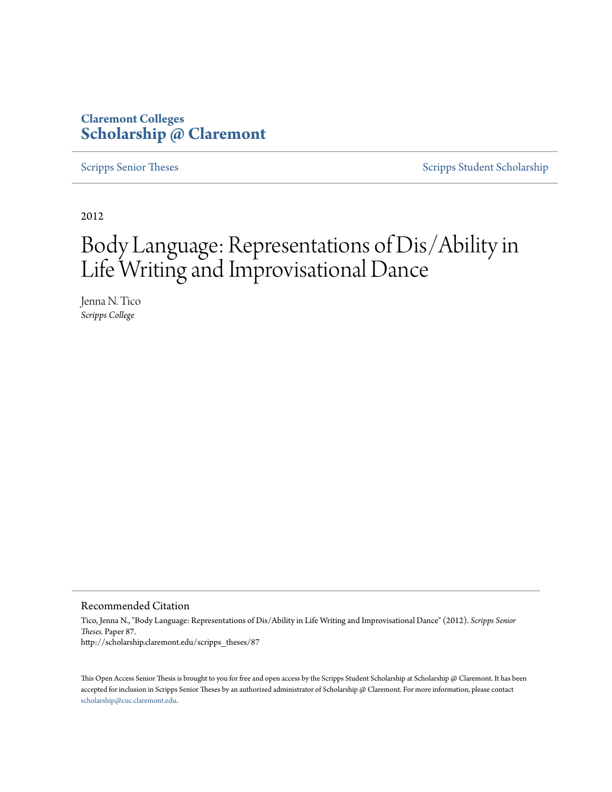# **Claremont Colleges [Scholarship @ Claremont](http://scholarship.claremont.edu)**

[Scripps Senior Theses](http://scholarship.claremont.edu/scripps_theses) [Scripps Student Scholarship](http://scholarship.claremont.edu/scripps_student)

2012

# Body Language: Representations of Dis/Ability in Life Writing and Improvisational Dance

Jenna N. Tico *Scripps College*

#### Recommended Citation

Tico, Jenna N., "Body Language: Representations of Dis/Ability in Life Writing and Improvisational Dance" (2012). *Scripps Senior Theses.* Paper 87. http://scholarship.claremont.edu/scripps\_theses/87

This Open Access Senior Thesis is brought to you for free and open access by the Scripps Student Scholarship at Scholarship @ Claremont. It has been accepted for inclusion in Scripps Senior Theses by an authorized administrator of Scholarship @ Claremont. For more information, please contact [scholarship@cuc.claremont.edu.](mailto:scholarship@cuc.claremont.edu)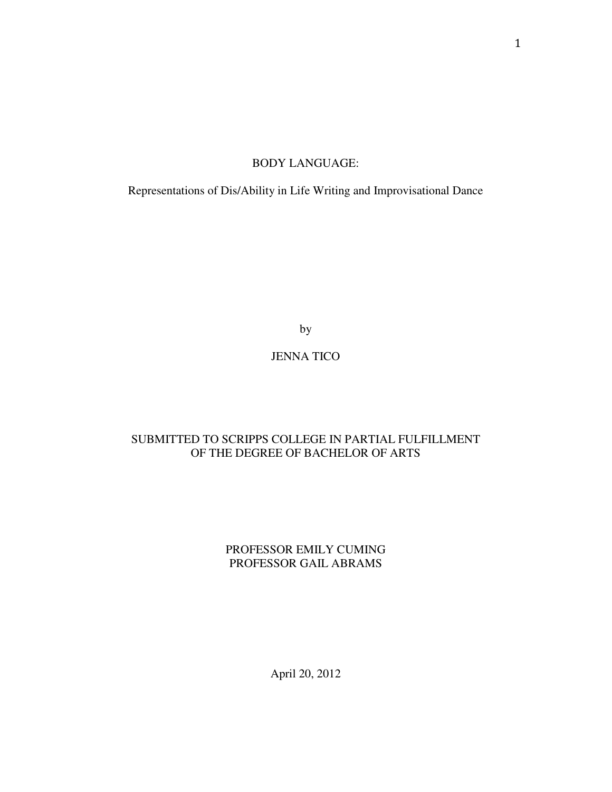## BODY LANGUAGE:

Representations of Dis/Ability in Life Writing and Improvisational Dance

by

# JENNA TICO

# SUBMITTED TO SCRIPPS COLLEGE IN PARTIAL FULFILLMENT OF THE DEGREE OF BACHELOR OF ARTS

# PROFESSOR EMILY CUMING PROFESSOR GAIL ABRAMS

April 20, 2012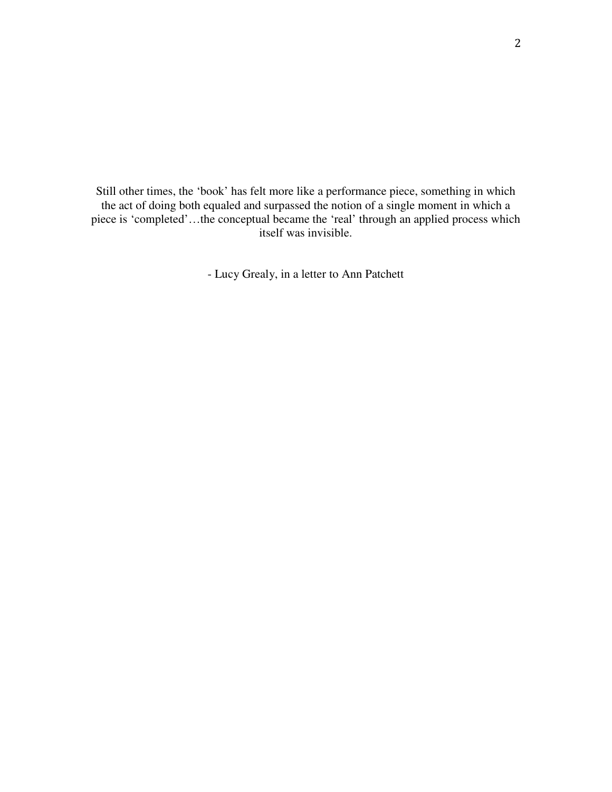Still other times, the 'book' has felt more like a performance piece, something in which the act of doing both equaled and surpassed the notion of a single moment in which a piece is 'completed'…the conceptual became the 'real' through an applied process which itself was invisible.

- Lucy Grealy, in a letter to Ann Patchett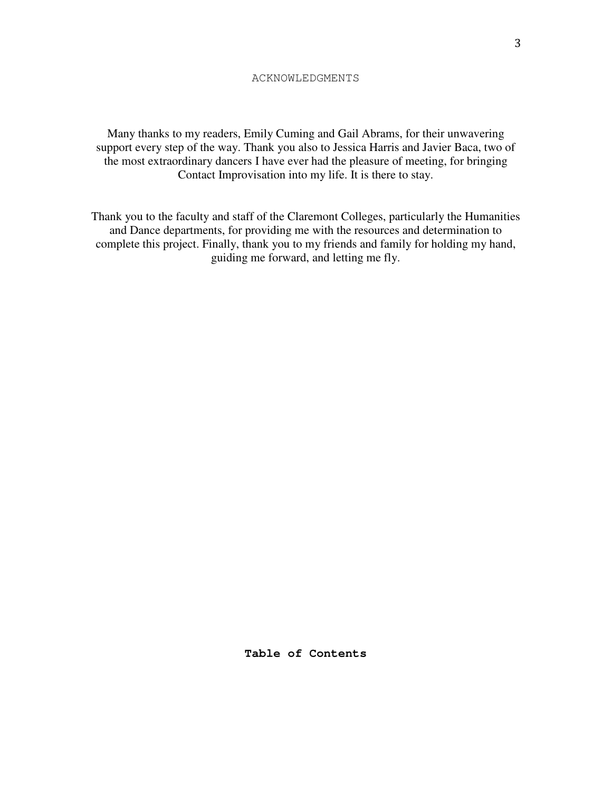Many thanks to my readers, Emily Cuming and Gail Abrams, for their unwavering support every step of the way. Thank you also to Jessica Harris and Javier Baca, two of the most extraordinary dancers I have ever had the pleasure of meeting, for bringing Contact Improvisation into my life. It is there to stay.

Thank you to the faculty and staff of the Claremont Colleges, particularly the Humanities and Dance departments, for providing me with the resources and determination to complete this project. Finally, thank you to my friends and family for holding my hand, guiding me forward, and letting me fly.

**Table of Contents**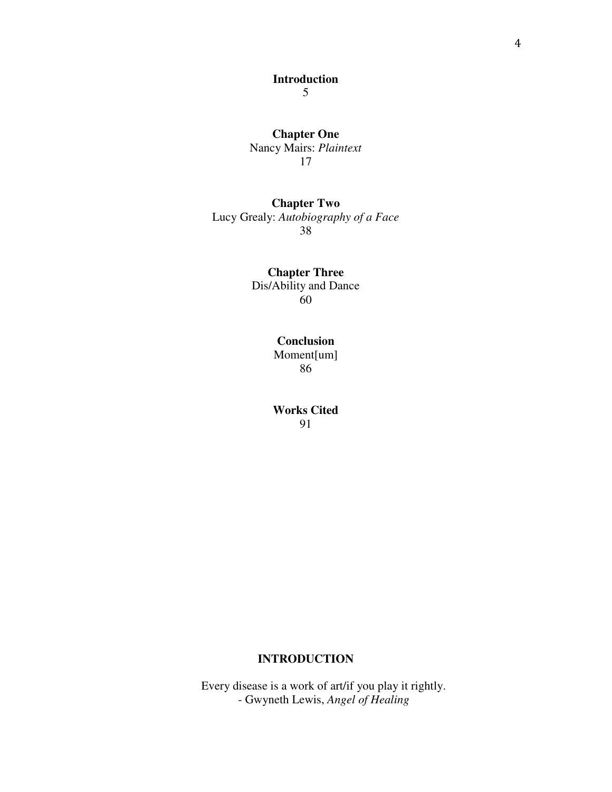# **Chapter One**  Nancy Mairs: *Plaintext* 17

# **Chapter Two**  Lucy Grealy: *Autobiography of a Face*

38

# **Chapter Three**  Dis/Ability and Dance 60

## **Conclusion**  Moment[um] 86

**Works Cited**  91

## **INTRODUCTION**

Every disease is a work of art/if you play it rightly. - Gwyneth Lewis, *Angel of Healing*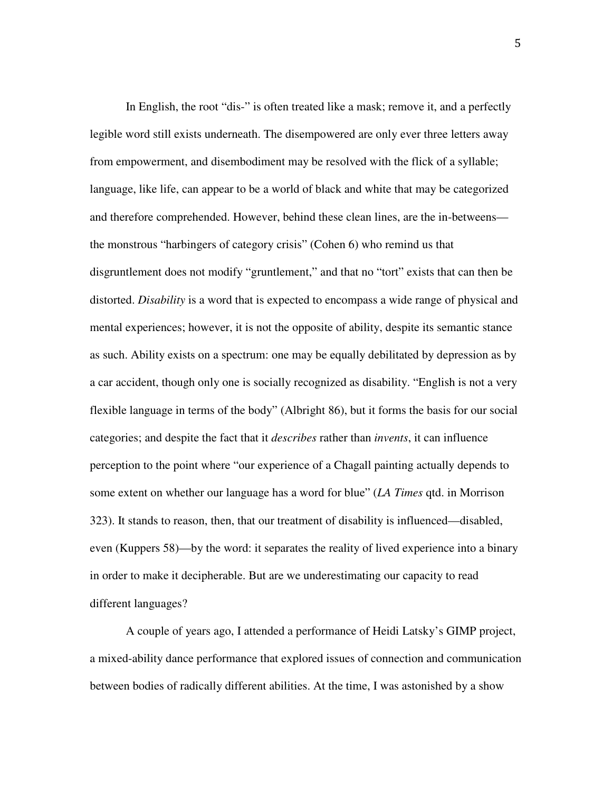In English, the root "dis-" is often treated like a mask; remove it, and a perfectly legible word still exists underneath. The disempowered are only ever three letters away from empowerment, and disembodiment may be resolved with the flick of a syllable; language, like life, can appear to be a world of black and white that may be categorized and therefore comprehended. However, behind these clean lines, are the in-betweens the monstrous "harbingers of category crisis" (Cohen 6) who remind us that disgruntlement does not modify "gruntlement," and that no "tort" exists that can then be distorted. *Disability* is a word that is expected to encompass a wide range of physical and mental experiences; however, it is not the opposite of ability, despite its semantic stance as such. Ability exists on a spectrum: one may be equally debilitated by depression as by a car accident, though only one is socially recognized as disability. "English is not a very flexible language in terms of the body" (Albright 86), but it forms the basis for our social categories; and despite the fact that it *describes* rather than *invents*, it can influence perception to the point where "our experience of a Chagall painting actually depends to some extent on whether our language has a word for blue" (*LA Times* qtd. in Morrison 323). It stands to reason, then, that our treatment of disability is influenced—disabled, even (Kuppers 58)—by the word: it separates the reality of lived experience into a binary in order to make it decipherable. But are we underestimating our capacity to read different languages?

A couple of years ago, I attended a performance of Heidi Latsky's GIMP project, a mixed-ability dance performance that explored issues of connection and communication between bodies of radically different abilities. At the time, I was astonished by a show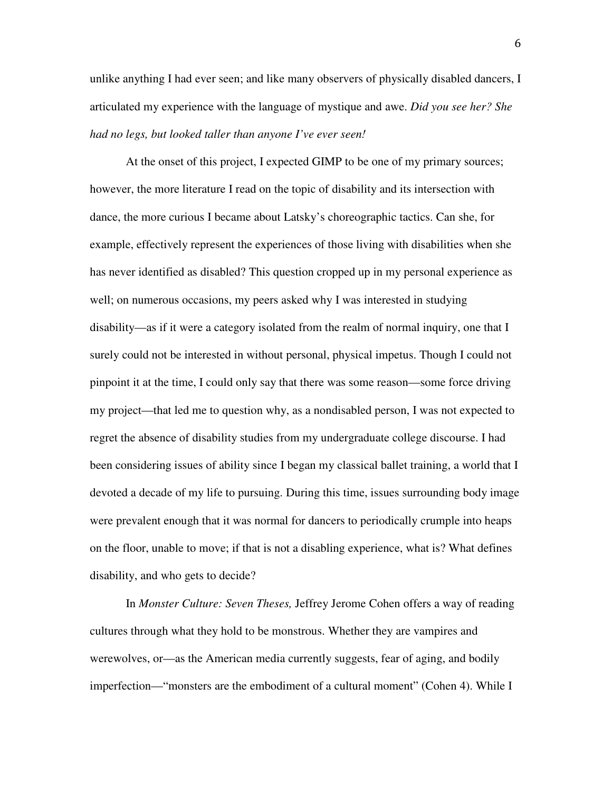unlike anything I had ever seen; and like many observers of physically disabled dancers, I articulated my experience with the language of mystique and awe. *Did you see her? She had no legs, but looked taller than anyone I've ever seen!* 

At the onset of this project, I expected GIMP to be one of my primary sources; however, the more literature I read on the topic of disability and its intersection with dance, the more curious I became about Latsky's choreographic tactics. Can she, for example, effectively represent the experiences of those living with disabilities when she has never identified as disabled? This question cropped up in my personal experience as well; on numerous occasions, my peers asked why I was interested in studying disability—as if it were a category isolated from the realm of normal inquiry, one that I surely could not be interested in without personal, physical impetus. Though I could not pinpoint it at the time, I could only say that there was some reason—some force driving my project—that led me to question why, as a nondisabled person, I was not expected to regret the absence of disability studies from my undergraduate college discourse. I had been considering issues of ability since I began my classical ballet training, a world that I devoted a decade of my life to pursuing. During this time, issues surrounding body image were prevalent enough that it was normal for dancers to periodically crumple into heaps on the floor, unable to move; if that is not a disabling experience, what is? What defines disability, and who gets to decide?

In *Monster Culture: Seven Theses,* Jeffrey Jerome Cohen offers a way of reading cultures through what they hold to be monstrous. Whether they are vampires and werewolves, or—as the American media currently suggests, fear of aging, and bodily imperfection—"monsters are the embodiment of a cultural moment" (Cohen 4). While I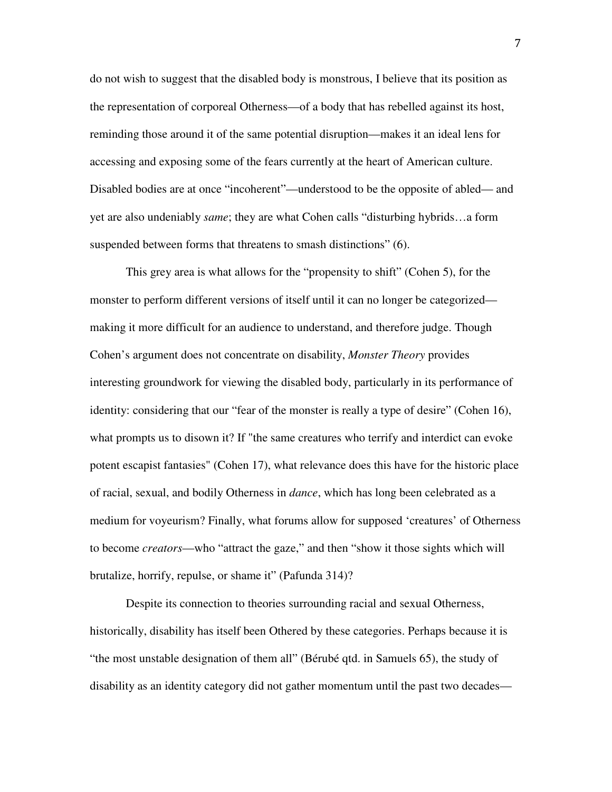do not wish to suggest that the disabled body is monstrous, I believe that its position as the representation of corporeal Otherness—of a body that has rebelled against its host, reminding those around it of the same potential disruption—makes it an ideal lens for accessing and exposing some of the fears currently at the heart of American culture. Disabled bodies are at once "incoherent"—understood to be the opposite of abled— and yet are also undeniably *same*; they are what Cohen calls "disturbing hybrids…a form suspended between forms that threatens to smash distinctions" (6).

This grey area is what allows for the "propensity to shift" (Cohen 5), for the monster to perform different versions of itself until it can no longer be categorized making it more difficult for an audience to understand, and therefore judge. Though Cohen's argument does not concentrate on disability, *Monster Theory* provides interesting groundwork for viewing the disabled body, particularly in its performance of identity: considering that our "fear of the monster is really a type of desire" (Cohen 16), what prompts us to disown it? If "the same creatures who terrify and interdict can evoke potent escapist fantasies" (Cohen 17), what relevance does this have for the historic place of racial, sexual, and bodily Otherness in *dance*, which has long been celebrated as a medium for voyeurism? Finally, what forums allow for supposed 'creatures' of Otherness to become *creators*—who "attract the gaze," and then "show it those sights which will brutalize, horrify, repulse, or shame it" (Pafunda 314)?

Despite its connection to theories surrounding racial and sexual Otherness, historically, disability has itself been Othered by these categories. Perhaps because it is "the most unstable designation of them all" (Bérubé qtd. in Samuels 65), the study of disability as an identity category did not gather momentum until the past two decades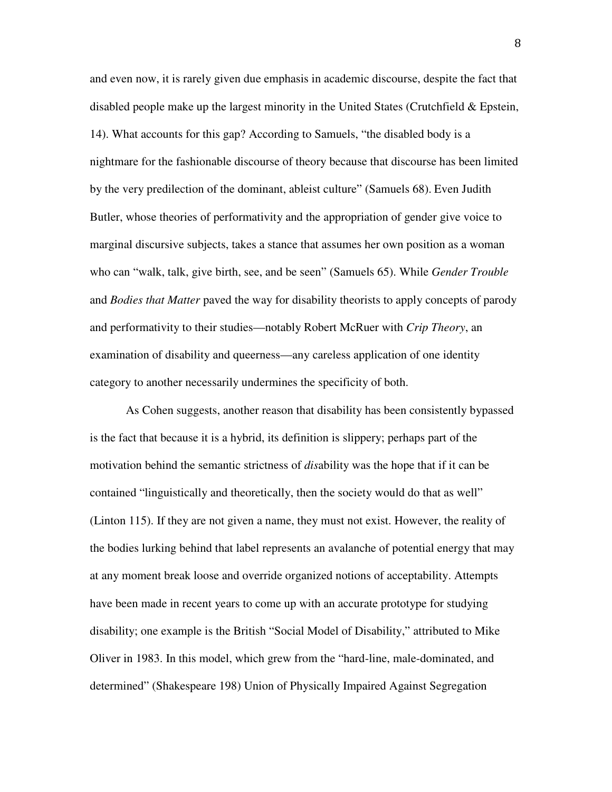and even now, it is rarely given due emphasis in academic discourse, despite the fact that disabled people make up the largest minority in the United States (Crutchfield & Epstein, 14). What accounts for this gap? According to Samuels, "the disabled body is a nightmare for the fashionable discourse of theory because that discourse has been limited by the very predilection of the dominant, ableist culture" (Samuels 68). Even Judith Butler, whose theories of performativity and the appropriation of gender give voice to marginal discursive subjects, takes a stance that assumes her own position as a woman who can "walk, talk, give birth, see, and be seen" (Samuels 65). While *Gender Trouble* and *Bodies that Matter* paved the way for disability theorists to apply concepts of parody and performativity to their studies—notably Robert McRuer with *Crip Theory*, an examination of disability and queerness—any careless application of one identity category to another necessarily undermines the specificity of both.

As Cohen suggests, another reason that disability has been consistently bypassed is the fact that because it is a hybrid, its definition is slippery; perhaps part of the motivation behind the semantic strictness of *dis*ability was the hope that if it can be contained "linguistically and theoretically, then the society would do that as well" (Linton 115). If they are not given a name, they must not exist. However, the reality of the bodies lurking behind that label represents an avalanche of potential energy that may at any moment break loose and override organized notions of acceptability. Attempts have been made in recent years to come up with an accurate prototype for studying disability; one example is the British "Social Model of Disability," attributed to Mike Oliver in 1983. In this model, which grew from the "hard-line, male-dominated, and determined" (Shakespeare 198) Union of Physically Impaired Against Segregation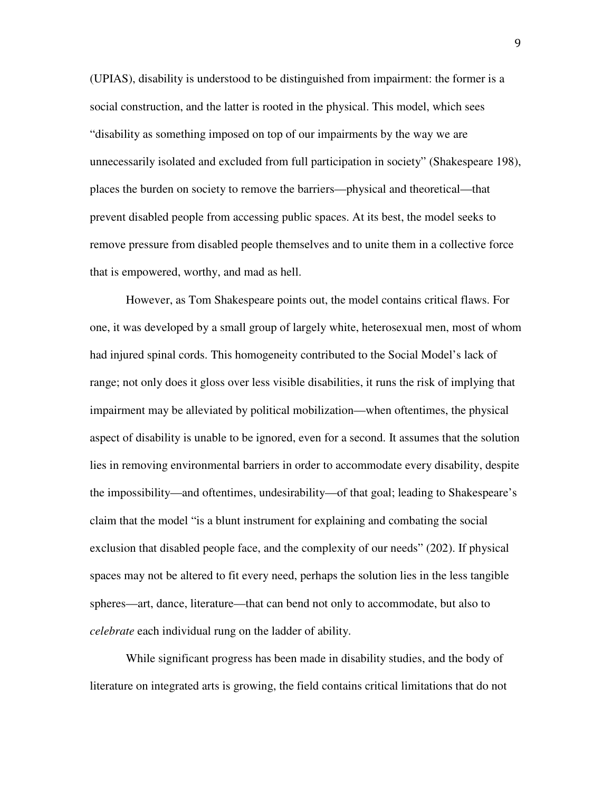(UPIAS), disability is understood to be distinguished from impairment: the former is a social construction, and the latter is rooted in the physical. This model, which sees "disability as something imposed on top of our impairments by the way we are unnecessarily isolated and excluded from full participation in society" (Shakespeare 198), places the burden on society to remove the barriers—physical and theoretical—that prevent disabled people from accessing public spaces. At its best, the model seeks to remove pressure from disabled people themselves and to unite them in a collective force that is empowered, worthy, and mad as hell.

However, as Tom Shakespeare points out, the model contains critical flaws. For one, it was developed by a small group of largely white, heterosexual men, most of whom had injured spinal cords. This homogeneity contributed to the Social Model's lack of range; not only does it gloss over less visible disabilities, it runs the risk of implying that impairment may be alleviated by political mobilization—when oftentimes, the physical aspect of disability is unable to be ignored, even for a second. It assumes that the solution lies in removing environmental barriers in order to accommodate every disability, despite the impossibility—and oftentimes, undesirability—of that goal; leading to Shakespeare's claim that the model "is a blunt instrument for explaining and combating the social exclusion that disabled people face, and the complexity of our needs" (202). If physical spaces may not be altered to fit every need, perhaps the solution lies in the less tangible spheres—art, dance, literature—that can bend not only to accommodate, but also to *celebrate* each individual rung on the ladder of ability.

While significant progress has been made in disability studies, and the body of literature on integrated arts is growing, the field contains critical limitations that do not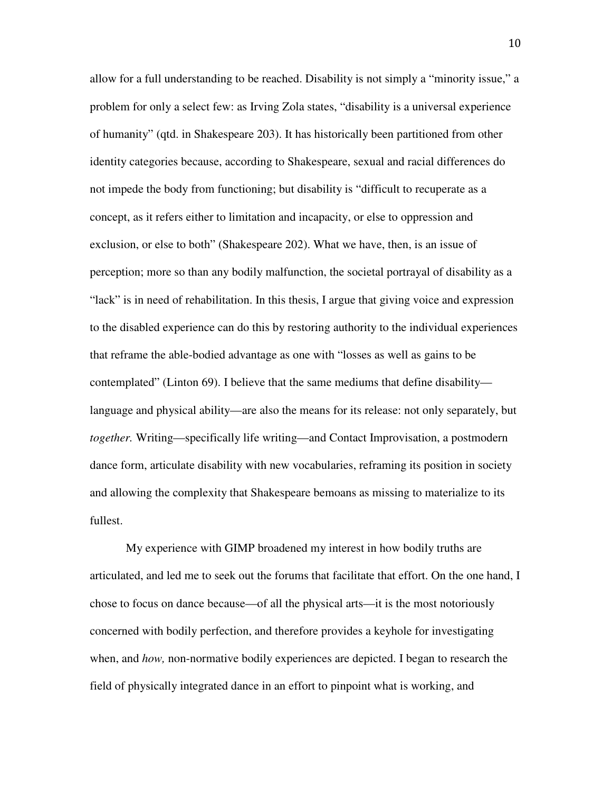allow for a full understanding to be reached. Disability is not simply a "minority issue," a problem for only a select few: as Irving Zola states, "disability is a universal experience of humanity" (qtd. in Shakespeare 203). It has historically been partitioned from other identity categories because, according to Shakespeare, sexual and racial differences do not impede the body from functioning; but disability is "difficult to recuperate as a concept, as it refers either to limitation and incapacity, or else to oppression and exclusion, or else to both" (Shakespeare 202). What we have, then, is an issue of perception; more so than any bodily malfunction, the societal portrayal of disability as a "lack" is in need of rehabilitation. In this thesis, I argue that giving voice and expression to the disabled experience can do this by restoring authority to the individual experiences that reframe the able-bodied advantage as one with "losses as well as gains to be contemplated" (Linton 69). I believe that the same mediums that define disability language and physical ability—are also the means for its release: not only separately, but *together.* Writing—specifically life writing—and Contact Improvisation, a postmodern dance form, articulate disability with new vocabularies, reframing its position in society and allowing the complexity that Shakespeare bemoans as missing to materialize to its fullest.

My experience with GIMP broadened my interest in how bodily truths are articulated, and led me to seek out the forums that facilitate that effort. On the one hand, I chose to focus on dance because—of all the physical arts—it is the most notoriously concerned with bodily perfection, and therefore provides a keyhole for investigating when, and *how*, non-normative bodily experiences are depicted. I began to research the field of physically integrated dance in an effort to pinpoint what is working, and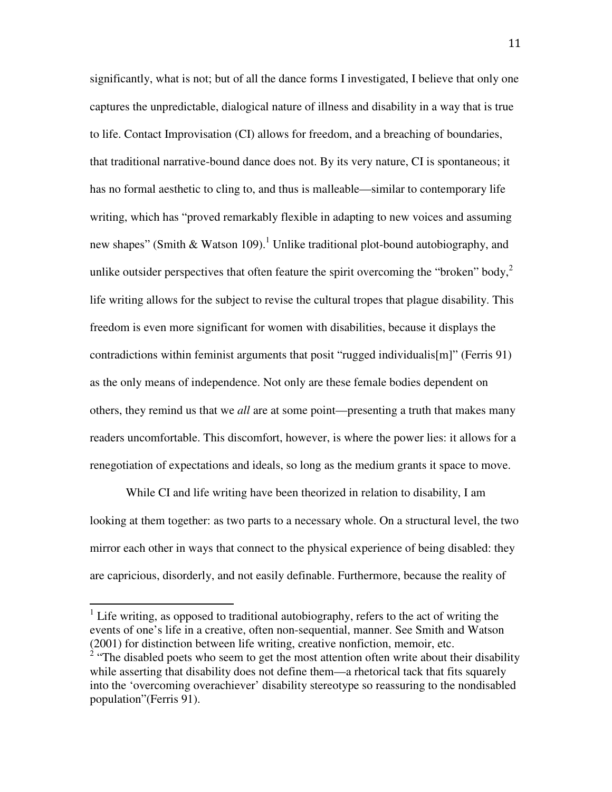significantly, what is not; but of all the dance forms I investigated, I believe that only one captures the unpredictable, dialogical nature of illness and disability in a way that is true to life. Contact Improvisation (CI) allows for freedom, and a breaching of boundaries, that traditional narrative-bound dance does not. By its very nature, CI is spontaneous; it has no formal aesthetic to cling to, and thus is malleable—similar to contemporary life writing, which has "proved remarkably flexible in adapting to new voices and assuming new shapes" (Smith & Watson 109).<sup>1</sup> Unlike traditional plot-bound autobiography, and unlike outsider perspectives that often feature the spirit overcoming the "broken" body, $\frac{2}{3}$ life writing allows for the subject to revise the cultural tropes that plague disability. This freedom is even more significant for women with disabilities, because it displays the contradictions within feminist arguments that posit "rugged individualis[m]" (Ferris 91) as the only means of independence. Not only are these female bodies dependent on others, they remind us that we *all* are at some point—presenting a truth that makes many readers uncomfortable. This discomfort, however, is where the power lies: it allows for a renegotiation of expectations and ideals, so long as the medium grants it space to move.

While CI and life writing have been theorized in relation to disability, I am looking at them together: as two parts to a necessary whole. On a structural level, the two mirror each other in ways that connect to the physical experience of being disabled: they are capricious, disorderly, and not easily definable. Furthermore, because the reality of

<sup>1</sup> Life writing, as opposed to traditional autobiography, refers to the act of writing the events of one's life in a creative, often non-sequential, manner. See Smith and Watson (2001) for distinction between life writing, creative nonfiction, memoir, etc.

 $\overline{a}$ 

 $2$  "The disabled poets who seem to get the most attention often write about their disability while asserting that disability does not define them—a rhetorical tack that fits squarely into the 'overcoming overachiever' disability stereotype so reassuring to the nondisabled population"(Ferris 91).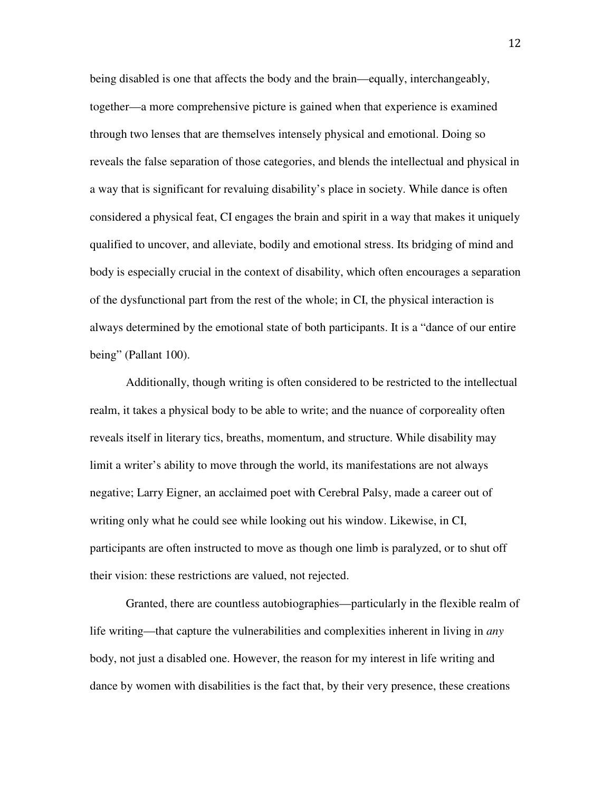being disabled is one that affects the body and the brain—equally, interchangeably, together—a more comprehensive picture is gained when that experience is examined through two lenses that are themselves intensely physical and emotional. Doing so reveals the false separation of those categories, and blends the intellectual and physical in a way that is significant for revaluing disability's place in society. While dance is often considered a physical feat, CI engages the brain and spirit in a way that makes it uniquely qualified to uncover, and alleviate, bodily and emotional stress. Its bridging of mind and body is especially crucial in the context of disability, which often encourages a separation of the dysfunctional part from the rest of the whole; in CI, the physical interaction is always determined by the emotional state of both participants. It is a "dance of our entire being" (Pallant 100).

Additionally, though writing is often considered to be restricted to the intellectual realm, it takes a physical body to be able to write; and the nuance of corporeality often reveals itself in literary tics, breaths, momentum, and structure. While disability may limit a writer's ability to move through the world, its manifestations are not always negative; Larry Eigner, an acclaimed poet with Cerebral Palsy, made a career out of writing only what he could see while looking out his window. Likewise, in CI, participants are often instructed to move as though one limb is paralyzed, or to shut off their vision: these restrictions are valued, not rejected.

Granted, there are countless autobiographies—particularly in the flexible realm of life writing—that capture the vulnerabilities and complexities inherent in living in *any* body, not just a disabled one. However, the reason for my interest in life writing and dance by women with disabilities is the fact that, by their very presence, these creations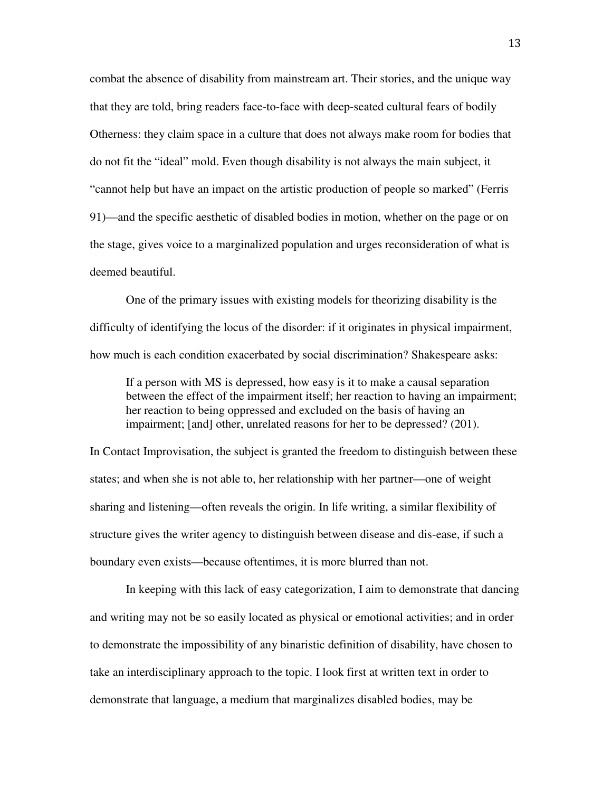combat the absence of disability from mainstream art. Their stories, and the unique way that they are told, bring readers face-to-face with deep-seated cultural fears of bodily Otherness: they claim space in a culture that does not always make room for bodies that do not fit the "ideal" mold. Even though disability is not always the main subject, it "cannot help but have an impact on the artistic production of people so marked" (Ferris 91)—and the specific aesthetic of disabled bodies in motion, whether on the page or on the stage, gives voice to a marginalized population and urges reconsideration of what is deemed beautiful.

 One of the primary issues with existing models for theorizing disability is the difficulty of identifying the locus of the disorder: if it originates in physical impairment, how much is each condition exacerbated by social discrimination? Shakespeare asks:

If a person with MS is depressed, how easy is it to make a causal separation between the effect of the impairment itself; her reaction to having an impairment; her reaction to being oppressed and excluded on the basis of having an impairment; [and] other, unrelated reasons for her to be depressed? (201).

In Contact Improvisation, the subject is granted the freedom to distinguish between these states; and when she is not able to, her relationship with her partner—one of weight sharing and listening—often reveals the origin. In life writing, a similar flexibility of structure gives the writer agency to distinguish between disease and dis-ease, if such a boundary even exists—because oftentimes, it is more blurred than not.

In keeping with this lack of easy categorization, I aim to demonstrate that dancing and writing may not be so easily located as physical or emotional activities; and in order to demonstrate the impossibility of any binaristic definition of disability, have chosen to take an interdisciplinary approach to the topic. I look first at written text in order to demonstrate that language, a medium that marginalizes disabled bodies, may be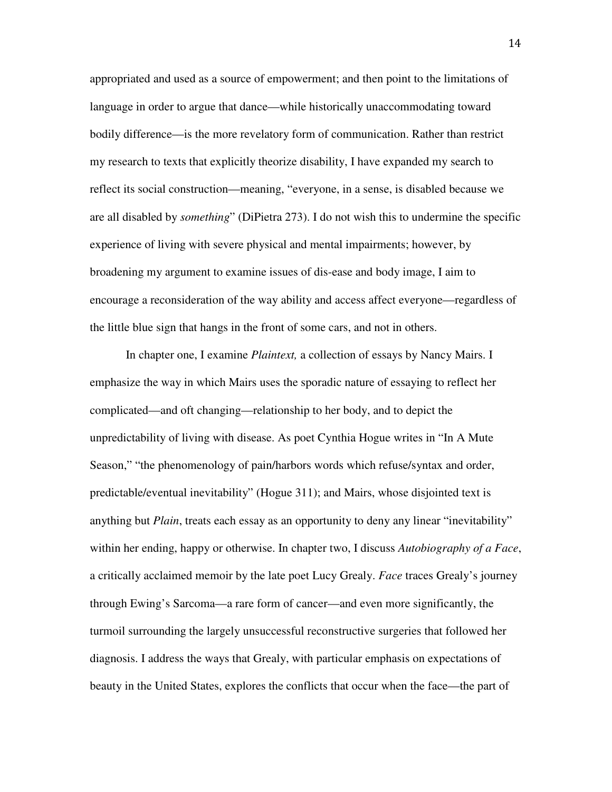appropriated and used as a source of empowerment; and then point to the limitations of language in order to argue that dance—while historically unaccommodating toward bodily difference—is the more revelatory form of communication. Rather than restrict my research to texts that explicitly theorize disability, I have expanded my search to reflect its social construction—meaning, "everyone, in a sense, is disabled because we are all disabled by *something*" (DiPietra 273). I do not wish this to undermine the specific experience of living with severe physical and mental impairments; however, by broadening my argument to examine issues of dis-ease and body image, I aim to encourage a reconsideration of the way ability and access affect everyone—regardless of the little blue sign that hangs in the front of some cars, and not in others.

In chapter one, I examine *Plaintext,* a collection of essays by Nancy Mairs. I emphasize the way in which Mairs uses the sporadic nature of essaying to reflect her complicated—and oft changing—relationship to her body, and to depict the unpredictability of living with disease. As poet Cynthia Hogue writes in "In A Mute Season," "the phenomenology of pain/harbors words which refuse/syntax and order, predictable/eventual inevitability" (Hogue 311); and Mairs, whose disjointed text is anything but *Plain*, treats each essay as an opportunity to deny any linear "inevitability" within her ending, happy or otherwise. In chapter two, I discuss *Autobiography of a Face*, a critically acclaimed memoir by the late poet Lucy Grealy. *Face* traces Grealy's journey through Ewing's Sarcoma—a rare form of cancer—and even more significantly, the turmoil surrounding the largely unsuccessful reconstructive surgeries that followed her diagnosis. I address the ways that Grealy, with particular emphasis on expectations of beauty in the United States, explores the conflicts that occur when the face—the part of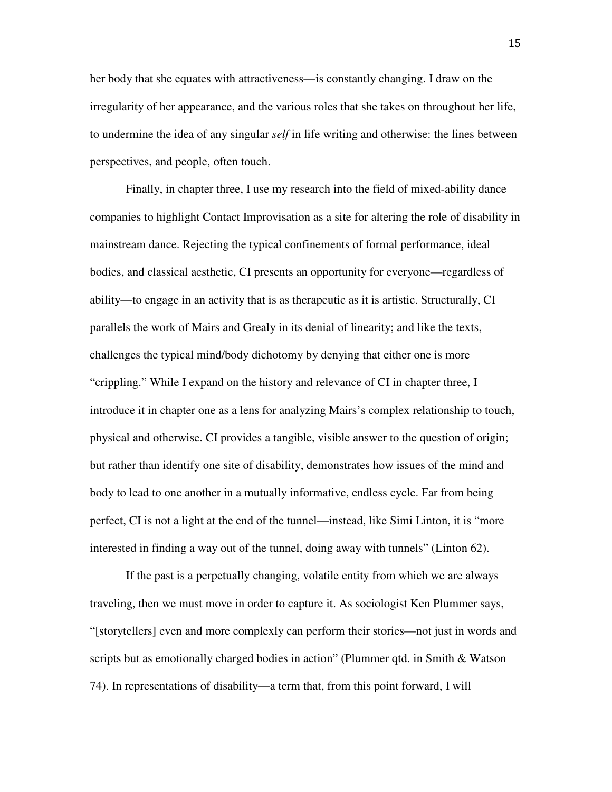her body that she equates with attractiveness—is constantly changing. I draw on the irregularity of her appearance, and the various roles that she takes on throughout her life, to undermine the idea of any singular *self* in life writing and otherwise: the lines between perspectives, and people, often touch.

Finally, in chapter three, I use my research into the field of mixed-ability dance companies to highlight Contact Improvisation as a site for altering the role of disability in mainstream dance. Rejecting the typical confinements of formal performance, ideal bodies, and classical aesthetic, CI presents an opportunity for everyone—regardless of ability—to engage in an activity that is as therapeutic as it is artistic. Structurally, CI parallels the work of Mairs and Grealy in its denial of linearity; and like the texts, challenges the typical mind/body dichotomy by denying that either one is more "crippling." While I expand on the history and relevance of CI in chapter three, I introduce it in chapter one as a lens for analyzing Mairs's complex relationship to touch, physical and otherwise. CI provides a tangible, visible answer to the question of origin; but rather than identify one site of disability, demonstrates how issues of the mind and body to lead to one another in a mutually informative, endless cycle. Far from being perfect, CI is not a light at the end of the tunnel—instead, like Simi Linton, it is "more interested in finding a way out of the tunnel, doing away with tunnels" (Linton 62).

If the past is a perpetually changing, volatile entity from which we are always traveling, then we must move in order to capture it. As sociologist Ken Plummer says, "[storytellers] even and more complexly can perform their stories—not just in words and scripts but as emotionally charged bodies in action" (Plummer qtd. in Smith & Watson 74). In representations of disability—a term that, from this point forward, I will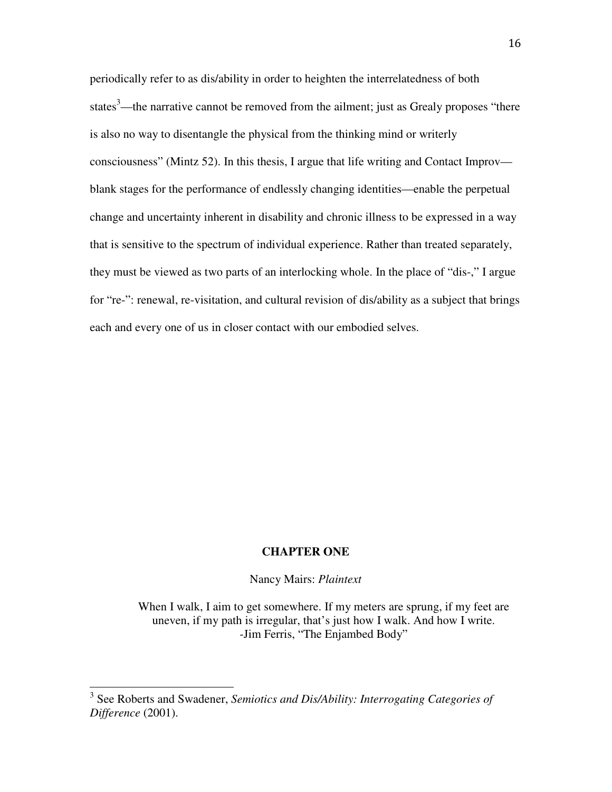periodically refer to as dis/ability in order to heighten the interrelatedness of both states<sup>3</sup>—the narrative cannot be removed from the ailment; just as Grealy proposes "there is also no way to disentangle the physical from the thinking mind or writerly consciousness" (Mintz 52). In this thesis, I argue that life writing and Contact Improv blank stages for the performance of endlessly changing identities—enable the perpetual change and uncertainty inherent in disability and chronic illness to be expressed in a way that is sensitive to the spectrum of individual experience. Rather than treated separately, they must be viewed as two parts of an interlocking whole. In the place of "dis-," I argue for "re-": renewal, re-visitation, and cultural revision of dis/ability as a subject that brings each and every one of us in closer contact with our embodied selves.

### **CHAPTER ONE**

Nancy Mairs: *Plaintext* 

When I walk, I aim to get somewhere. If my meters are sprung, if my feet are uneven, if my path is irregular, that's just how I walk. And how I write. -Jim Ferris, "The Enjambed Body"

 $\overline{a}$ 

<sup>3</sup> See Roberts and Swadener, *Semiotics and Dis/Ability: Interrogating Categories of Difference* (2001).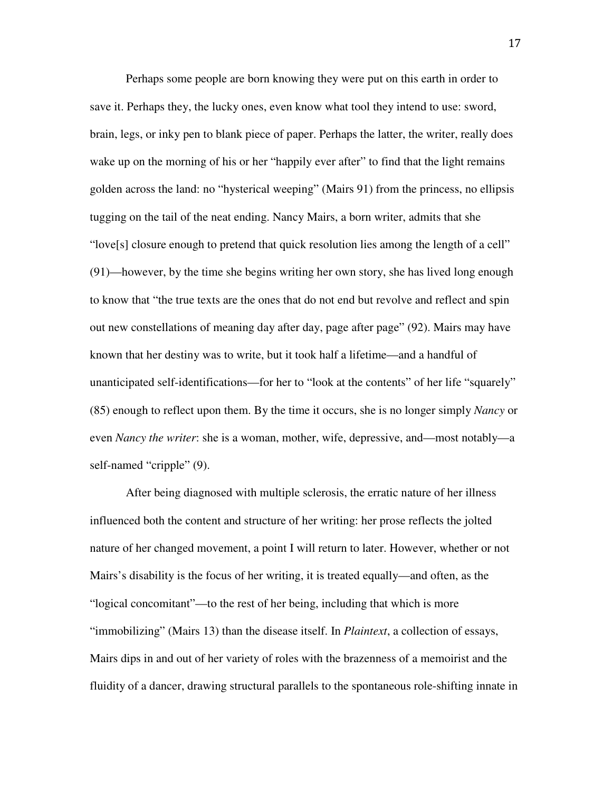Perhaps some people are born knowing they were put on this earth in order to save it. Perhaps they, the lucky ones, even know what tool they intend to use: sword, brain, legs, or inky pen to blank piece of paper. Perhaps the latter, the writer, really does wake up on the morning of his or her "happily ever after" to find that the light remains golden across the land: no "hysterical weeping" (Mairs 91) from the princess, no ellipsis tugging on the tail of the neat ending. Nancy Mairs, a born writer, admits that she "love[s] closure enough to pretend that quick resolution lies among the length of a cell" (91)—however, by the time she begins writing her own story, she has lived long enough to know that "the true texts are the ones that do not end but revolve and reflect and spin out new constellations of meaning day after day, page after page" (92). Mairs may have known that her destiny was to write, but it took half a lifetime—and a handful of unanticipated self-identifications—for her to "look at the contents" of her life "squarely" (85) enough to reflect upon them. By the time it occurs, she is no longer simply *Nancy* or even *Nancy the writer*: she is a woman, mother, wife, depressive, and—most notably—a self-named "cripple" (9).

After being diagnosed with multiple sclerosis, the erratic nature of her illness influenced both the content and structure of her writing: her prose reflects the jolted nature of her changed movement, a point I will return to later. However, whether or not Mairs's disability is the focus of her writing, it is treated equally—and often, as the "logical concomitant"—to the rest of her being, including that which is more "immobilizing" (Mairs 13) than the disease itself. In *Plaintext*, a collection of essays, Mairs dips in and out of her variety of roles with the brazenness of a memoirist and the fluidity of a dancer, drawing structural parallels to the spontaneous role-shifting innate in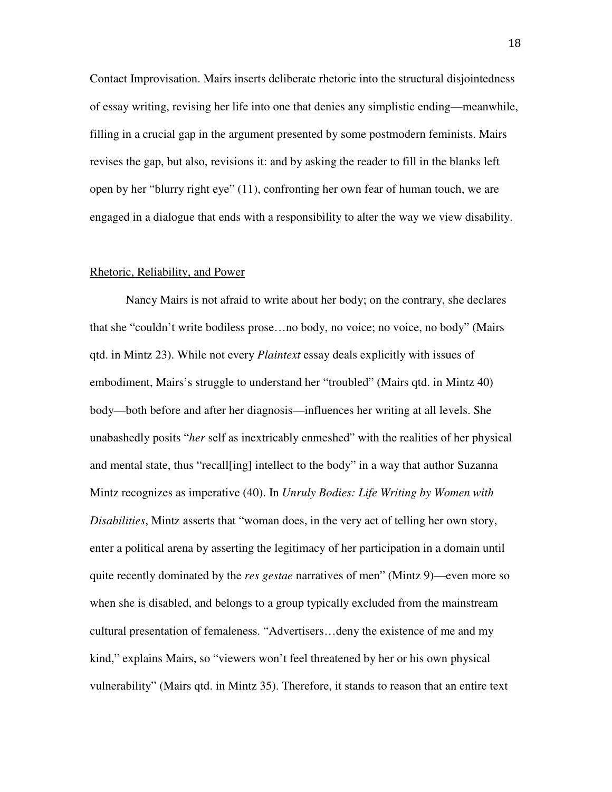Contact Improvisation. Mairs inserts deliberate rhetoric into the structural disjointedness of essay writing, revising her life into one that denies any simplistic ending—meanwhile, filling in a crucial gap in the argument presented by some postmodern feminists. Mairs revises the gap, but also, revisions it: and by asking the reader to fill in the blanks left open by her "blurry right eye" (11), confronting her own fear of human touch, we are engaged in a dialogue that ends with a responsibility to alter the way we view disability.

#### Rhetoric, Reliability, and Power

 Nancy Mairs is not afraid to write about her body; on the contrary, she declares that she "couldn't write bodiless prose…no body, no voice; no voice, no body" (Mairs qtd. in Mintz 23). While not every *Plaintext* essay deals explicitly with issues of embodiment, Mairs's struggle to understand her "troubled" (Mairs qtd. in Mintz 40) body—both before and after her diagnosis—influences her writing at all levels. She unabashedly posits "*her* self as inextricably enmeshed" with the realities of her physical and mental state, thus "recall[ing] intellect to the body" in a way that author Suzanna Mintz recognizes as imperative (40). In *Unruly Bodies: Life Writing by Women with Disabilities*, Mintz asserts that "woman does, in the very act of telling her own story, enter a political arena by asserting the legitimacy of her participation in a domain until quite recently dominated by the *res gestae* narratives of men" (Mintz 9)—even more so when she is disabled, and belongs to a group typically excluded from the mainstream cultural presentation of femaleness. "Advertisers…deny the existence of me and my kind," explains Mairs, so "viewers won't feel threatened by her or his own physical vulnerability" (Mairs qtd. in Mintz 35). Therefore, it stands to reason that an entire text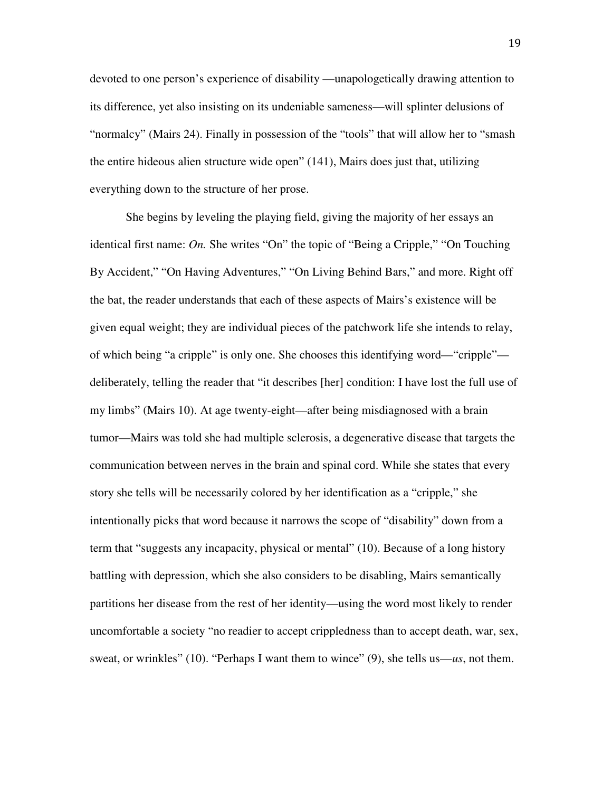devoted to one person's experience of disability —unapologetically drawing attention to its difference, yet also insisting on its undeniable sameness—will splinter delusions of "normalcy" (Mairs 24). Finally in possession of the "tools" that will allow her to "smash the entire hideous alien structure wide open" (141), Mairs does just that, utilizing everything down to the structure of her prose.

 She begins by leveling the playing field, giving the majority of her essays an identical first name: *On.* She writes "On" the topic of "Being a Cripple," "On Touching By Accident," "On Having Adventures," "On Living Behind Bars," and more. Right off the bat, the reader understands that each of these aspects of Mairs's existence will be given equal weight; they are individual pieces of the patchwork life she intends to relay, of which being "a cripple" is only one. She chooses this identifying word—"cripple" deliberately, telling the reader that "it describes [her] condition: I have lost the full use of my limbs" (Mairs 10). At age twenty-eight—after being misdiagnosed with a brain tumor—Mairs was told she had multiple sclerosis, a degenerative disease that targets the communication between nerves in the brain and spinal cord. While she states that every story she tells will be necessarily colored by her identification as a "cripple," she intentionally picks that word because it narrows the scope of "disability" down from a term that "suggests any incapacity, physical or mental" (10). Because of a long history battling with depression, which she also considers to be disabling, Mairs semantically partitions her disease from the rest of her identity—using the word most likely to render uncomfortable a society "no readier to accept crippledness than to accept death, war, sex, sweat, or wrinkles" (10). "Perhaps I want them to wince" (9), she tells us—*us*, not them.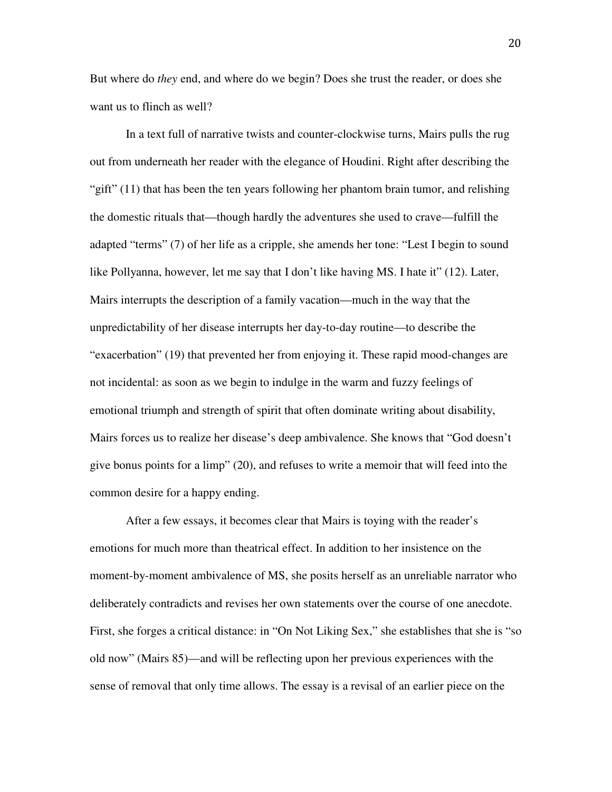But where do *they* end, and where do we begin? Does she trust the reader, or does she want us to flinch as well?

 In a text full of narrative twists and counter-clockwise turns, Mairs pulls the rug out from underneath her reader with the elegance of Houdini. Right after describing the "gift" (11) that has been the ten years following her phantom brain tumor, and relishing the domestic rituals that—though hardly the adventures she used to crave—fulfill the adapted "terms" (7) of her life as a cripple, she amends her tone: "Lest I begin to sound like Pollyanna, however, let me say that I don't like having MS. I hate it" (12). Later, Mairs interrupts the description of a family vacation—much in the way that the unpredictability of her disease interrupts her day-to-day routine—to describe the "exacerbation" (19) that prevented her from enjoying it. These rapid mood-changes are not incidental: as soon as we begin to indulge in the warm and fuzzy feelings of emotional triumph and strength of spirit that often dominate writing about disability, Mairs forces us to realize her disease's deep ambivalence. She knows that "God doesn't give bonus points for a limp" (20), and refuses to write a memoir that will feed into the common desire for a happy ending.

 After a few essays, it becomes clear that Mairs is toying with the reader's emotions for much more than theatrical effect. In addition to her insistence on the moment-by-moment ambivalence of MS, she posits herself as an unreliable narrator who deliberately contradicts and revises her own statements over the course of one anecdote. First, she forges a critical distance: in "On Not Liking Sex," she establishes that she is "so old now" (Mairs 85)—and will be reflecting upon her previous experiences with the sense of removal that only time allows. The essay is a revisal of an earlier piece on the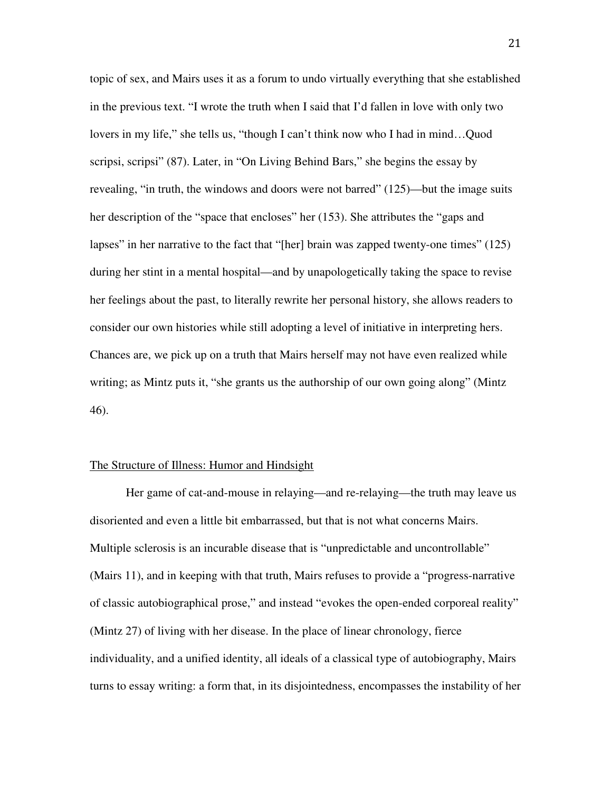topic of sex, and Mairs uses it as a forum to undo virtually everything that she established in the previous text. "I wrote the truth when I said that I'd fallen in love with only two lovers in my life," she tells us, "though I can't think now who I had in mind…Quod scripsi, scripsi" (87). Later, in "On Living Behind Bars," she begins the essay by revealing, "in truth, the windows and doors were not barred" (125)—but the image suits her description of the "space that encloses" her (153). She attributes the "gaps and lapses" in her narrative to the fact that "[her] brain was zapped twenty-one times" (125) during her stint in a mental hospital—and by unapologetically taking the space to revise her feelings about the past, to literally rewrite her personal history, she allows readers to consider our own histories while still adopting a level of initiative in interpreting hers. Chances are, we pick up on a truth that Mairs herself may not have even realized while writing; as Mintz puts it, "she grants us the authorship of our own going along" (Mintz 46).

#### The Structure of Illness: Humor and Hindsight

Her game of cat-and-mouse in relaying—and re-relaying—the truth may leave us disoriented and even a little bit embarrassed, but that is not what concerns Mairs. Multiple sclerosis is an incurable disease that is "unpredictable and uncontrollable" (Mairs 11), and in keeping with that truth, Mairs refuses to provide a "progress-narrative of classic autobiographical prose," and instead "evokes the open-ended corporeal reality" (Mintz 27) of living with her disease. In the place of linear chronology, fierce individuality, and a unified identity, all ideals of a classical type of autobiography, Mairs turns to essay writing: a form that, in its disjointedness, encompasses the instability of her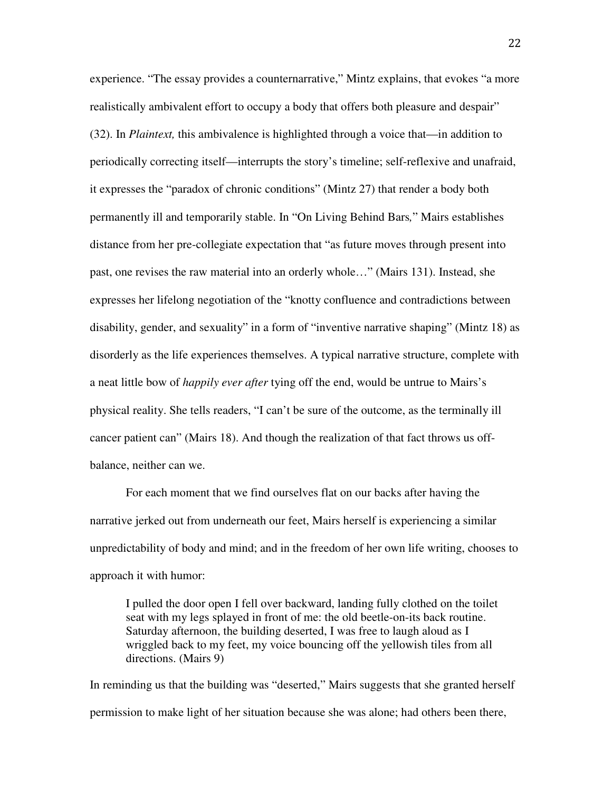experience. "The essay provides a counternarrative," Mintz explains, that evokes "a more realistically ambivalent effort to occupy a body that offers both pleasure and despair" (32). In *Plaintext,* this ambivalence is highlighted through a voice that—in addition to periodically correcting itself—interrupts the story's timeline; self-reflexive and unafraid, it expresses the "paradox of chronic conditions" (Mintz 27) that render a body both permanently ill and temporarily stable. In "On Living Behind Bars*,*" Mairs establishes distance from her pre-collegiate expectation that "as future moves through present into past, one revises the raw material into an orderly whole…" (Mairs 131). Instead, she expresses her lifelong negotiation of the "knotty confluence and contradictions between disability, gender, and sexuality" in a form of "inventive narrative shaping" (Mintz 18) as disorderly as the life experiences themselves. A typical narrative structure, complete with a neat little bow of *happily ever after* tying off the end, would be untrue to Mairs's physical reality. She tells readers, "I can't be sure of the outcome, as the terminally ill cancer patient can" (Mairs 18). And though the realization of that fact throws us offbalance, neither can we.

For each moment that we find ourselves flat on our backs after having the narrative jerked out from underneath our feet, Mairs herself is experiencing a similar unpredictability of body and mind; and in the freedom of her own life writing, chooses to approach it with humor:

I pulled the door open I fell over backward, landing fully clothed on the toilet seat with my legs splayed in front of me: the old beetle-on-its back routine. Saturday afternoon, the building deserted, I was free to laugh aloud as I wriggled back to my feet, my voice bouncing off the yellowish tiles from all directions. (Mairs 9)

In reminding us that the building was "deserted," Mairs suggests that she granted herself permission to make light of her situation because she was alone; had others been there,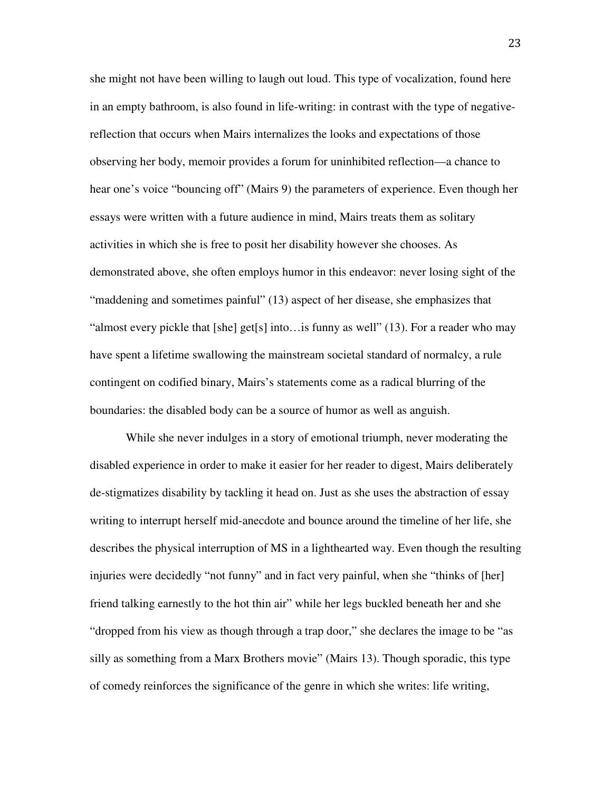she might not have been willing to laugh out loud. This type of vocalization, found here in an empty bathroom, is also found in life-writing: in contrast with the type of negativereflection that occurs when Mairs internalizes the looks and expectations of those observing her body, memoir provides a forum for uninhibited reflection—a chance to hear one's voice "bouncing off" (Mairs 9) the parameters of experience. Even though her essays were written with a future audience in mind, Mairs treats them as solitary activities in which she is free to posit her disability however she chooses. As demonstrated above, she often employs humor in this endeavor: never losing sight of the "maddening and sometimes painful" (13) aspect of her disease, she emphasizes that "almost every pickle that  $[she]$  get $[s]$  into... is funny as well" (13). For a reader who may have spent a lifetime swallowing the mainstream societal standard of normalcy, a rule contingent on codified binary, Mairs's statements come as a radical blurring of the boundaries: the disabled body can be a source of humor as well as anguish.

 While she never indulges in a story of emotional triumph, never moderating the disabled experience in order to make it easier for her reader to digest, Mairs deliberately de-stigmatizes disability by tackling it head on. Just as she uses the abstraction of essay writing to interrupt herself mid-anecdote and bounce around the timeline of her life, she describes the physical interruption of MS in a lighthearted way. Even though the resulting injuries were decidedly "not funny" and in fact very painful, when she "thinks of [her] friend talking earnestly to the hot thin air" while her legs buckled beneath her and she "dropped from his view as though through a trap door," she declares the image to be "as silly as something from a Marx Brothers movie" (Mairs 13). Though sporadic, this type of comedy reinforces the significance of the genre in which she writes: life writing,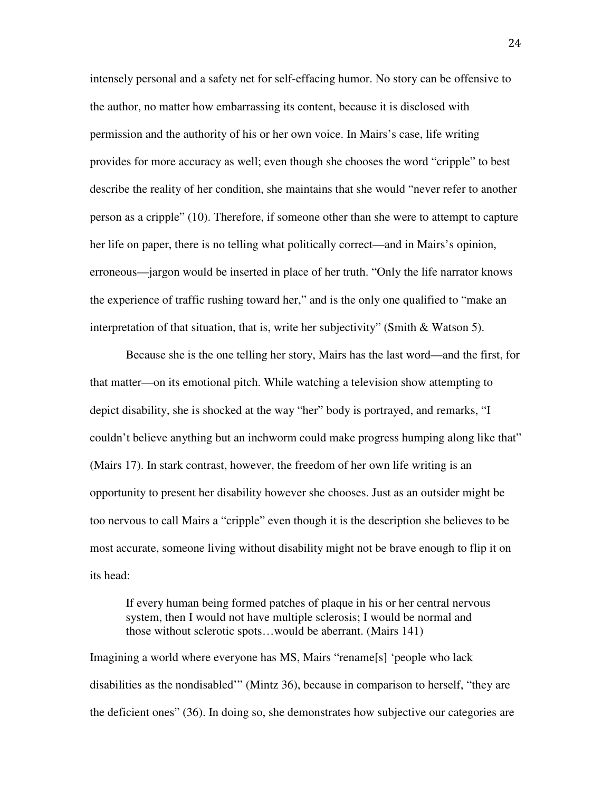intensely personal and a safety net for self-effacing humor. No story can be offensive to the author, no matter how embarrassing its content, because it is disclosed with permission and the authority of his or her own voice. In Mairs's case, life writing provides for more accuracy as well; even though she chooses the word "cripple" to best describe the reality of her condition, she maintains that she would "never refer to another person as a cripple" (10). Therefore, if someone other than she were to attempt to capture her life on paper, there is no telling what politically correct—and in Mairs's opinion, erroneous—jargon would be inserted in place of her truth. "Only the life narrator knows the experience of traffic rushing toward her," and is the only one qualified to "make an interpretation of that situation, that is, write her subjectivity" (Smith & Watson 5).

 Because she is the one telling her story, Mairs has the last word—and the first, for that matter—on its emotional pitch. While watching a television show attempting to depict disability, she is shocked at the way "her" body is portrayed, and remarks, "I couldn't believe anything but an inchworm could make progress humping along like that" (Mairs 17). In stark contrast, however, the freedom of her own life writing is an opportunity to present her disability however she chooses. Just as an outsider might be too nervous to call Mairs a "cripple" even though it is the description she believes to be most accurate, someone living without disability might not be brave enough to flip it on its head:

If every human being formed patches of plaque in his or her central nervous system, then I would not have multiple sclerosis; I would be normal and those without sclerotic spots…would be aberrant. (Mairs 141)

Imagining a world where everyone has MS, Mairs "rename[s] 'people who lack disabilities as the nondisabled'" (Mintz 36), because in comparison to herself, "they are the deficient ones" (36). In doing so, she demonstrates how subjective our categories are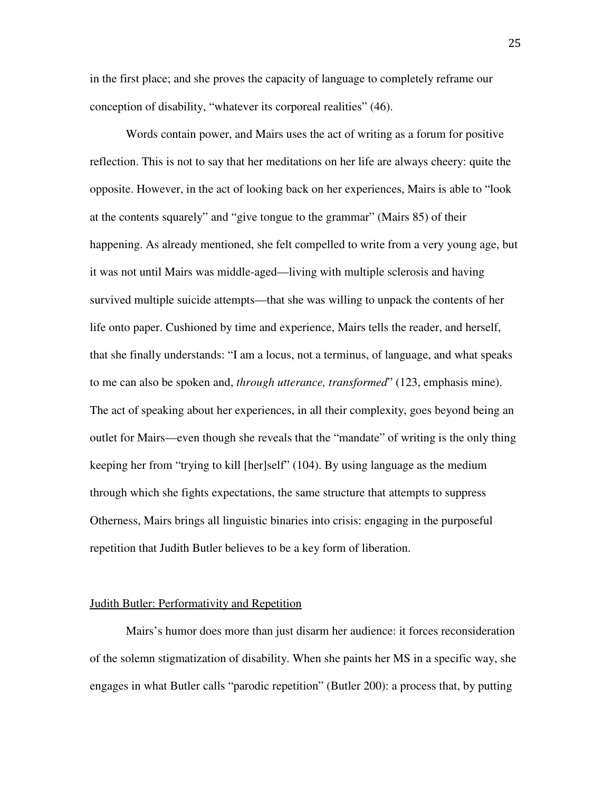in the first place; and she proves the capacity of language to completely reframe our conception of disability, "whatever its corporeal realities" (46).

 Words contain power, and Mairs uses the act of writing as a forum for positive reflection. This is not to say that her meditations on her life are always cheery: quite the opposite. However, in the act of looking back on her experiences, Mairs is able to "look at the contents squarely" and "give tongue to the grammar" (Mairs 85) of their happening. As already mentioned, she felt compelled to write from a very young age, but it was not until Mairs was middle-aged—living with multiple sclerosis and having survived multiple suicide attempts—that she was willing to unpack the contents of her life onto paper. Cushioned by time and experience, Mairs tells the reader, and herself, that she finally understands: "I am a locus, not a terminus, of language, and what speaks to me can also be spoken and, *through utterance, transformed*" (123, emphasis mine). The act of speaking about her experiences, in all their complexity, goes beyond being an outlet for Mairs—even though she reveals that the "mandate" of writing is the only thing keeping her from "trying to kill [her]self" (104). By using language as the medium through which she fights expectations, the same structure that attempts to suppress Otherness, Mairs brings all linguistic binaries into crisis: engaging in the purposeful repetition that Judith Butler believes to be a key form of liberation.

#### Judith Butler: Performativity and Repetition

 Mairs's humor does more than just disarm her audience: it forces reconsideration of the solemn stigmatization of disability. When she paints her MS in a specific way, she engages in what Butler calls "parodic repetition" (Butler 200): a process that, by putting

25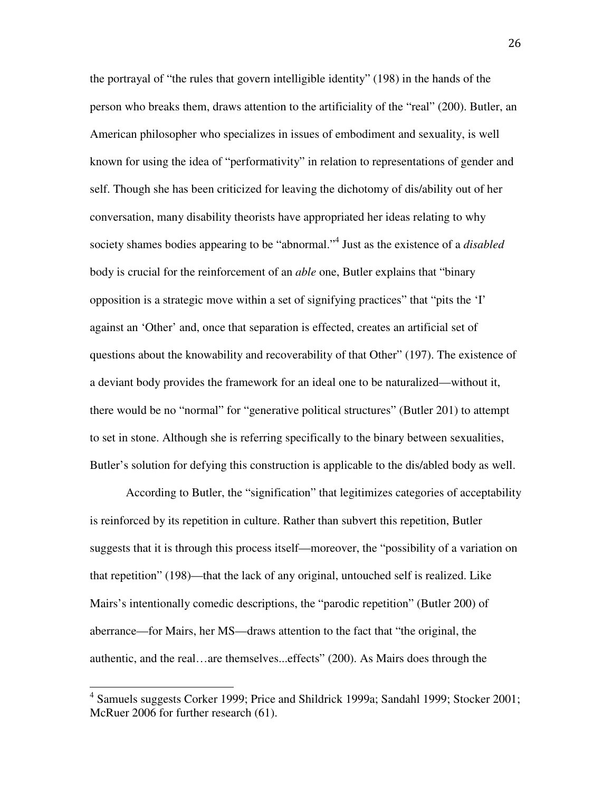the portrayal of "the rules that govern intelligible identity" (198) in the hands of the person who breaks them, draws attention to the artificiality of the "real" (200). Butler, an American philosopher who specializes in issues of embodiment and sexuality, is well known for using the idea of "performativity" in relation to representations of gender and self. Though she has been criticized for leaving the dichotomy of dis/ability out of her conversation, many disability theorists have appropriated her ideas relating to why society shames bodies appearing to be "abnormal."<sup>4</sup> Just as the existence of a *disabled*  body is crucial for the reinforcement of an *able* one, Butler explains that "binary opposition is a strategic move within a set of signifying practices" that "pits the 'I' against an 'Other' and, once that separation is effected, creates an artificial set of questions about the knowability and recoverability of that Other" (197). The existence of a deviant body provides the framework for an ideal one to be naturalized—without it, there would be no "normal" for "generative political structures" (Butler 201) to attempt to set in stone. Although she is referring specifically to the binary between sexualities, Butler's solution for defying this construction is applicable to the dis/abled body as well.

According to Butler, the "signification" that legitimizes categories of acceptability is reinforced by its repetition in culture. Rather than subvert this repetition, Butler suggests that it is through this process itself—moreover, the "possibility of a variation on that repetition" (198)—that the lack of any original, untouched self is realized. Like Mairs's intentionally comedic descriptions, the "parodic repetition" (Butler 200) of aberrance—for Mairs, her MS—draws attention to the fact that "the original, the authentic, and the real…are themselves...effects" (200). As Mairs does through the

 $\overline{a}$ 

<sup>&</sup>lt;sup>4</sup> Samuels suggests Corker 1999; Price and Shildrick 1999a; Sandahl 1999; Stocker 2001; McRuer 2006 for further research (61).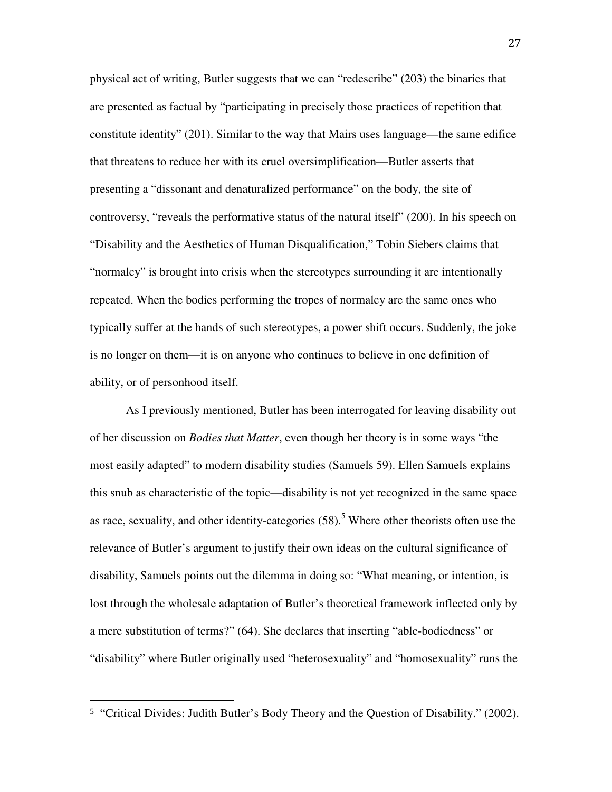physical act of writing, Butler suggests that we can "redescribe" (203) the binaries that are presented as factual by "participating in precisely those practices of repetition that constitute identity" (201). Similar to the way that Mairs uses language—the same edifice that threatens to reduce her with its cruel oversimplification—Butler asserts that presenting a "dissonant and denaturalized performance" on the body, the site of controversy, "reveals the performative status of the natural itself" (200). In his speech on "Disability and the Aesthetics of Human Disqualification," Tobin Siebers claims that "normalcy" is brought into crisis when the stereotypes surrounding it are intentionally repeated. When the bodies performing the tropes of normalcy are the same ones who typically suffer at the hands of such stereotypes, a power shift occurs. Suddenly, the joke is no longer on them—it is on anyone who continues to believe in one definition of ability, or of personhood itself.

As I previously mentioned, Butler has been interrogated for leaving disability out of her discussion on *Bodies that Matter*, even though her theory is in some ways "the most easily adapted" to modern disability studies (Samuels 59). Ellen Samuels explains this snub as characteristic of the topic—disability is not yet recognized in the same space as race, sexuality, and other identity-categories  $(58)$ .<sup>5</sup> Where other theorists often use the relevance of Butler's argument to justify their own ideas on the cultural significance of disability, Samuels points out the dilemma in doing so: "What meaning, or intention, is lost through the wholesale adaptation of Butler's theoretical framework inflected only by a mere substitution of terms?" (64). She declares that inserting "able-bodiedness" or "disability" where Butler originally used "heterosexuality" and "homosexuality" runs the

 $\overline{a}$ 

<sup>5</sup> "Critical Divides: Judith Butler's Body Theory and the Question of Disability." (2002).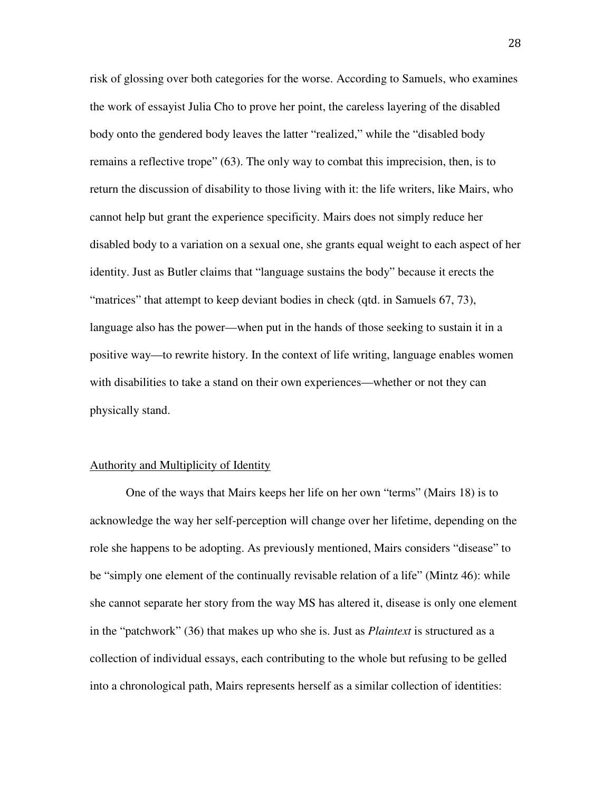risk of glossing over both categories for the worse. According to Samuels, who examines the work of essayist Julia Cho to prove her point, the careless layering of the disabled body onto the gendered body leaves the latter "realized," while the "disabled body remains a reflective trope" (63). The only way to combat this imprecision, then, is to return the discussion of disability to those living with it: the life writers, like Mairs, who cannot help but grant the experience specificity. Mairs does not simply reduce her disabled body to a variation on a sexual one, she grants equal weight to each aspect of her identity. Just as Butler claims that "language sustains the body" because it erects the "matrices" that attempt to keep deviant bodies in check (qtd. in Samuels 67, 73), language also has the power—when put in the hands of those seeking to sustain it in a positive way—to rewrite history. In the context of life writing, language enables women with disabilities to take a stand on their own experiences—whether or not they can physically stand.

#### Authority and Multiplicity of Identity

One of the ways that Mairs keeps her life on her own "terms" (Mairs 18) is to acknowledge the way her self-perception will change over her lifetime, depending on the role she happens to be adopting. As previously mentioned, Mairs considers "disease" to be "simply one element of the continually revisable relation of a life" (Mintz 46): while she cannot separate her story from the way MS has altered it, disease is only one element in the "patchwork" (36) that makes up who she is. Just as *Plaintext* is structured as a collection of individual essays, each contributing to the whole but refusing to be gelled into a chronological path, Mairs represents herself as a similar collection of identities: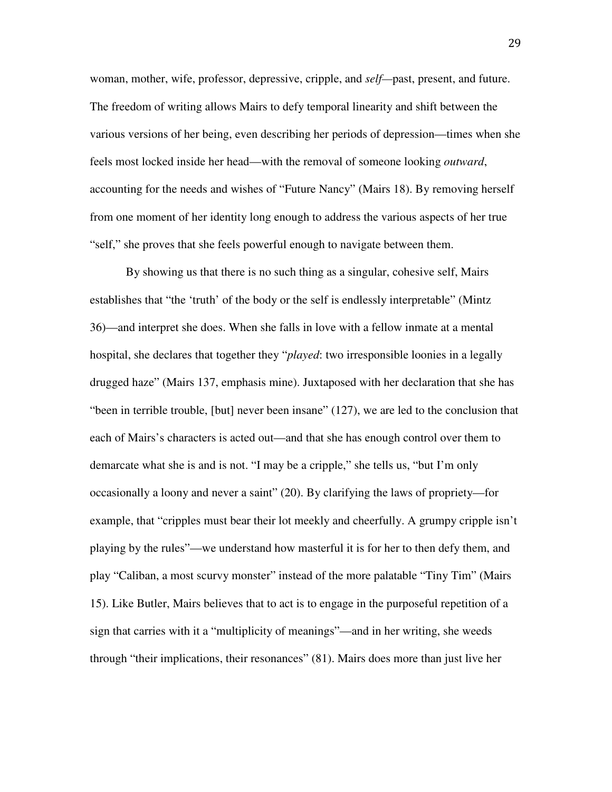woman, mother, wife, professor, depressive, cripple, and *self—*past, present, and future. The freedom of writing allows Mairs to defy temporal linearity and shift between the various versions of her being, even describing her periods of depression—times when she feels most locked inside her head—with the removal of someone looking *outward*, accounting for the needs and wishes of "Future Nancy" (Mairs 18). By removing herself from one moment of her identity long enough to address the various aspects of her true "self," she proves that she feels powerful enough to navigate between them.

By showing us that there is no such thing as a singular, cohesive self, Mairs establishes that "the 'truth' of the body or the self is endlessly interpretable" (Mintz 36)—and interpret she does. When she falls in love with a fellow inmate at a mental hospital, she declares that together they "*played*: two irresponsible loonies in a legally drugged haze" (Mairs 137, emphasis mine). Juxtaposed with her declaration that she has "been in terrible trouble, [but] never been insane" (127), we are led to the conclusion that each of Mairs's characters is acted out—and that she has enough control over them to demarcate what she is and is not. "I may be a cripple," she tells us, "but I'm only occasionally a loony and never a saint" (20). By clarifying the laws of propriety—for example, that "cripples must bear their lot meekly and cheerfully. A grumpy cripple isn't playing by the rules"—we understand how masterful it is for her to then defy them, and play "Caliban, a most scurvy monster" instead of the more palatable "Tiny Tim" (Mairs 15). Like Butler, Mairs believes that to act is to engage in the purposeful repetition of a sign that carries with it a "multiplicity of meanings"—and in her writing, she weeds through "their implications, their resonances" (81). Mairs does more than just live her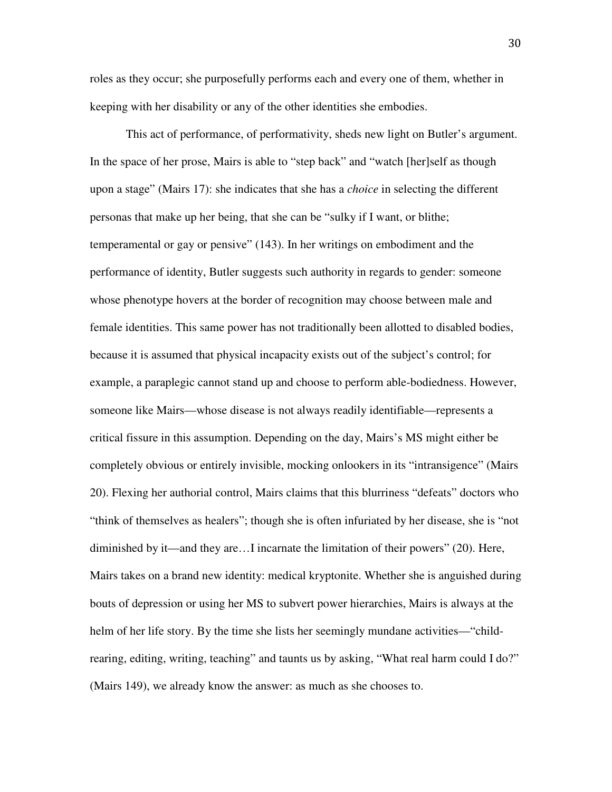roles as they occur; she purposefully performs each and every one of them, whether in keeping with her disability or any of the other identities she embodies.

This act of performance, of performativity, sheds new light on Butler's argument. In the space of her prose, Mairs is able to "step back" and "watch [her]self as though upon a stage" (Mairs 17): she indicates that she has a *choice* in selecting the different personas that make up her being, that she can be "sulky if I want, or blithe; temperamental or gay or pensive" (143). In her writings on embodiment and the performance of identity, Butler suggests such authority in regards to gender: someone whose phenotype hovers at the border of recognition may choose between male and female identities. This same power has not traditionally been allotted to disabled bodies, because it is assumed that physical incapacity exists out of the subject's control; for example, a paraplegic cannot stand up and choose to perform able-bodiedness. However, someone like Mairs—whose disease is not always readily identifiable—represents a critical fissure in this assumption. Depending on the day, Mairs's MS might either be completely obvious or entirely invisible, mocking onlookers in its "intransigence" (Mairs 20). Flexing her authorial control, Mairs claims that this blurriness "defeats" doctors who "think of themselves as healers"; though she is often infuriated by her disease, she is "not diminished by it—and they are…I incarnate the limitation of their powers" (20). Here, Mairs takes on a brand new identity: medical kryptonite. Whether she is anguished during bouts of depression or using her MS to subvert power hierarchies, Mairs is always at the helm of her life story. By the time she lists her seemingly mundane activities—"childrearing, editing, writing, teaching" and taunts us by asking, "What real harm could I do?" (Mairs 149), we already know the answer: as much as she chooses to.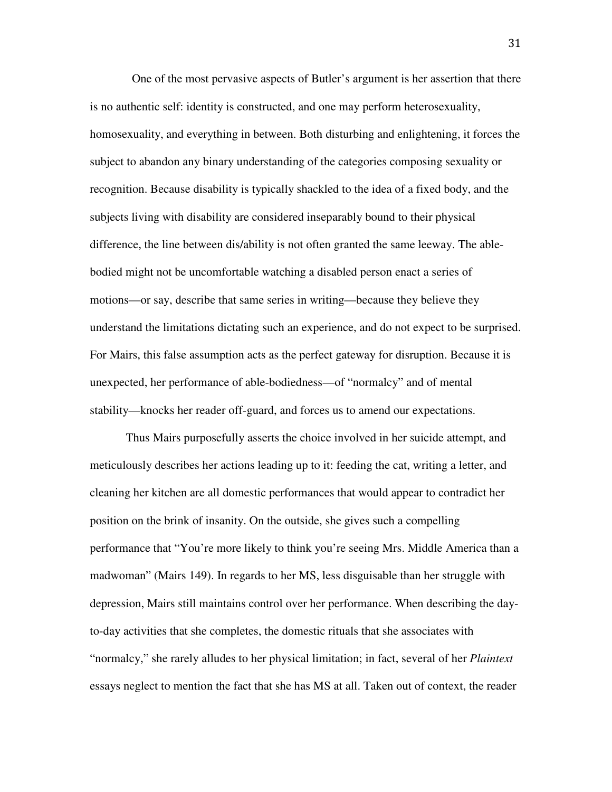One of the most pervasive aspects of Butler's argument is her assertion that there is no authentic self: identity is constructed, and one may perform heterosexuality, homosexuality, and everything in between. Both disturbing and enlightening, it forces the subject to abandon any binary understanding of the categories composing sexuality or recognition. Because disability is typically shackled to the idea of a fixed body, and the subjects living with disability are considered inseparably bound to their physical difference, the line between dis/ability is not often granted the same leeway. The ablebodied might not be uncomfortable watching a disabled person enact a series of motions—or say, describe that same series in writing—because they believe they understand the limitations dictating such an experience, and do not expect to be surprised. For Mairs, this false assumption acts as the perfect gateway for disruption. Because it is unexpected, her performance of able-bodiedness—of "normalcy" and of mental stability—knocks her reader off-guard, and forces us to amend our expectations.

Thus Mairs purposefully asserts the choice involved in her suicide attempt, and meticulously describes her actions leading up to it: feeding the cat, writing a letter, and cleaning her kitchen are all domestic performances that would appear to contradict her position on the brink of insanity. On the outside, she gives such a compelling performance that "You're more likely to think you're seeing Mrs. Middle America than a madwoman" (Mairs 149). In regards to her MS, less disguisable than her struggle with depression, Mairs still maintains control over her performance. When describing the dayto-day activities that she completes, the domestic rituals that she associates with "normalcy," she rarely alludes to her physical limitation; in fact, several of her *Plaintext* essays neglect to mention the fact that she has MS at all. Taken out of context, the reader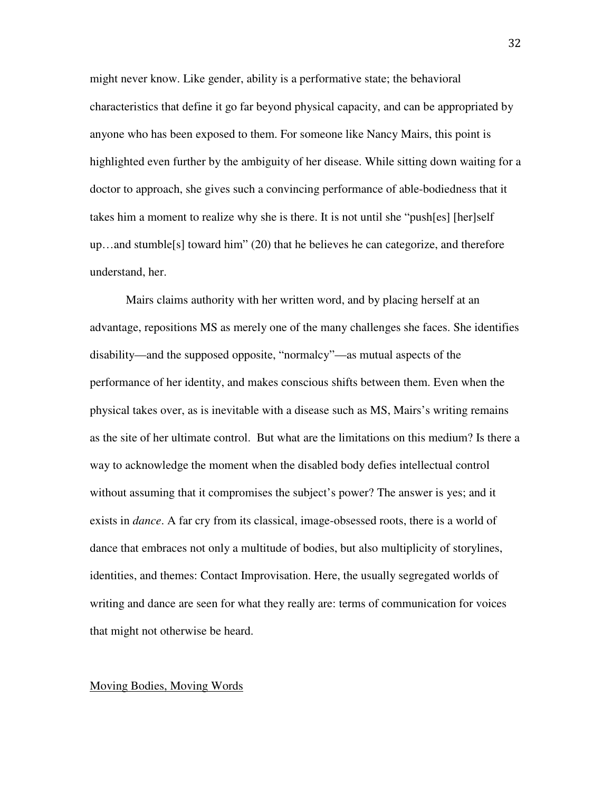might never know. Like gender, ability is a performative state; the behavioral characteristics that define it go far beyond physical capacity, and can be appropriated by anyone who has been exposed to them. For someone like Nancy Mairs, this point is highlighted even further by the ambiguity of her disease. While sitting down waiting for a doctor to approach, she gives such a convincing performance of able-bodiedness that it takes him a moment to realize why she is there. It is not until she "push[es] [her]self up…and stumble[s] toward him" (20) that he believes he can categorize, and therefore understand, her.

Mairs claims authority with her written word, and by placing herself at an advantage, repositions MS as merely one of the many challenges she faces. She identifies disability—and the supposed opposite, "normalcy"—as mutual aspects of the performance of her identity, and makes conscious shifts between them. Even when the physical takes over, as is inevitable with a disease such as MS, Mairs's writing remains as the site of her ultimate control. But what are the limitations on this medium? Is there a way to acknowledge the moment when the disabled body defies intellectual control without assuming that it compromises the subject's power? The answer is yes; and it exists in *dance*. A far cry from its classical, image-obsessed roots, there is a world of dance that embraces not only a multitude of bodies, but also multiplicity of storylines, identities, and themes: Contact Improvisation. Here, the usually segregated worlds of writing and dance are seen for what they really are: terms of communication for voices that might not otherwise be heard.

#### Moving Bodies, Moving Words

32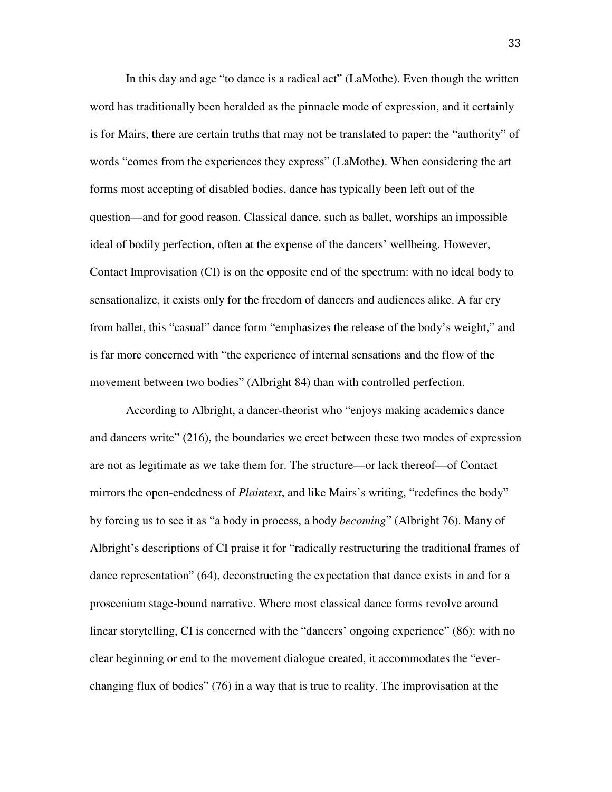In this day and age "to dance is a radical act" (LaMothe). Even though the written word has traditionally been heralded as the pinnacle mode of expression, and it certainly is for Mairs, there are certain truths that may not be translated to paper: the "authority" of words "comes from the experiences they express" (LaMothe). When considering the art forms most accepting of disabled bodies, dance has typically been left out of the question—and for good reason. Classical dance, such as ballet, worships an impossible ideal of bodily perfection, often at the expense of the dancers' wellbeing. However, Contact Improvisation (CI) is on the opposite end of the spectrum: with no ideal body to sensationalize, it exists only for the freedom of dancers and audiences alike. A far cry from ballet, this "casual" dance form "emphasizes the release of the body's weight," and is far more concerned with "the experience of internal sensations and the flow of the movement between two bodies" (Albright 84) than with controlled perfection.

According to Albright, a dancer-theorist who "enjoys making academics dance and dancers write" (216), the boundaries we erect between these two modes of expression are not as legitimate as we take them for. The structure—or lack thereof—of Contact mirrors the open-endedness of *Plaintext*, and like Mairs's writing, "redefines the body" by forcing us to see it as "a body in process, a body *becoming*" (Albright 76). Many of Albright's descriptions of CI praise it for "radically restructuring the traditional frames of dance representation" (64), deconstructing the expectation that dance exists in and for a proscenium stage-bound narrative. Where most classical dance forms revolve around linear storytelling, CI is concerned with the "dancers' ongoing experience" (86): with no clear beginning or end to the movement dialogue created, it accommodates the "everchanging flux of bodies" (76) in a way that is true to reality. The improvisation at the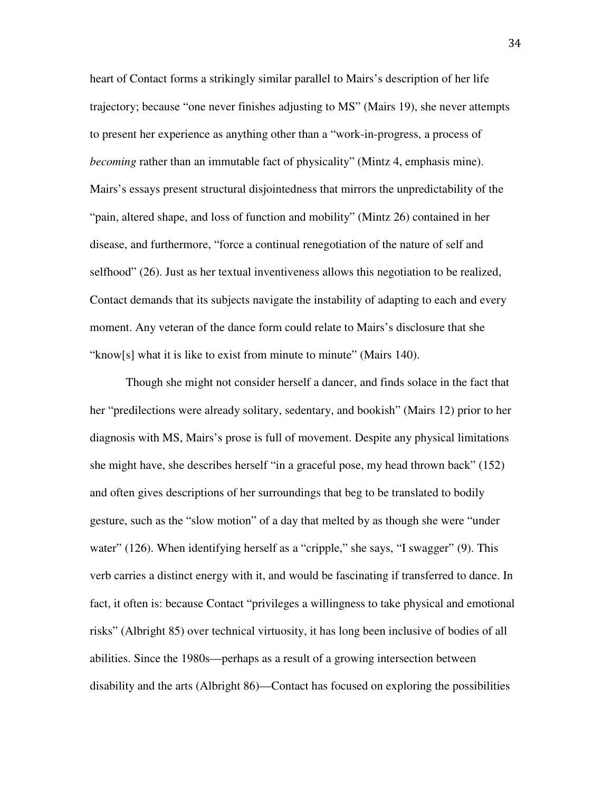heart of Contact forms a strikingly similar parallel to Mairs's description of her life trajectory; because "one never finishes adjusting to MS" (Mairs 19), she never attempts to present her experience as anything other than a "work-in-progress, a process of *becoming* rather than an immutable fact of physicality" (Mintz 4, emphasis mine). Mairs's essays present structural disjointedness that mirrors the unpredictability of the "pain, altered shape, and loss of function and mobility" (Mintz 26) contained in her disease, and furthermore, "force a continual renegotiation of the nature of self and selfhood" (26). Just as her textual inventiveness allows this negotiation to be realized, Contact demands that its subjects navigate the instability of adapting to each and every moment. Any veteran of the dance form could relate to Mairs's disclosure that she "know[s] what it is like to exist from minute to minute" (Mairs 140).

Though she might not consider herself a dancer, and finds solace in the fact that her "predilections were already solitary, sedentary, and bookish" (Mairs 12) prior to her diagnosis with MS, Mairs's prose is full of movement. Despite any physical limitations she might have, she describes herself "in a graceful pose, my head thrown back" (152) and often gives descriptions of her surroundings that beg to be translated to bodily gesture, such as the "slow motion" of a day that melted by as though she were "under water" (126). When identifying herself as a "cripple," she says, "I swagger" (9). This verb carries a distinct energy with it, and would be fascinating if transferred to dance. In fact, it often is: because Contact "privileges a willingness to take physical and emotional risks" (Albright 85) over technical virtuosity, it has long been inclusive of bodies of all abilities. Since the 1980s—perhaps as a result of a growing intersection between disability and the arts (Albright 86)—Contact has focused on exploring the possibilities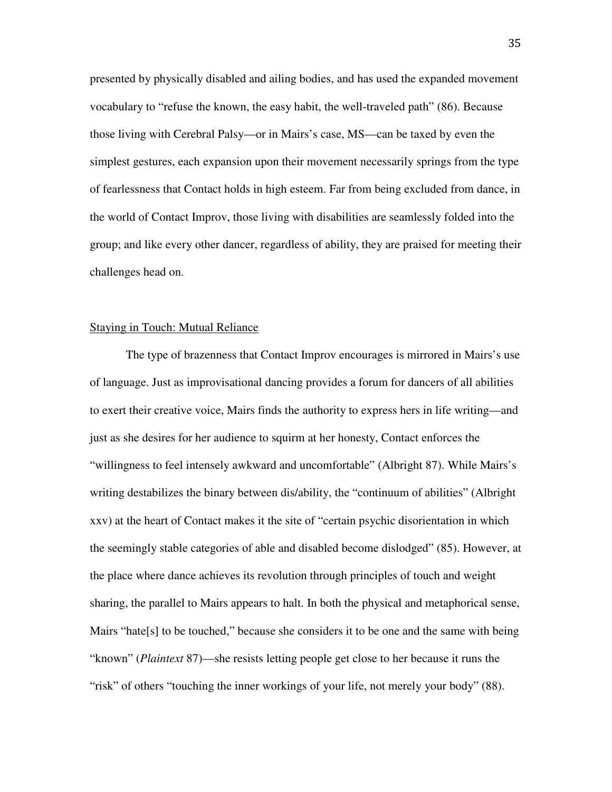presented by physically disabled and ailing bodies, and has used the expanded movement vocabulary to "refuse the known, the easy habit, the well-traveled path" (86). Because those living with Cerebral Palsy—or in Mairs's case, MS—can be taxed by even the simplest gestures, each expansion upon their movement necessarily springs from the type of fearlessness that Contact holds in high esteem. Far from being excluded from dance, in the world of Contact Improv, those living with disabilities are seamlessly folded into the group; and like every other dancer, regardless of ability, they are praised for meeting their challenges head on.

#### Staying in Touch: Mutual Reliance

The type of brazenness that Contact Improv encourages is mirrored in Mairs's use of language. Just as improvisational dancing provides a forum for dancers of all abilities to exert their creative voice, Mairs finds the authority to express hers in life writing—and just as she desires for her audience to squirm at her honesty, Contact enforces the "willingness to feel intensely awkward and uncomfortable" (Albright 87). While Mairs's writing destabilizes the binary between dis/ability, the "continuum of abilities" (Albright xxv) at the heart of Contact makes it the site of "certain psychic disorientation in which the seemingly stable categories of able and disabled become dislodged" (85). However, at the place where dance achieves its revolution through principles of touch and weight sharing, the parallel to Mairs appears to halt. In both the physical and metaphorical sense, Mairs "hate[s] to be touched," because she considers it to be one and the same with being "known" (*Plaintext* 87)—she resists letting people get close to her because it runs the "risk" of others "touching the inner workings of your life, not merely your body" (88).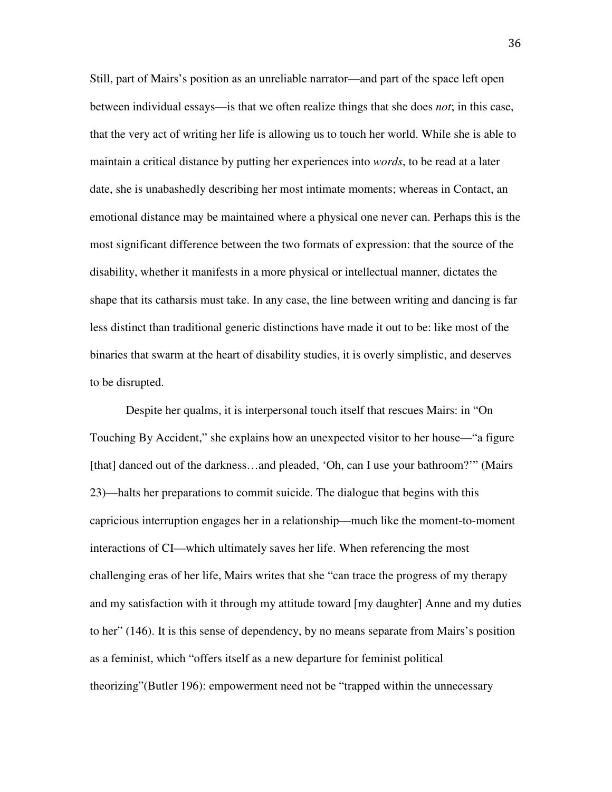Still, part of Mairs's position as an unreliable narrator—and part of the space left open between individual essays—is that we often realize things that she does *not*; in this case, that the very act of writing her life is allowing us to touch her world. While she is able to maintain a critical distance by putting her experiences into *words*, to be read at a later date, she is unabashedly describing her most intimate moments; whereas in Contact, an emotional distance may be maintained where a physical one never can. Perhaps this is the most significant difference between the two formats of expression: that the source of the disability, whether it manifests in a more physical or intellectual manner, dictates the shape that its catharsis must take. In any case, the line between writing and dancing is far less distinct than traditional generic distinctions have made it out to be: like most of the binaries that swarm at the heart of disability studies, it is overly simplistic, and deserves to be disrupted.

Despite her qualms, it is interpersonal touch itself that rescues Mairs: in "On Touching By Accident," she explains how an unexpected visitor to her house—"a figure [that] danced out of the darkness…and pleaded, 'Oh, can I use your bathroom?'" (Mairs 23)—halts her preparations to commit suicide. The dialogue that begins with this capricious interruption engages her in a relationship—much like the moment-to-moment interactions of CI—which ultimately saves her life. When referencing the most challenging eras of her life, Mairs writes that she "can trace the progress of my therapy and my satisfaction with it through my attitude toward [my daughter] Anne and my duties to her" (146). It is this sense of dependency, by no means separate from Mairs's position as a feminist, which "offers itself as a new departure for feminist political theorizing"(Butler 196): empowerment need not be "trapped within the unnecessary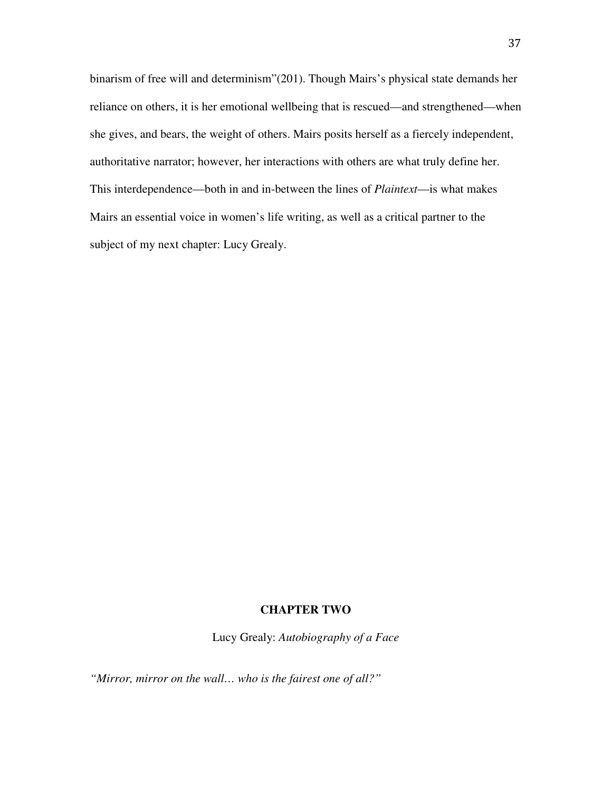binarism of free will and determinism"(201). Though Mairs's physical state demands her reliance on others, it is her emotional wellbeing that is rescued—and strengthened—when she gives, and bears, the weight of others. Mairs posits herself as a fiercely independent, authoritative narrator; however, her interactions with others are what truly define her. This interdependence—both in and in-between the lines of *Plaintext*—is what makes Mairs an essential voice in women's life writing, as well as a critical partner to the subject of my next chapter: Lucy Grealy.

## **CHAPTER TWO**

Lucy Grealy: *Autobiography of a Face* 

*"Mirror, mirror on the wall… who is the fairest one of all?"*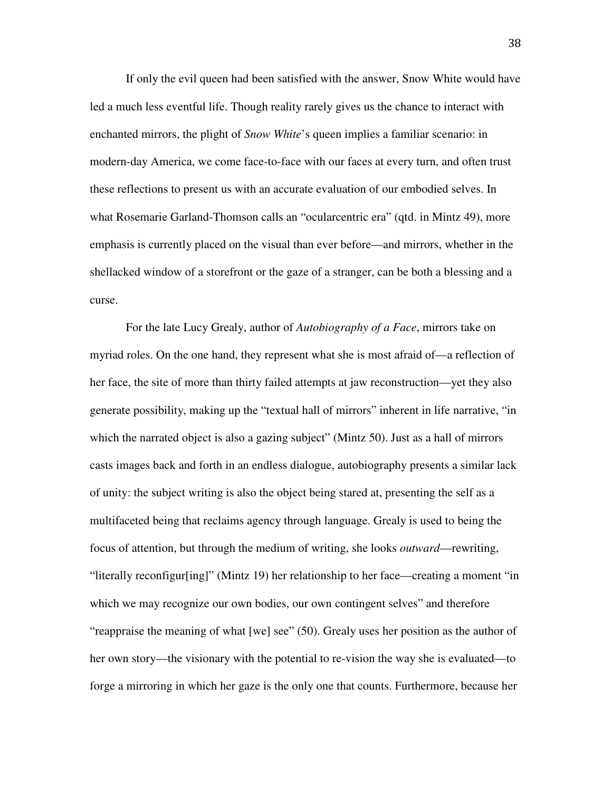If only the evil queen had been satisfied with the answer, Snow White would have led a much less eventful life. Though reality rarely gives us the chance to interact with enchanted mirrors, the plight of *Snow White*'s queen implies a familiar scenario: in modern-day America, we come face-to-face with our faces at every turn, and often trust these reflections to present us with an accurate evaluation of our embodied selves. In what Rosemarie Garland-Thomson calls an "ocularcentric era" (qtd. in Mintz 49), more emphasis is currently placed on the visual than ever before—and mirrors, whether in the shellacked window of a storefront or the gaze of a stranger, can be both a blessing and a curse.

For the late Lucy Grealy, author of *Autobiography of a Face*, mirrors take on myriad roles. On the one hand, they represent what she is most afraid of—a reflection of her face, the site of more than thirty failed attempts at jaw reconstruction—yet they also generate possibility, making up the "textual hall of mirrors" inherent in life narrative, "in which the narrated object is also a gazing subject" (Mintz 50). Just as a hall of mirrors casts images back and forth in an endless dialogue, autobiography presents a similar lack of unity: the subject writing is also the object being stared at, presenting the self as a multifaceted being that reclaims agency through language. Grealy is used to being the focus of attention, but through the medium of writing, she looks *outward*—rewriting, "literally reconfigur[ing]" (Mintz 19) her relationship to her face—creating a moment "in which we may recognize our own bodies, our own contingent selves" and therefore "reappraise the meaning of what [we] see" (50). Grealy uses her position as the author of her own story—the visionary with the potential to re-vision the way she is evaluated—to forge a mirroring in which her gaze is the only one that counts. Furthermore, because her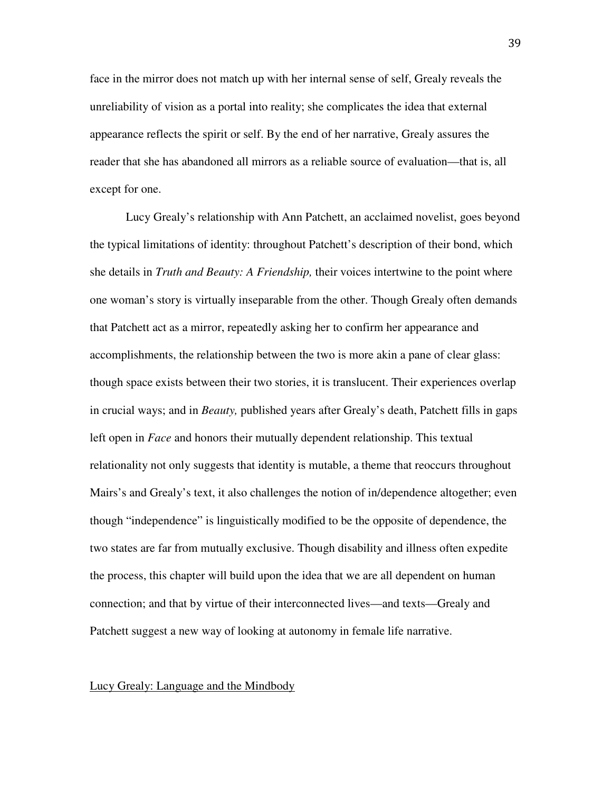face in the mirror does not match up with her internal sense of self, Grealy reveals the unreliability of vision as a portal into reality; she complicates the idea that external appearance reflects the spirit or self. By the end of her narrative, Grealy assures the reader that she has abandoned all mirrors as a reliable source of evaluation—that is, all except for one.

Lucy Grealy's relationship with Ann Patchett, an acclaimed novelist, goes beyond the typical limitations of identity: throughout Patchett's description of their bond, which she details in *Truth and Beauty: A Friendship,* their voices intertwine to the point where one woman's story is virtually inseparable from the other. Though Grealy often demands that Patchett act as a mirror, repeatedly asking her to confirm her appearance and accomplishments, the relationship between the two is more akin a pane of clear glass: though space exists between their two stories, it is translucent. Their experiences overlap in crucial ways; and in *Beauty,* published years after Grealy's death, Patchett fills in gaps left open in *Face* and honors their mutually dependent relationship. This textual relationality not only suggests that identity is mutable, a theme that reoccurs throughout Mairs's and Grealy's text, it also challenges the notion of in/dependence altogether; even though "independence" is linguistically modified to be the opposite of dependence, the two states are far from mutually exclusive. Though disability and illness often expedite the process, this chapter will build upon the idea that we are all dependent on human connection; and that by virtue of their interconnected lives—and texts—Grealy and Patchett suggest a new way of looking at autonomy in female life narrative.

#### Lucy Grealy: Language and the Mindbody

39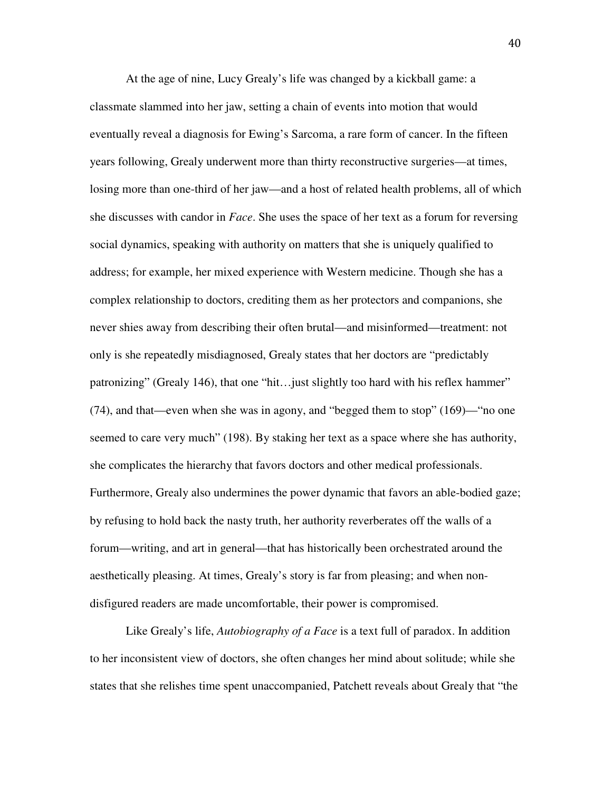At the age of nine, Lucy Grealy's life was changed by a kickball game: a classmate slammed into her jaw, setting a chain of events into motion that would eventually reveal a diagnosis for Ewing's Sarcoma, a rare form of cancer. In the fifteen years following, Grealy underwent more than thirty reconstructive surgeries—at times, losing more than one-third of her jaw—and a host of related health problems, all of which she discusses with candor in *Face*. She uses the space of her text as a forum for reversing social dynamics, speaking with authority on matters that she is uniquely qualified to address; for example, her mixed experience with Western medicine. Though she has a complex relationship to doctors, crediting them as her protectors and companions, she never shies away from describing their often brutal—and misinformed—treatment: not only is she repeatedly misdiagnosed, Grealy states that her doctors are "predictably patronizing" (Grealy 146), that one "hit…just slightly too hard with his reflex hammer" (74), and that—even when she was in agony, and "begged them to stop" (169)—"no one seemed to care very much" (198). By staking her text as a space where she has authority, she complicates the hierarchy that favors doctors and other medical professionals. Furthermore, Grealy also undermines the power dynamic that favors an able-bodied gaze; by refusing to hold back the nasty truth, her authority reverberates off the walls of a forum—writing, and art in general—that has historically been orchestrated around the aesthetically pleasing. At times, Grealy's story is far from pleasing; and when nondisfigured readers are made uncomfortable, their power is compromised.

Like Grealy's life, *Autobiography of a Face* is a text full of paradox. In addition to her inconsistent view of doctors, she often changes her mind about solitude; while she states that she relishes time spent unaccompanied, Patchett reveals about Grealy that "the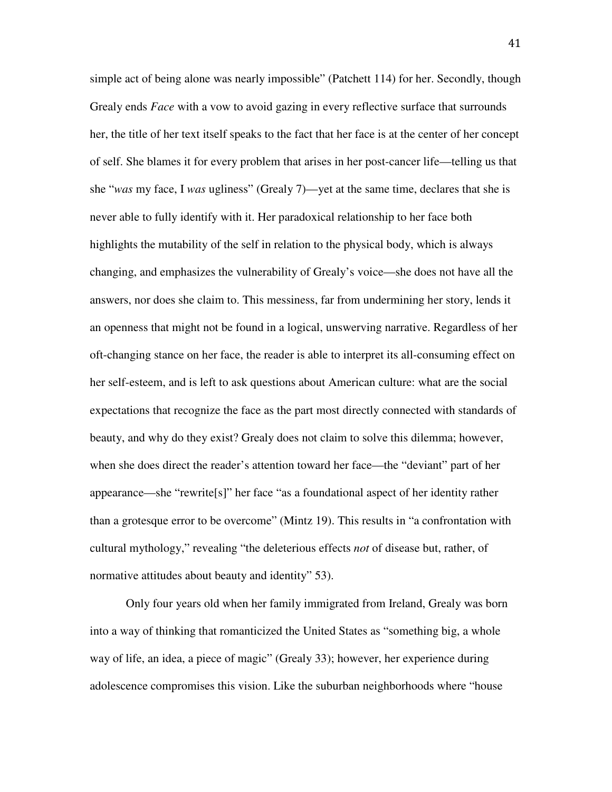simple act of being alone was nearly impossible" (Patchett 114) for her. Secondly, though Grealy ends *Face* with a vow to avoid gazing in every reflective surface that surrounds her, the title of her text itself speaks to the fact that her face is at the center of her concept of self. She blames it for every problem that arises in her post-cancer life—telling us that she "*was* my face, I *was* ugliness" (Grealy 7)—yet at the same time, declares that she is never able to fully identify with it. Her paradoxical relationship to her face both highlights the mutability of the self in relation to the physical body, which is always changing, and emphasizes the vulnerability of Grealy's voice—she does not have all the answers, nor does she claim to. This messiness, far from undermining her story, lends it an openness that might not be found in a logical, unswerving narrative. Regardless of her oft-changing stance on her face, the reader is able to interpret its all-consuming effect on her self-esteem, and is left to ask questions about American culture: what are the social expectations that recognize the face as the part most directly connected with standards of beauty, and why do they exist? Grealy does not claim to solve this dilemma; however, when she does direct the reader's attention toward her face—the "deviant" part of her appearance—she "rewrite[s]" her face "as a foundational aspect of her identity rather than a grotesque error to be overcome" (Mintz 19). This results in "a confrontation with cultural mythology," revealing "the deleterious effects *not* of disease but, rather, of normative attitudes about beauty and identity" 53).

Only four years old when her family immigrated from Ireland, Grealy was born into a way of thinking that romanticized the United States as "something big, a whole way of life, an idea, a piece of magic" (Grealy 33); however, her experience during adolescence compromises this vision. Like the suburban neighborhoods where "house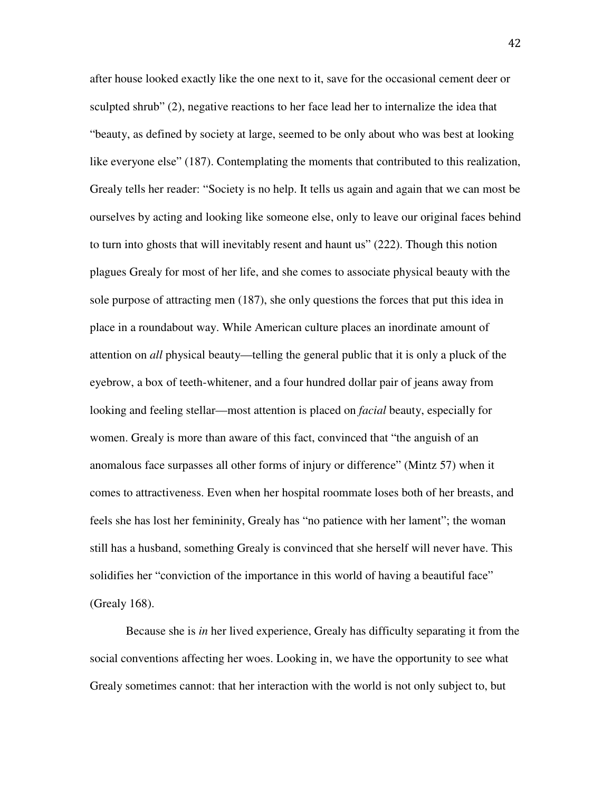after house looked exactly like the one next to it, save for the occasional cement deer or sculpted shrub" (2), negative reactions to her face lead her to internalize the idea that "beauty, as defined by society at large, seemed to be only about who was best at looking like everyone else" (187). Contemplating the moments that contributed to this realization, Grealy tells her reader: "Society is no help. It tells us again and again that we can most be ourselves by acting and looking like someone else, only to leave our original faces behind to turn into ghosts that will inevitably resent and haunt us" (222). Though this notion plagues Grealy for most of her life, and she comes to associate physical beauty with the sole purpose of attracting men (187), she only questions the forces that put this idea in place in a roundabout way. While American culture places an inordinate amount of attention on *all* physical beauty—telling the general public that it is only a pluck of the eyebrow, a box of teeth-whitener, and a four hundred dollar pair of jeans away from looking and feeling stellar—most attention is placed on *facial* beauty, especially for women. Grealy is more than aware of this fact, convinced that "the anguish of an anomalous face surpasses all other forms of injury or difference" (Mintz 57) when it comes to attractiveness. Even when her hospital roommate loses both of her breasts, and feels she has lost her femininity, Grealy has "no patience with her lament"; the woman still has a husband, something Grealy is convinced that she herself will never have. This solidifies her "conviction of the importance in this world of having a beautiful face" (Grealy 168).

Because she is *in* her lived experience, Grealy has difficulty separating it from the social conventions affecting her woes. Looking in, we have the opportunity to see what Grealy sometimes cannot: that her interaction with the world is not only subject to, but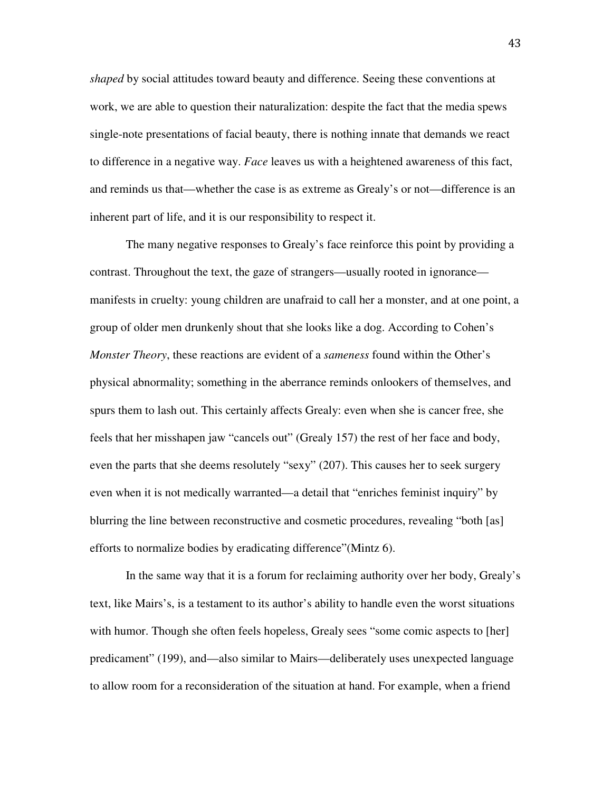*shaped* by social attitudes toward beauty and difference. Seeing these conventions at work, we are able to question their naturalization: despite the fact that the media spews single-note presentations of facial beauty, there is nothing innate that demands we react to difference in a negative way. *Face* leaves us with a heightened awareness of this fact, and reminds us that—whether the case is as extreme as Grealy's or not—difference is an inherent part of life, and it is our responsibility to respect it.

 The many negative responses to Grealy's face reinforce this point by providing a contrast. Throughout the text, the gaze of strangers—usually rooted in ignorance manifests in cruelty: young children are unafraid to call her a monster, and at one point, a group of older men drunkenly shout that she looks like a dog. According to Cohen's *Monster Theory*, these reactions are evident of a *sameness* found within the Other's physical abnormality; something in the aberrance reminds onlookers of themselves, and spurs them to lash out. This certainly affects Grealy: even when she is cancer free, she feels that her misshapen jaw "cancels out" (Grealy 157) the rest of her face and body, even the parts that she deems resolutely "sexy" (207). This causes her to seek surgery even when it is not medically warranted—a detail that "enriches feminist inquiry" by blurring the line between reconstructive and cosmetic procedures, revealing "both [as] efforts to normalize bodies by eradicating difference"(Mintz 6).

In the same way that it is a forum for reclaiming authority over her body, Grealy's text, like Mairs's, is a testament to its author's ability to handle even the worst situations with humor. Though she often feels hopeless, Grealy sees "some comic aspects to [her] predicament" (199), and—also similar to Mairs—deliberately uses unexpected language to allow room for a reconsideration of the situation at hand. For example, when a friend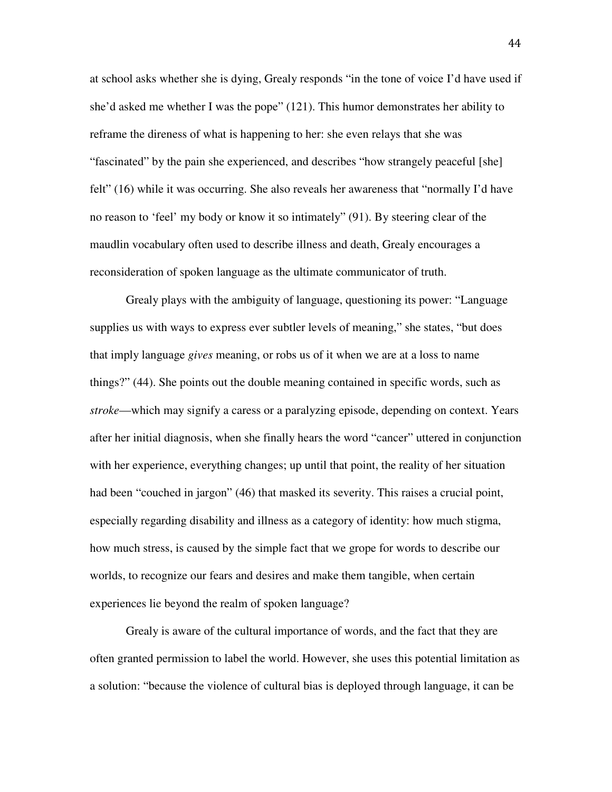at school asks whether she is dying, Grealy responds "in the tone of voice I'd have used if she'd asked me whether I was the pope" (121). This humor demonstrates her ability to reframe the direness of what is happening to her: she even relays that she was "fascinated" by the pain she experienced, and describes "how strangely peaceful [she] felt" (16) while it was occurring. She also reveals her awareness that "normally I'd have no reason to 'feel' my body or know it so intimately" (91). By steering clear of the maudlin vocabulary often used to describe illness and death, Grealy encourages a reconsideration of spoken language as the ultimate communicator of truth.

 Grealy plays with the ambiguity of language, questioning its power: "Language supplies us with ways to express ever subtler levels of meaning," she states, "but does that imply language *gives* meaning, or robs us of it when we are at a loss to name things?" (44). She points out the double meaning contained in specific words, such as *stroke*—which may signify a caress or a paralyzing episode, depending on context. Years after her initial diagnosis, when she finally hears the word "cancer" uttered in conjunction with her experience, everything changes; up until that point, the reality of her situation had been "couched in jargon" (46) that masked its severity. This raises a crucial point, especially regarding disability and illness as a category of identity: how much stigma, how much stress, is caused by the simple fact that we grope for words to describe our worlds, to recognize our fears and desires and make them tangible, when certain experiences lie beyond the realm of spoken language?

 Grealy is aware of the cultural importance of words, and the fact that they are often granted permission to label the world. However, she uses this potential limitation as a solution: "because the violence of cultural bias is deployed through language, it can be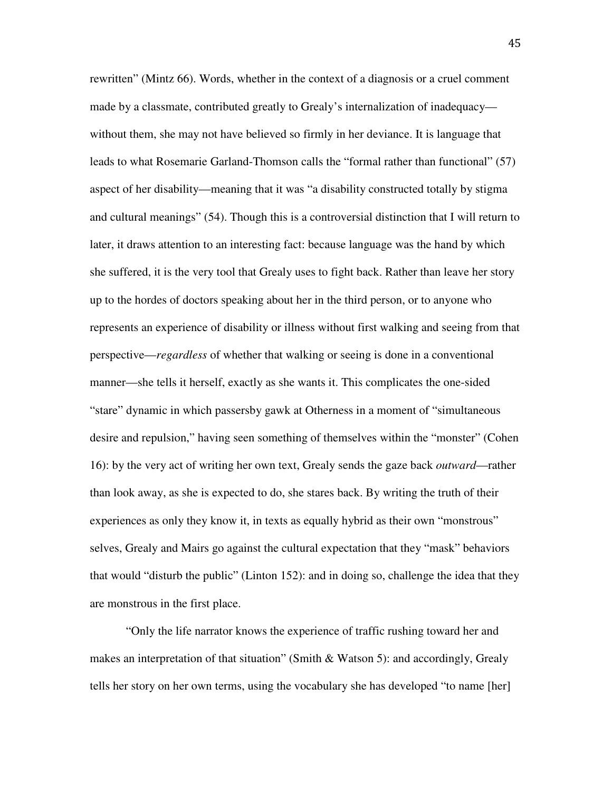rewritten" (Mintz 66). Words, whether in the context of a diagnosis or a cruel comment made by a classmate, contributed greatly to Grealy's internalization of inadequacy without them, she may not have believed so firmly in her deviance. It is language that leads to what Rosemarie Garland-Thomson calls the "formal rather than functional" (57) aspect of her disability—meaning that it was "a disability constructed totally by stigma and cultural meanings" (54). Though this is a controversial distinction that I will return to later, it draws attention to an interesting fact: because language was the hand by which she suffered, it is the very tool that Grealy uses to fight back. Rather than leave her story up to the hordes of doctors speaking about her in the third person, or to anyone who represents an experience of disability or illness without first walking and seeing from that perspective—*regardless* of whether that walking or seeing is done in a conventional manner—she tells it herself, exactly as she wants it. This complicates the one-sided "stare" dynamic in which passersby gawk at Otherness in a moment of "simultaneous desire and repulsion," having seen something of themselves within the "monster" (Cohen 16): by the very act of writing her own text, Grealy sends the gaze back *outward*—rather than look away, as she is expected to do, she stares back. By writing the truth of their experiences as only they know it, in texts as equally hybrid as their own "monstrous" selves, Grealy and Mairs go against the cultural expectation that they "mask" behaviors that would "disturb the public" (Linton 152): and in doing so, challenge the idea that they are monstrous in the first place.

"Only the life narrator knows the experience of traffic rushing toward her and makes an interpretation of that situation" (Smith & Watson 5): and accordingly, Grealy tells her story on her own terms, using the vocabulary she has developed "to name [her]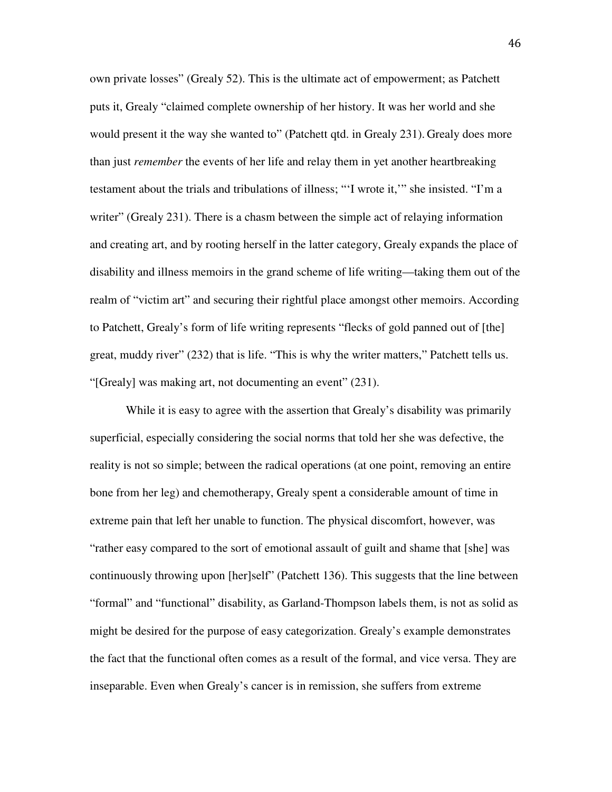own private losses" (Grealy 52). This is the ultimate act of empowerment; as Patchett puts it, Grealy "claimed complete ownership of her history. It was her world and she would present it the way she wanted to" (Patchett qtd. in Grealy 231). Grealy does more than just *remember* the events of her life and relay them in yet another heartbreaking testament about the trials and tribulations of illness; "'I wrote it,'" she insisted. "I'm a writer" (Grealy 231). There is a chasm between the simple act of relaying information and creating art, and by rooting herself in the latter category, Grealy expands the place of disability and illness memoirs in the grand scheme of life writing—taking them out of the realm of "victim art" and securing their rightful place amongst other memoirs. According to Patchett, Grealy's form of life writing represents "flecks of gold panned out of [the] great, muddy river" (232) that is life. "This is why the writer matters," Patchett tells us. "[Grealy] was making art, not documenting an event" (231).

While it is easy to agree with the assertion that Grealy's disability was primarily superficial, especially considering the social norms that told her she was defective, the reality is not so simple; between the radical operations (at one point, removing an entire bone from her leg) and chemotherapy, Grealy spent a considerable amount of time in extreme pain that left her unable to function. The physical discomfort, however, was "rather easy compared to the sort of emotional assault of guilt and shame that [she] was continuously throwing upon [her]self" (Patchett 136). This suggests that the line between "formal" and "functional" disability, as Garland-Thompson labels them, is not as solid as might be desired for the purpose of easy categorization. Grealy's example demonstrates the fact that the functional often comes as a result of the formal, and vice versa. They are inseparable. Even when Grealy's cancer is in remission, she suffers from extreme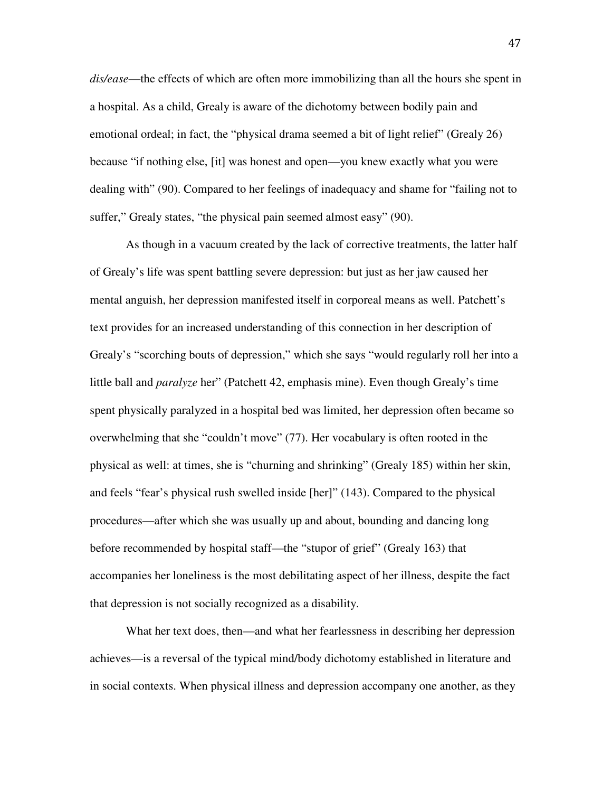*dis/ease*—the effects of which are often more immobilizing than all the hours she spent in a hospital. As a child, Grealy is aware of the dichotomy between bodily pain and emotional ordeal; in fact, the "physical drama seemed a bit of light relief" (Grealy 26) because "if nothing else, [it] was honest and open—you knew exactly what you were dealing with" (90). Compared to her feelings of inadequacy and shame for "failing not to suffer," Grealy states, "the physical pain seemed almost easy" (90).

As though in a vacuum created by the lack of corrective treatments, the latter half of Grealy's life was spent battling severe depression: but just as her jaw caused her mental anguish, her depression manifested itself in corporeal means as well. Patchett's text provides for an increased understanding of this connection in her description of Grealy's "scorching bouts of depression," which she says "would regularly roll her into a little ball and *paralyze* her" (Patchett 42, emphasis mine). Even though Grealy's time spent physically paralyzed in a hospital bed was limited, her depression often became so overwhelming that she "couldn't move" (77). Her vocabulary is often rooted in the physical as well: at times, she is "churning and shrinking" (Grealy 185) within her skin, and feels "fear's physical rush swelled inside [her]" (143). Compared to the physical procedures—after which she was usually up and about, bounding and dancing long before recommended by hospital staff—the "stupor of grief" (Grealy 163) that accompanies her loneliness is the most debilitating aspect of her illness, despite the fact that depression is not socially recognized as a disability.

What her text does, then—and what her fearlessness in describing her depression achieves—is a reversal of the typical mind/body dichotomy established in literature and in social contexts. When physical illness and depression accompany one another, as they

47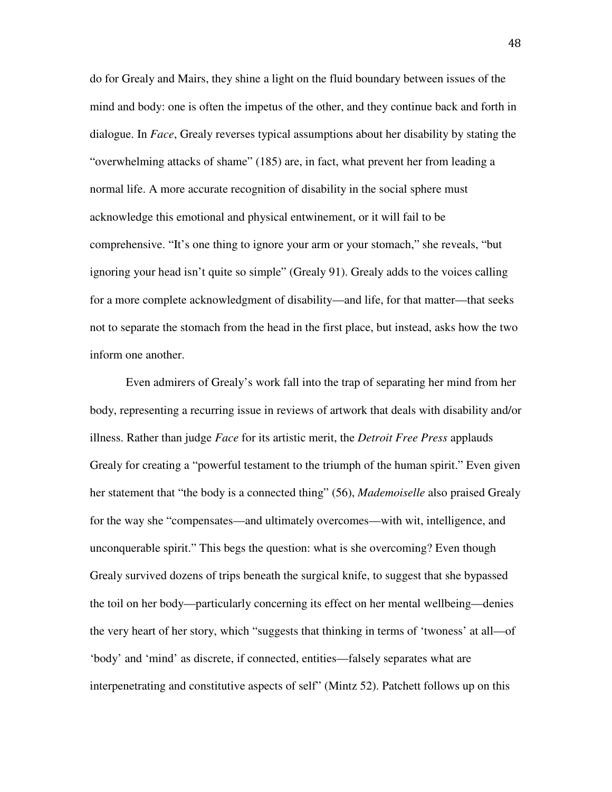do for Grealy and Mairs, they shine a light on the fluid boundary between issues of the mind and body: one is often the impetus of the other, and they continue back and forth in dialogue. In *Face*, Grealy reverses typical assumptions about her disability by stating the "overwhelming attacks of shame" (185) are, in fact, what prevent her from leading a normal life. A more accurate recognition of disability in the social sphere must acknowledge this emotional and physical entwinement, or it will fail to be comprehensive. "It's one thing to ignore your arm or your stomach," she reveals, "but ignoring your head isn't quite so simple" (Grealy 91). Grealy adds to the voices calling for a more complete acknowledgment of disability—and life, for that matter—that seeks not to separate the stomach from the head in the first place, but instead, asks how the two inform one another.

 Even admirers of Grealy's work fall into the trap of separating her mind from her body, representing a recurring issue in reviews of artwork that deals with disability and/or illness. Rather than judge *Face* for its artistic merit, the *Detroit Free Press* applauds Grealy for creating a "powerful testament to the triumph of the human spirit." Even given her statement that "the body is a connected thing" (56), *Mademoiselle* also praised Grealy for the way she "compensates—and ultimately overcomes—with wit, intelligence, and unconquerable spirit." This begs the question: what is she overcoming? Even though Grealy survived dozens of trips beneath the surgical knife, to suggest that she bypassed the toil on her body—particularly concerning its effect on her mental wellbeing—denies the very heart of her story, which "suggests that thinking in terms of 'twoness' at all—of 'body' and 'mind' as discrete, if connected, entities—falsely separates what are interpenetrating and constitutive aspects of self" (Mintz 52). Patchett follows up on this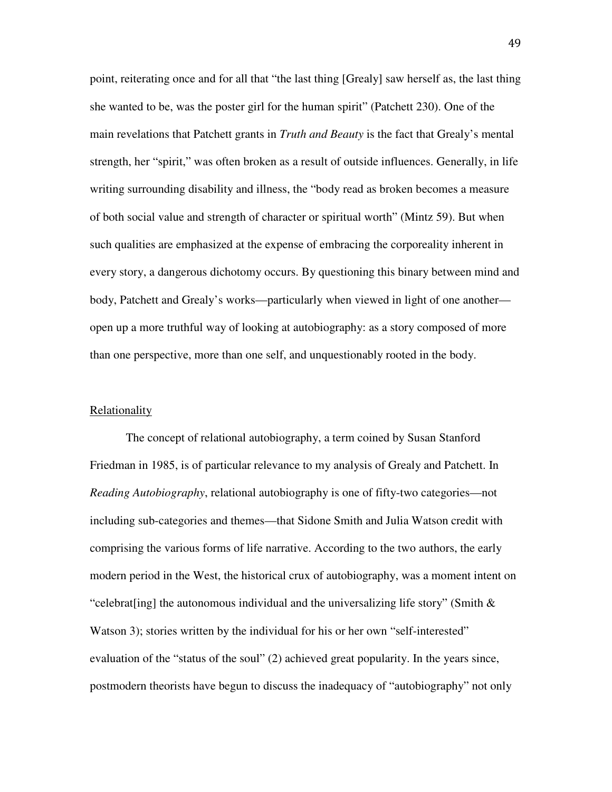point, reiterating once and for all that "the last thing [Grealy] saw herself as, the last thing she wanted to be, was the poster girl for the human spirit" (Patchett 230). One of the main revelations that Patchett grants in *Truth and Beauty* is the fact that Grealy's mental strength, her "spirit," was often broken as a result of outside influences. Generally, in life writing surrounding disability and illness, the "body read as broken becomes a measure of both social value and strength of character or spiritual worth" (Mintz 59). But when such qualities are emphasized at the expense of embracing the corporeality inherent in every story, a dangerous dichotomy occurs. By questioning this binary between mind and body, Patchett and Grealy's works—particularly when viewed in light of one another open up a more truthful way of looking at autobiography: as a story composed of more than one perspective, more than one self, and unquestionably rooted in the body.

### **Relationality**

 The concept of relational autobiography, a term coined by Susan Stanford Friedman in 1985, is of particular relevance to my analysis of Grealy and Patchett. In *Reading Autobiography*, relational autobiography is one of fifty-two categories—not including sub-categories and themes—that Sidone Smith and Julia Watson credit with comprising the various forms of life narrative. According to the two authors, the early modern period in the West, the historical crux of autobiography, was a moment intent on "celebrat [ing] the autonomous individual and the universalizing life story" (Smith  $\&$ Watson 3); stories written by the individual for his or her own "self-interested" evaluation of the "status of the soul" (2) achieved great popularity. In the years since, postmodern theorists have begun to discuss the inadequacy of "autobiography" not only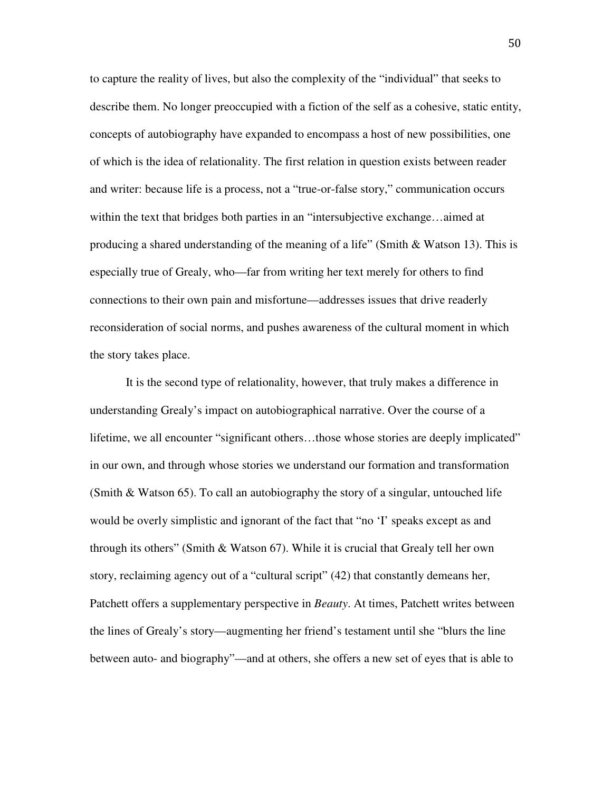to capture the reality of lives, but also the complexity of the "individual" that seeks to describe them. No longer preoccupied with a fiction of the self as a cohesive, static entity, concepts of autobiography have expanded to encompass a host of new possibilities, one of which is the idea of relationality. The first relation in question exists between reader and writer: because life is a process, not a "true-or-false story," communication occurs within the text that bridges both parties in an "intersubjective exchange…aimed at producing a shared understanding of the meaning of a life" (Smith & Watson 13). This is especially true of Grealy, who—far from writing her text merely for others to find connections to their own pain and misfortune—addresses issues that drive readerly reconsideration of social norms, and pushes awareness of the cultural moment in which the story takes place.

It is the second type of relationality, however, that truly makes a difference in understanding Grealy's impact on autobiographical narrative. Over the course of a lifetime, we all encounter "significant others…those whose stories are deeply implicated" in our own, and through whose stories we understand our formation and transformation (Smith & Watson 65). To call an autobiography the story of a singular, untouched life would be overly simplistic and ignorant of the fact that "no 'I' speaks except as and through its others" (Smith  $\&$  Watson 67). While it is crucial that Grealy tell her own story, reclaiming agency out of a "cultural script" (42) that constantly demeans her, Patchett offers a supplementary perspective in *Beauty*. At times, Patchett writes between the lines of Grealy's story—augmenting her friend's testament until she "blurs the line between auto- and biography"—and at others, she offers a new set of eyes that is able to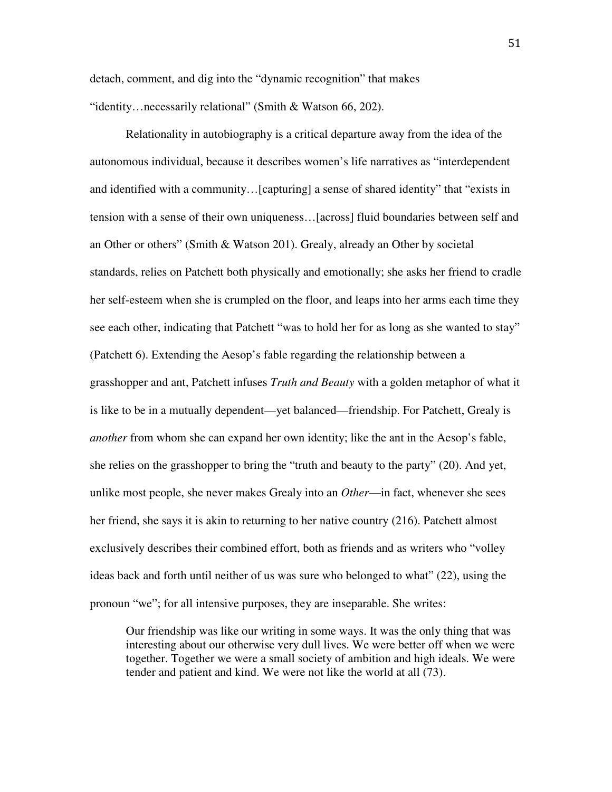detach, comment, and dig into the "dynamic recognition" that makes "identity…necessarily relational" (Smith & Watson 66, 202).

Relationality in autobiography is a critical departure away from the idea of the autonomous individual, because it describes women's life narratives as "interdependent and identified with a community…[capturing] a sense of shared identity" that "exists in tension with a sense of their own uniqueness…[across] fluid boundaries between self and an Other or others" (Smith & Watson 201). Grealy, already an Other by societal standards, relies on Patchett both physically and emotionally; she asks her friend to cradle her self-esteem when she is crumpled on the floor, and leaps into her arms each time they see each other, indicating that Patchett "was to hold her for as long as she wanted to stay" (Patchett 6). Extending the Aesop's fable regarding the relationship between a grasshopper and ant, Patchett infuses *Truth and Beauty* with a golden metaphor of what it is like to be in a mutually dependent—yet balanced—friendship. For Patchett, Grealy is *another* from whom she can expand her own identity; like the ant in the Aesop's fable, she relies on the grasshopper to bring the "truth and beauty to the party" (20). And yet, unlike most people, she never makes Grealy into an *Other*—in fact, whenever she sees her friend, she says it is akin to returning to her native country (216). Patchett almost exclusively describes their combined effort, both as friends and as writers who "volley ideas back and forth until neither of us was sure who belonged to what" (22), using the pronoun "we"; for all intensive purposes, they are inseparable. She writes:

Our friendship was like our writing in some ways. It was the only thing that was interesting about our otherwise very dull lives. We were better off when we were together. Together we were a small society of ambition and high ideals. We were tender and patient and kind. We were not like the world at all (73).

51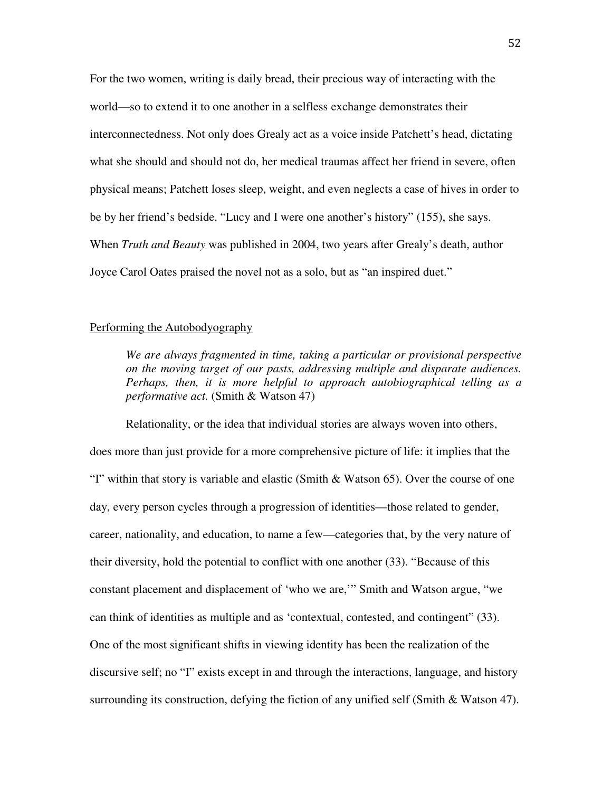For the two women, writing is daily bread, their precious way of interacting with the world—so to extend it to one another in a selfless exchange demonstrates their interconnectedness. Not only does Grealy act as a voice inside Patchett's head, dictating what she should and should not do, her medical traumas affect her friend in severe, often physical means; Patchett loses sleep, weight, and even neglects a case of hives in order to be by her friend's bedside. "Lucy and I were one another's history" (155), she says. When *Truth and Beauty* was published in 2004, two years after Grealy's death, author Joyce Carol Oates praised the novel not as a solo, but as "an inspired duet."

# Performing the Autobodyography

*We are always fragmented in time, taking a particular or provisional perspective on the moving target of our pasts, addressing multiple and disparate audiences. Perhaps, then, it is more helpful to approach autobiographical telling as a performative act.* (Smith & Watson 47)

Relationality, or the idea that individual stories are always woven into others, does more than just provide for a more comprehensive picture of life: it implies that the "I" within that story is variable and elastic (Smith & Watson 65). Over the course of one day, every person cycles through a progression of identities—those related to gender, career, nationality, and education, to name a few—categories that, by the very nature of their diversity, hold the potential to conflict with one another (33). "Because of this constant placement and displacement of 'who we are,'" Smith and Watson argue, "we can think of identities as multiple and as 'contextual, contested, and contingent" (33). One of the most significant shifts in viewing identity has been the realization of the discursive self; no "I" exists except in and through the interactions, language, and history surrounding its construction, defying the fiction of any unified self (Smith & Watson 47).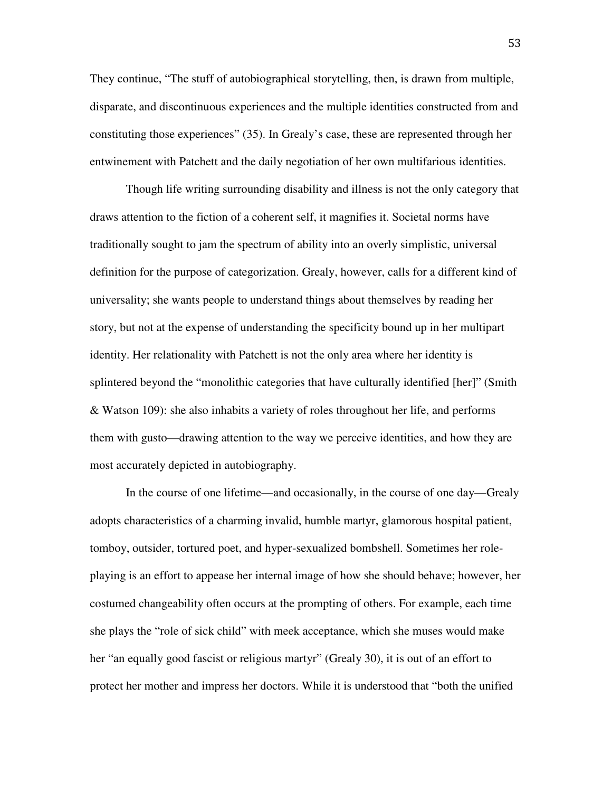They continue, "The stuff of autobiographical storytelling, then, is drawn from multiple, disparate, and discontinuous experiences and the multiple identities constructed from and constituting those experiences" (35). In Grealy's case, these are represented through her entwinement with Patchett and the daily negotiation of her own multifarious identities.

Though life writing surrounding disability and illness is not the only category that draws attention to the fiction of a coherent self, it magnifies it. Societal norms have traditionally sought to jam the spectrum of ability into an overly simplistic, universal definition for the purpose of categorization. Grealy, however, calls for a different kind of universality; she wants people to understand things about themselves by reading her story, but not at the expense of understanding the specificity bound up in her multipart identity. Her relationality with Patchett is not the only area where her identity is splintered beyond the "monolithic categories that have culturally identified [her]" (Smith & Watson 109): she also inhabits a variety of roles throughout her life, and performs them with gusto—drawing attention to the way we perceive identities, and how they are most accurately depicted in autobiography.

 In the course of one lifetime—and occasionally, in the course of one day—Grealy adopts characteristics of a charming invalid, humble martyr, glamorous hospital patient, tomboy, outsider, tortured poet, and hyper-sexualized bombshell. Sometimes her roleplaying is an effort to appease her internal image of how she should behave; however, her costumed changeability often occurs at the prompting of others. For example, each time she plays the "role of sick child" with meek acceptance, which she muses would make her "an equally good fascist or religious martyr" (Grealy 30), it is out of an effort to protect her mother and impress her doctors. While it is understood that "both the unified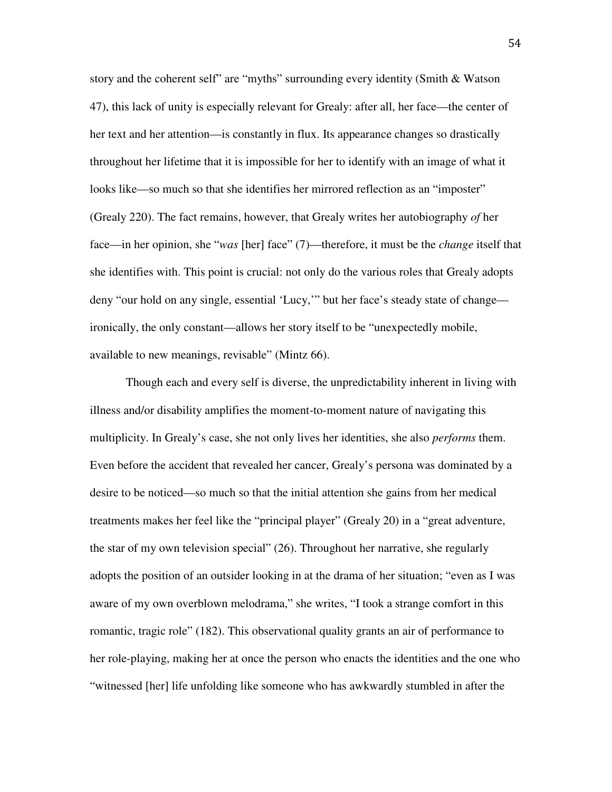story and the coherent self" are "myths" surrounding every identity (Smith & Watson 47), this lack of unity is especially relevant for Grealy: after all, her face—the center of her text and her attention—is constantly in flux. Its appearance changes so drastically throughout her lifetime that it is impossible for her to identify with an image of what it looks like—so much so that she identifies her mirrored reflection as an "imposter" (Grealy 220). The fact remains, however, that Grealy writes her autobiography *of* her face—in her opinion, she "*was* [her] face" (7)—therefore, it must be the *change* itself that she identifies with. This point is crucial: not only do the various roles that Grealy adopts deny "our hold on any single, essential 'Lucy,'" but her face's steady state of change ironically, the only constant—allows her story itself to be "unexpectedly mobile, available to new meanings, revisable" (Mintz 66).

 Though each and every self is diverse, the unpredictability inherent in living with illness and/or disability amplifies the moment-to-moment nature of navigating this multiplicity. In Grealy's case, she not only lives her identities, she also *performs* them. Even before the accident that revealed her cancer, Grealy's persona was dominated by a desire to be noticed—so much so that the initial attention she gains from her medical treatments makes her feel like the "principal player" (Grealy 20) in a "great adventure, the star of my own television special" (26). Throughout her narrative, she regularly adopts the position of an outsider looking in at the drama of her situation; "even as I was aware of my own overblown melodrama," she writes, "I took a strange comfort in this romantic, tragic role" (182). This observational quality grants an air of performance to her role-playing, making her at once the person who enacts the identities and the one who "witnessed [her] life unfolding like someone who has awkwardly stumbled in after the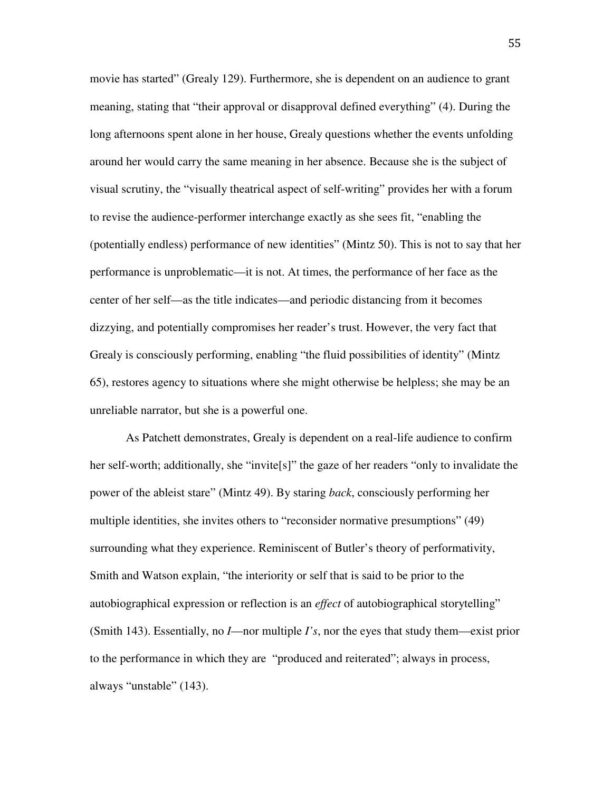movie has started" (Grealy 129). Furthermore, she is dependent on an audience to grant meaning, stating that "their approval or disapproval defined everything" (4). During the long afternoons spent alone in her house, Grealy questions whether the events unfolding around her would carry the same meaning in her absence. Because she is the subject of visual scrutiny, the "visually theatrical aspect of self-writing" provides her with a forum to revise the audience-performer interchange exactly as she sees fit, "enabling the (potentially endless) performance of new identities" (Mintz 50). This is not to say that her performance is unproblematic—it is not. At times, the performance of her face as the center of her self—as the title indicates—and periodic distancing from it becomes dizzying, and potentially compromises her reader's trust. However, the very fact that Grealy is consciously performing, enabling "the fluid possibilities of identity" (Mintz 65), restores agency to situations where she might otherwise be helpless; she may be an unreliable narrator, but she is a powerful one.

As Patchett demonstrates, Grealy is dependent on a real-life audience to confirm her self-worth; additionally, she "invite[s]" the gaze of her readers "only to invalidate the power of the ableist stare" (Mintz 49). By staring *back*, consciously performing her multiple identities, she invites others to "reconsider normative presumptions" (49) surrounding what they experience. Reminiscent of Butler's theory of performativity, Smith and Watson explain, "the interiority or self that is said to be prior to the autobiographical expression or reflection is an *effect* of autobiographical storytelling" (Smith 143). Essentially, no *I*—nor multiple *I's*, nor the eyes that study them—exist prior to the performance in which they are "produced and reiterated"; always in process, always "unstable" (143).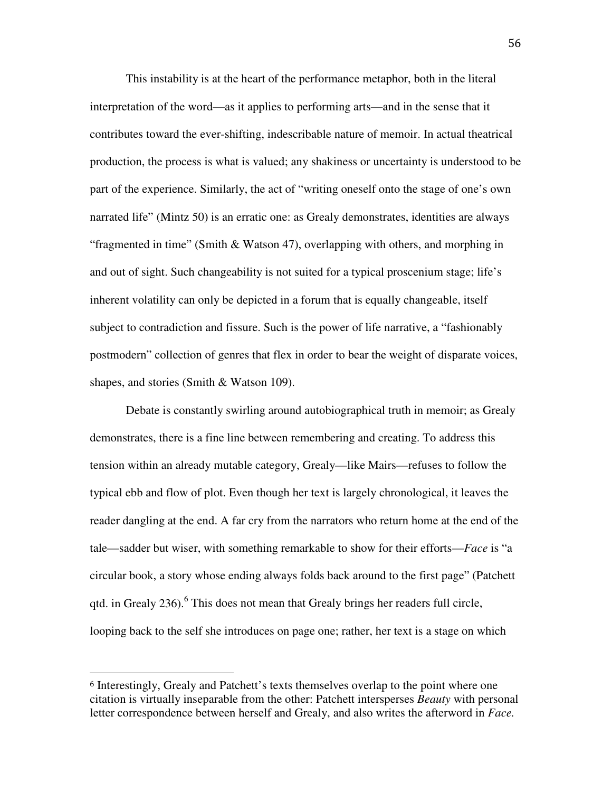This instability is at the heart of the performance metaphor, both in the literal interpretation of the word—as it applies to performing arts—and in the sense that it contributes toward the ever-shifting, indescribable nature of memoir. In actual theatrical production, the process is what is valued; any shakiness or uncertainty is understood to be part of the experience. Similarly, the act of "writing oneself onto the stage of one's own narrated life" (Mintz 50) is an erratic one: as Grealy demonstrates, identities are always "fragmented in time" (Smith & Watson 47), overlapping with others, and morphing in and out of sight. Such changeability is not suited for a typical proscenium stage; life's inherent volatility can only be depicted in a forum that is equally changeable, itself subject to contradiction and fissure. Such is the power of life narrative, a "fashionably postmodern" collection of genres that flex in order to bear the weight of disparate voices, shapes, and stories (Smith & Watson 109).

Debate is constantly swirling around autobiographical truth in memoir; as Grealy demonstrates, there is a fine line between remembering and creating. To address this tension within an already mutable category, Grealy—like Mairs—refuses to follow the typical ebb and flow of plot. Even though her text is largely chronological, it leaves the reader dangling at the end. A far cry from the narrators who return home at the end of the tale—sadder but wiser, with something remarkable to show for their efforts—*Face* is "a circular book, a story whose ending always folds back around to the first page" (Patchett qtd. in Grealy 236).<sup>6</sup> This does not mean that Grealy brings her readers full circle, looping back to the self she introduces on page one; rather, her text is a stage on which

 $\overline{a}$ 

<sup>6</sup> Interestingly, Grealy and Patchett's texts themselves overlap to the point where one citation is virtually inseparable from the other: Patchett intersperses *Beauty* with personal letter correspondence between herself and Grealy, and also writes the afterword in *Face.*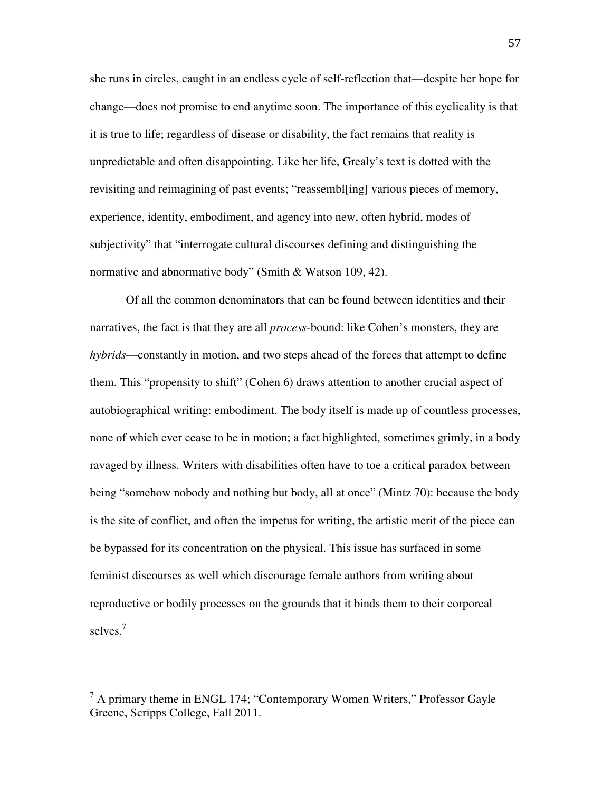she runs in circles, caught in an endless cycle of self-reflection that—despite her hope for change—does not promise to end anytime soon. The importance of this cyclicality is that it is true to life; regardless of disease or disability, the fact remains that reality is unpredictable and often disappointing. Like her life, Grealy's text is dotted with the revisiting and reimagining of past events; "reassembl[ing] various pieces of memory, experience, identity, embodiment, and agency into new, often hybrid, modes of subjectivity" that "interrogate cultural discourses defining and distinguishing the normative and abnormative body" (Smith & Watson 109, 42).

 Of all the common denominators that can be found between identities and their narratives, the fact is that they are all *process*-bound: like Cohen's monsters, they are *hybrids*—constantly in motion, and two steps ahead of the forces that attempt to define them. This "propensity to shift" (Cohen 6) draws attention to another crucial aspect of autobiographical writing: embodiment. The body itself is made up of countless processes, none of which ever cease to be in motion; a fact highlighted, sometimes grimly, in a body ravaged by illness. Writers with disabilities often have to toe a critical paradox between being "somehow nobody and nothing but body, all at once" (Mintz 70): because the body is the site of conflict, and often the impetus for writing, the artistic merit of the piece can be bypassed for its concentration on the physical. This issue has surfaced in some feminist discourses as well which discourage female authors from writing about reproductive or bodily processes on the grounds that it binds them to their corporeal selves.<sup>7</sup>

 $\overline{a}$ 

 $<sup>7</sup>$  A primary theme in ENGL 174; "Contemporary Women Writers," Professor Gayle</sup> Greene, Scripps College, Fall 2011.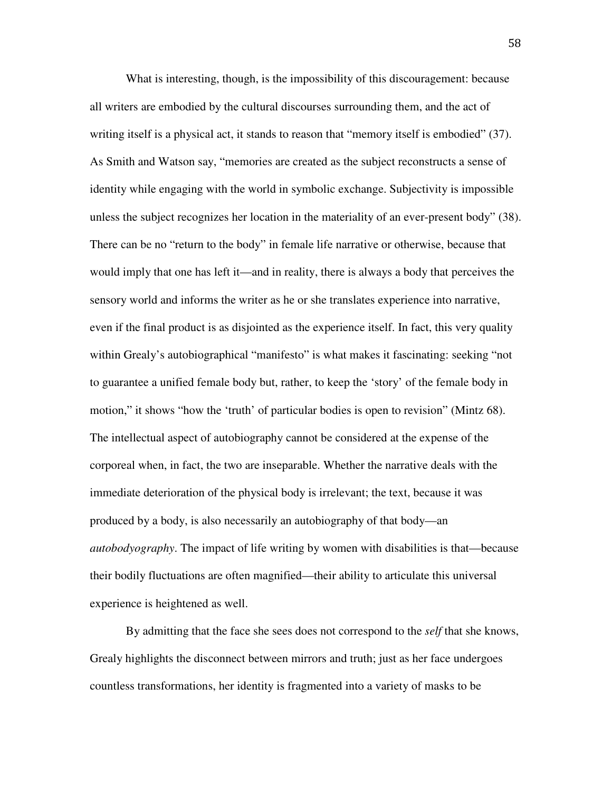What is interesting, though, is the impossibility of this discouragement: because all writers are embodied by the cultural discourses surrounding them, and the act of writing itself is a physical act, it stands to reason that "memory itself is embodied" (37). As Smith and Watson say, "memories are created as the subject reconstructs a sense of identity while engaging with the world in symbolic exchange. Subjectivity is impossible unless the subject recognizes her location in the materiality of an ever-present body" (38). There can be no "return to the body" in female life narrative or otherwise, because that would imply that one has left it—and in reality, there is always a body that perceives the sensory world and informs the writer as he or she translates experience into narrative, even if the final product is as disjointed as the experience itself. In fact, this very quality within Grealy's autobiographical "manifesto" is what makes it fascinating: seeking "not to guarantee a unified female body but, rather, to keep the 'story' of the female body in motion," it shows "how the 'truth' of particular bodies is open to revision" (Mintz 68). The intellectual aspect of autobiography cannot be considered at the expense of the corporeal when, in fact, the two are inseparable. Whether the narrative deals with the immediate deterioration of the physical body is irrelevant; the text, because it was produced by a body, is also necessarily an autobiography of that body—an *autobodyography*. The impact of life writing by women with disabilities is that—because their bodily fluctuations are often magnified—their ability to articulate this universal experience is heightened as well.

By admitting that the face she sees does not correspond to the *self* that she knows, Grealy highlights the disconnect between mirrors and truth; just as her face undergoes countless transformations, her identity is fragmented into a variety of masks to be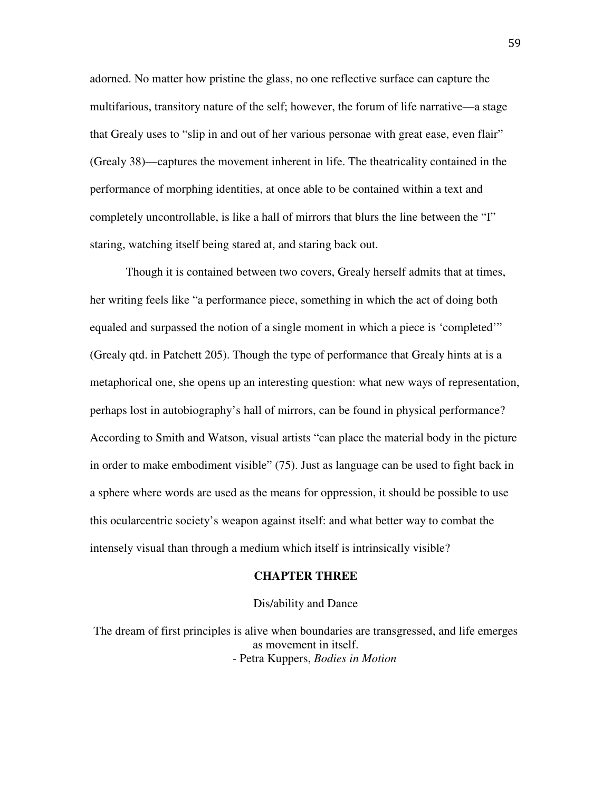adorned. No matter how pristine the glass, no one reflective surface can capture the multifarious, transitory nature of the self; however, the forum of life narrative—a stage that Grealy uses to "slip in and out of her various personae with great ease, even flair" (Grealy 38)—captures the movement inherent in life. The theatricality contained in the performance of morphing identities, at once able to be contained within a text and completely uncontrollable, is like a hall of mirrors that blurs the line between the "I" staring, watching itself being stared at, and staring back out.

Though it is contained between two covers, Grealy herself admits that at times, her writing feels like "a performance piece, something in which the act of doing both equaled and surpassed the notion of a single moment in which a piece is 'completed'" (Grealy qtd. in Patchett 205). Though the type of performance that Grealy hints at is a metaphorical one, she opens up an interesting question: what new ways of representation, perhaps lost in autobiography's hall of mirrors, can be found in physical performance? According to Smith and Watson, visual artists "can place the material body in the picture in order to make embodiment visible" (75). Just as language can be used to fight back in a sphere where words are used as the means for oppression, it should be possible to use this ocularcentric society's weapon against itself: and what better way to combat the intensely visual than through a medium which itself is intrinsically visible?

#### **CHAPTER THREE**

### Dis/ability and Dance

The dream of first principles is alive when boundaries are transgressed, and life emerges as movement in itself. - Petra Kuppers, *Bodies in Motion*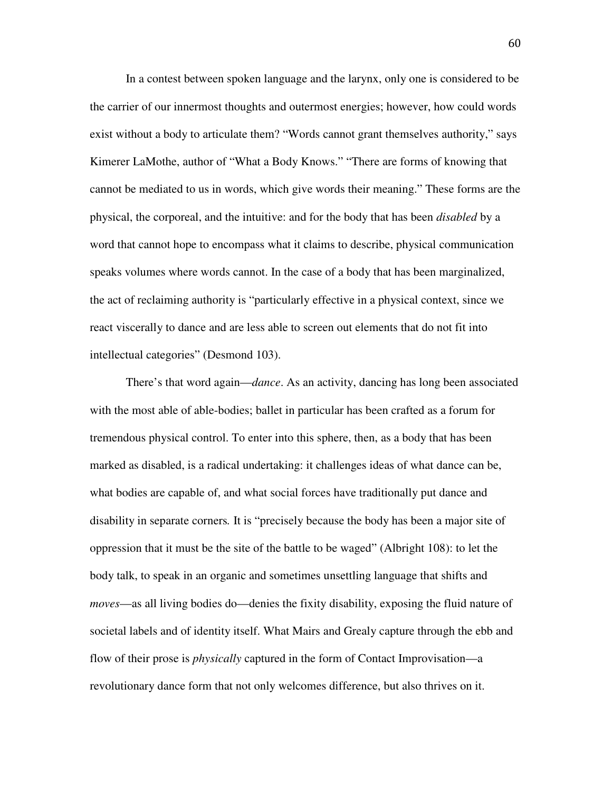In a contest between spoken language and the larynx, only one is considered to be the carrier of our innermost thoughts and outermost energies; however, how could words exist without a body to articulate them? "Words cannot grant themselves authority," says Kimerer LaMothe, author of "What a Body Knows." "There are forms of knowing that cannot be mediated to us in words, which give words their meaning." These forms are the physical, the corporeal, and the intuitive: and for the body that has been *disabled* by a word that cannot hope to encompass what it claims to describe, physical communication speaks volumes where words cannot. In the case of a body that has been marginalized, the act of reclaiming authority is "particularly effective in a physical context, since we react viscerally to dance and are less able to screen out elements that do not fit into intellectual categories" (Desmond 103).

There's that word again—*dance*. As an activity, dancing has long been associated with the most able of able-bodies; ballet in particular has been crafted as a forum for tremendous physical control. To enter into this sphere, then, as a body that has been marked as disabled, is a radical undertaking: it challenges ideas of what dance can be, what bodies are capable of, and what social forces have traditionally put dance and disability in separate corners*.* It is "precisely because the body has been a major site of oppression that it must be the site of the battle to be waged" (Albright 108): to let the body talk, to speak in an organic and sometimes unsettling language that shifts and *moves*—as all living bodies do—denies the fixity disability, exposing the fluid nature of societal labels and of identity itself. What Mairs and Grealy capture through the ebb and flow of their prose is *physically* captured in the form of Contact Improvisation—a revolutionary dance form that not only welcomes difference, but also thrives on it.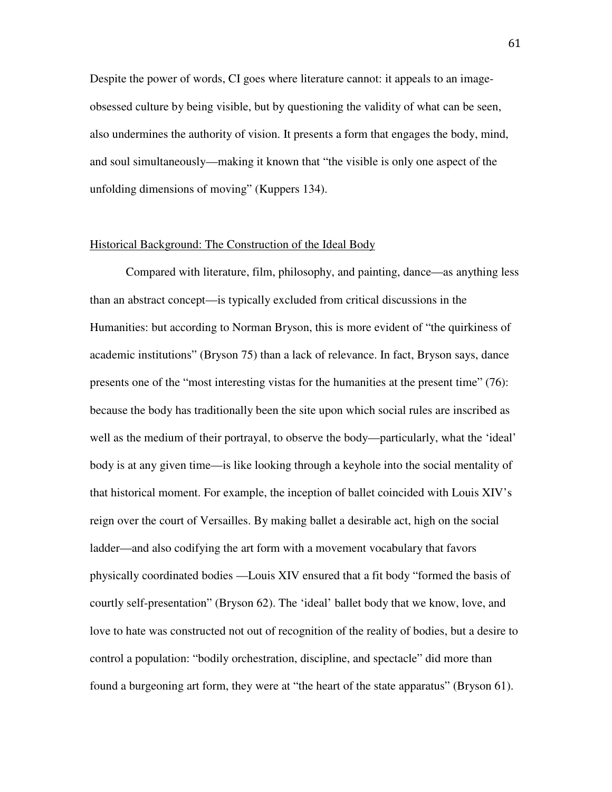Despite the power of words, CI goes where literature cannot: it appeals to an imageobsessed culture by being visible, but by questioning the validity of what can be seen, also undermines the authority of vision. It presents a form that engages the body, mind, and soul simultaneously—making it known that "the visible is only one aspect of the unfolding dimensions of moving" (Kuppers 134).

## Historical Background: The Construction of the Ideal Body

 Compared with literature, film, philosophy, and painting, dance—as anything less than an abstract concept—is typically excluded from critical discussions in the Humanities: but according to Norman Bryson, this is more evident of "the quirkiness of academic institutions" (Bryson 75) than a lack of relevance. In fact, Bryson says, dance presents one of the "most interesting vistas for the humanities at the present time" (76): because the body has traditionally been the site upon which social rules are inscribed as well as the medium of their portrayal, to observe the body—particularly, what the 'ideal' body is at any given time—is like looking through a keyhole into the social mentality of that historical moment. For example, the inception of ballet coincided with Louis XIV's reign over the court of Versailles. By making ballet a desirable act, high on the social ladder—and also codifying the art form with a movement vocabulary that favors physically coordinated bodies —Louis XIV ensured that a fit body "formed the basis of courtly self-presentation" (Bryson 62). The 'ideal' ballet body that we know, love, and love to hate was constructed not out of recognition of the reality of bodies, but a desire to control a population: "bodily orchestration, discipline, and spectacle" did more than found a burgeoning art form, they were at "the heart of the state apparatus" (Bryson 61).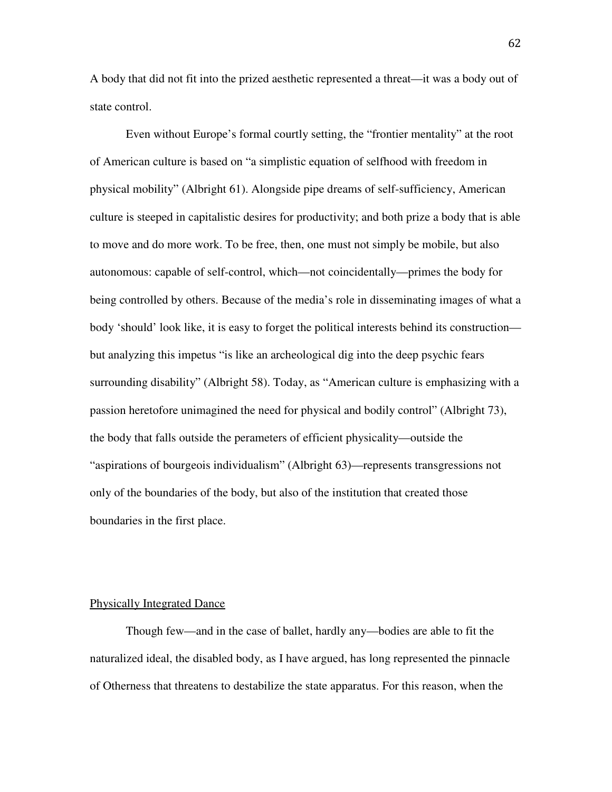A body that did not fit into the prized aesthetic represented a threat—it was a body out of state control.

 Even without Europe's formal courtly setting, the "frontier mentality" at the root of American culture is based on "a simplistic equation of selfhood with freedom in physical mobility" (Albright 61). Alongside pipe dreams of self-sufficiency, American culture is steeped in capitalistic desires for productivity; and both prize a body that is able to move and do more work. To be free, then, one must not simply be mobile, but also autonomous: capable of self-control, which—not coincidentally—primes the body for being controlled by others. Because of the media's role in disseminating images of what a body 'should' look like, it is easy to forget the political interests behind its construction but analyzing this impetus "is like an archeological dig into the deep psychic fears surrounding disability" (Albright 58). Today, as "American culture is emphasizing with a passion heretofore unimagined the need for physical and bodily control" (Albright 73), the body that falls outside the perameters of efficient physicality—outside the "aspirations of bourgeois individualism" (Albright 63)—represents transgressions not only of the boundaries of the body, but also of the institution that created those boundaries in the first place.

### Physically Integrated Dance

 Though few—and in the case of ballet, hardly any—bodies are able to fit the naturalized ideal, the disabled body, as I have argued, has long represented the pinnacle of Otherness that threatens to destabilize the state apparatus. For this reason, when the

62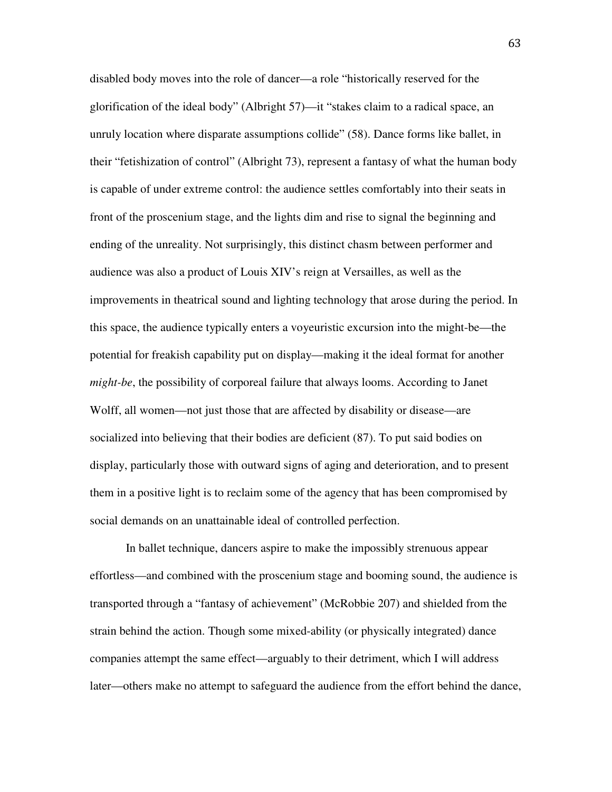disabled body moves into the role of dancer—a role "historically reserved for the glorification of the ideal body" (Albright 57)—it "stakes claim to a radical space, an unruly location where disparate assumptions collide" (58). Dance forms like ballet, in their "fetishization of control" (Albright 73), represent a fantasy of what the human body is capable of under extreme control: the audience settles comfortably into their seats in front of the proscenium stage, and the lights dim and rise to signal the beginning and ending of the unreality. Not surprisingly, this distinct chasm between performer and audience was also a product of Louis XIV's reign at Versailles, as well as the improvements in theatrical sound and lighting technology that arose during the period. In this space, the audience typically enters a voyeuristic excursion into the might-be—the potential for freakish capability put on display—making it the ideal format for another *might-be*, the possibility of corporeal failure that always looms. According to Janet Wolff, all women—not just those that are affected by disability or disease—are socialized into believing that their bodies are deficient (87). To put said bodies on display, particularly those with outward signs of aging and deterioration, and to present them in a positive light is to reclaim some of the agency that has been compromised by social demands on an unattainable ideal of controlled perfection.

In ballet technique, dancers aspire to make the impossibly strenuous appear effortless—and combined with the proscenium stage and booming sound, the audience is transported through a "fantasy of achievement" (McRobbie 207) and shielded from the strain behind the action. Though some mixed-ability (or physically integrated) dance companies attempt the same effect—arguably to their detriment, which I will address later—others make no attempt to safeguard the audience from the effort behind the dance,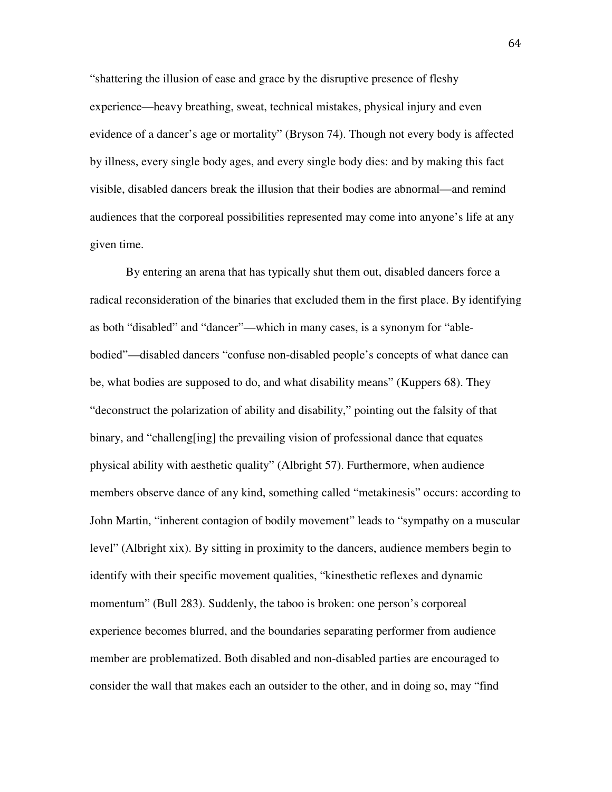"shattering the illusion of ease and grace by the disruptive presence of fleshy experience—heavy breathing, sweat, technical mistakes, physical injury and even evidence of a dancer's age or mortality" (Bryson 74). Though not every body is affected by illness, every single body ages, and every single body dies: and by making this fact visible, disabled dancers break the illusion that their bodies are abnormal—and remind audiences that the corporeal possibilities represented may come into anyone's life at any given time.

 By entering an arena that has typically shut them out, disabled dancers force a radical reconsideration of the binaries that excluded them in the first place. By identifying as both "disabled" and "dancer"—which in many cases, is a synonym for "ablebodied"—disabled dancers "confuse non-disabled people's concepts of what dance can be, what bodies are supposed to do, and what disability means" (Kuppers 68). They "deconstruct the polarization of ability and disability," pointing out the falsity of that binary, and "challeng[ing] the prevailing vision of professional dance that equates physical ability with aesthetic quality" (Albright 57). Furthermore, when audience members observe dance of any kind, something called "metakinesis" occurs: according to John Martin, "inherent contagion of bodily movement" leads to "sympathy on a muscular level" (Albright xix). By sitting in proximity to the dancers, audience members begin to identify with their specific movement qualities, "kinesthetic reflexes and dynamic momentum" (Bull 283). Suddenly, the taboo is broken: one person's corporeal experience becomes blurred, and the boundaries separating performer from audience member are problematized. Both disabled and non-disabled parties are encouraged to consider the wall that makes each an outsider to the other, and in doing so, may "find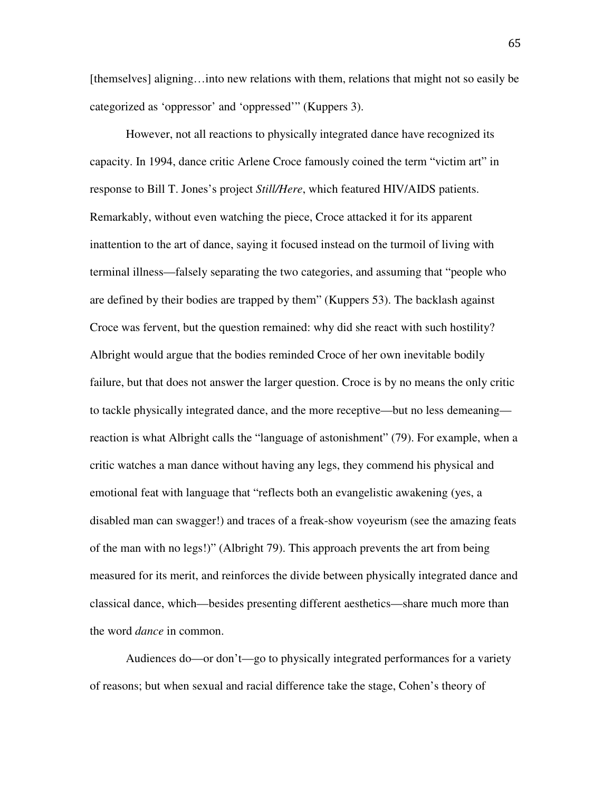[themselves] aligning…into new relations with them, relations that might not so easily be categorized as 'oppressor' and 'oppressed'" (Kuppers 3).

 However, not all reactions to physically integrated dance have recognized its capacity. In 1994, dance critic Arlene Croce famously coined the term "victim art" in response to Bill T. Jones's project *Still/Here*, which featured HIV/AIDS patients. Remarkably, without even watching the piece, Croce attacked it for its apparent inattention to the art of dance, saying it focused instead on the turmoil of living with terminal illness—falsely separating the two categories, and assuming that "people who are defined by their bodies are trapped by them" (Kuppers 53). The backlash against Croce was fervent, but the question remained: why did she react with such hostility? Albright would argue that the bodies reminded Croce of her own inevitable bodily failure, but that does not answer the larger question. Croce is by no means the only critic to tackle physically integrated dance, and the more receptive—but no less demeaning reaction is what Albright calls the "language of astonishment" (79). For example, when a critic watches a man dance without having any legs, they commend his physical and emotional feat with language that "reflects both an evangelistic awakening (yes, a disabled man can swagger!) and traces of a freak-show voyeurism (see the amazing feats of the man with no legs!)" (Albright 79). This approach prevents the art from being measured for its merit, and reinforces the divide between physically integrated dance and classical dance, which—besides presenting different aesthetics—share much more than the word *dance* in common.

Audiences do—or don't—go to physically integrated performances for a variety of reasons; but when sexual and racial difference take the stage, Cohen's theory of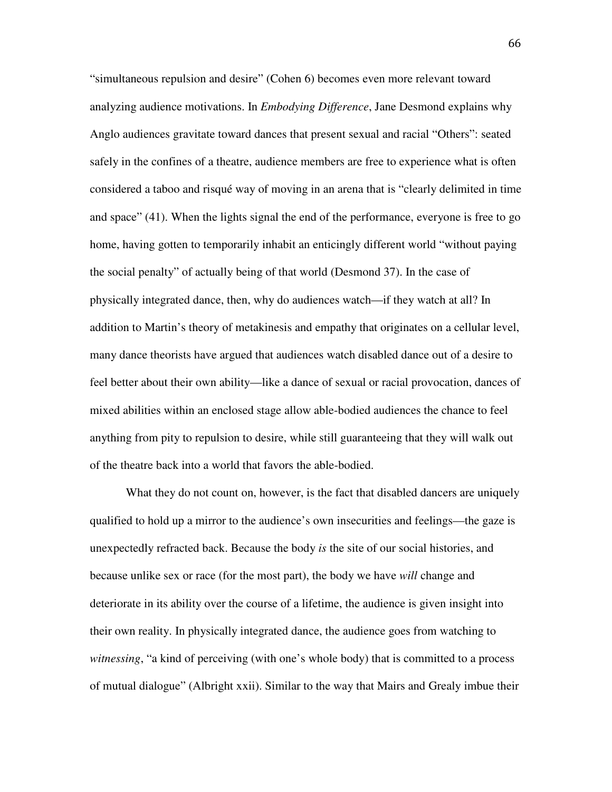"simultaneous repulsion and desire" (Cohen 6) becomes even more relevant toward analyzing audience motivations. In *Embodying Difference*, Jane Desmond explains why Anglo audiences gravitate toward dances that present sexual and racial "Others": seated safely in the confines of a theatre, audience members are free to experience what is often considered a taboo and risqué way of moving in an arena that is "clearly delimited in time and space" (41). When the lights signal the end of the performance, everyone is free to go home, having gotten to temporarily inhabit an enticingly different world "without paying the social penalty" of actually being of that world (Desmond 37). In the case of physically integrated dance, then, why do audiences watch—if they watch at all? In addition to Martin's theory of metakinesis and empathy that originates on a cellular level, many dance theorists have argued that audiences watch disabled dance out of a desire to feel better about their own ability—like a dance of sexual or racial provocation, dances of mixed abilities within an enclosed stage allow able-bodied audiences the chance to feel anything from pity to repulsion to desire, while still guaranteeing that they will walk out of the theatre back into a world that favors the able-bodied.

What they do not count on, however, is the fact that disabled dancers are uniquely qualified to hold up a mirror to the audience's own insecurities and feelings—the gaze is unexpectedly refracted back. Because the body *is* the site of our social histories, and because unlike sex or race (for the most part), the body we have *will* change and deteriorate in its ability over the course of a lifetime, the audience is given insight into their own reality. In physically integrated dance, the audience goes from watching to *witnessing*, "a kind of perceiving (with one's whole body) that is committed to a process of mutual dialogue" (Albright xxii). Similar to the way that Mairs and Grealy imbue their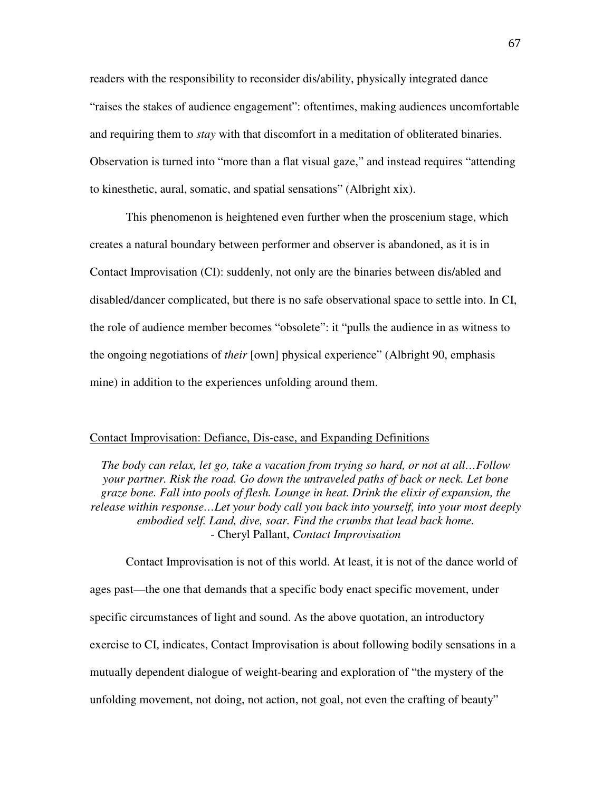readers with the responsibility to reconsider dis/ability, physically integrated dance "raises the stakes of audience engagement": oftentimes, making audiences uncomfortable and requiring them to *stay* with that discomfort in a meditation of obliterated binaries. Observation is turned into "more than a flat visual gaze," and instead requires "attending to kinesthetic, aural, somatic, and spatial sensations" (Albright xix).

This phenomenon is heightened even further when the proscenium stage, which creates a natural boundary between performer and observer is abandoned, as it is in Contact Improvisation (CI): suddenly, not only are the binaries between dis/abled and disabled/dancer complicated, but there is no safe observational space to settle into. In CI, the role of audience member becomes "obsolete": it "pulls the audience in as witness to the ongoing negotiations of *their* [own] physical experience" (Albright 90, emphasis mine) in addition to the experiences unfolding around them.

# Contact Improvisation: Defiance, Dis-ease, and Expanding Definitions

*The body can relax, let go, take a vacation from trying so hard, or not at all…Follow your partner. Risk the road. Go down the untraveled paths of back or neck. Let bone graze bone. Fall into pools of flesh. Lounge in heat. Drink the elixir of expansion, the release within response…Let your body call you back into yourself, into your most deeply embodied self. Land, dive, soar. Find the crumbs that lead back home.*  - Cheryl Pallant, *Contact Improvisation* 

Contact Improvisation is not of this world. At least, it is not of the dance world of ages past—the one that demands that a specific body enact specific movement, under specific circumstances of light and sound. As the above quotation, an introductory exercise to CI, indicates, Contact Improvisation is about following bodily sensations in a mutually dependent dialogue of weight-bearing and exploration of "the mystery of the unfolding movement, not doing, not action, not goal, not even the crafting of beauty"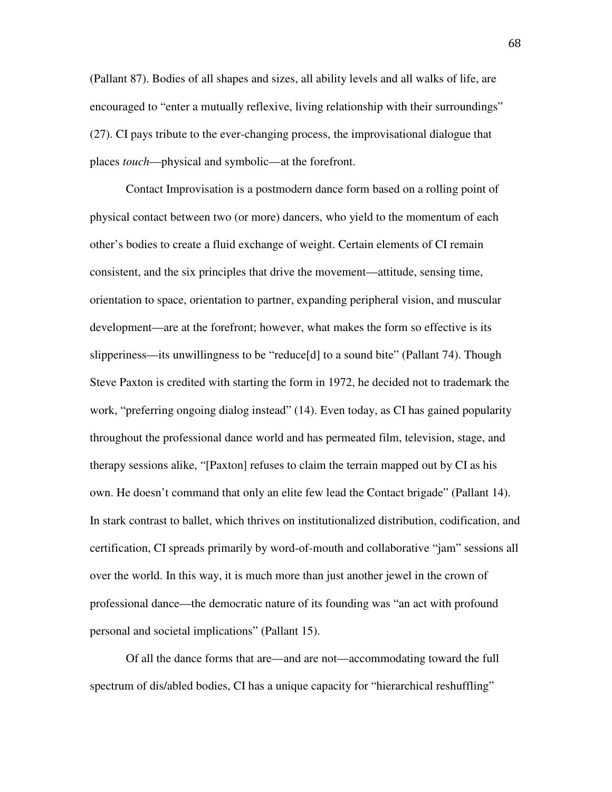(Pallant 87). Bodies of all shapes and sizes, all ability levels and all walks of life, are encouraged to "enter a mutually reflexive, living relationship with their surroundings" (27). CI pays tribute to the ever-changing process, the improvisational dialogue that places *touch*—physical and symbolic—at the forefront.

 Contact Improvisation is a postmodern dance form based on a rolling point of physical contact between two (or more) dancers, who yield to the momentum of each other's bodies to create a fluid exchange of weight. Certain elements of CI remain consistent, and the six principles that drive the movement—attitude, sensing time, orientation to space, orientation to partner, expanding peripheral vision, and muscular development—are at the forefront; however, what makes the form so effective is its slipperiness—its unwillingness to be "reduce[d] to a sound bite" (Pallant 74). Though Steve Paxton is credited with starting the form in 1972, he decided not to trademark the work, "preferring ongoing dialog instead" (14). Even today, as CI has gained popularity throughout the professional dance world and has permeated film, television, stage, and therapy sessions alike, "[Paxton] refuses to claim the terrain mapped out by CI as his own. He doesn't command that only an elite few lead the Contact brigade" (Pallant 14). In stark contrast to ballet, which thrives on institutionalized distribution, codification, and certification, CI spreads primarily by word-of-mouth and collaborative "jam" sessions all over the world. In this way, it is much more than just another jewel in the crown of professional dance—the democratic nature of its founding was "an act with profound personal and societal implications" (Pallant 15).

 Of all the dance forms that are—and are not—accommodating toward the full spectrum of dis/abled bodies, CI has a unique capacity for "hierarchical reshuffling"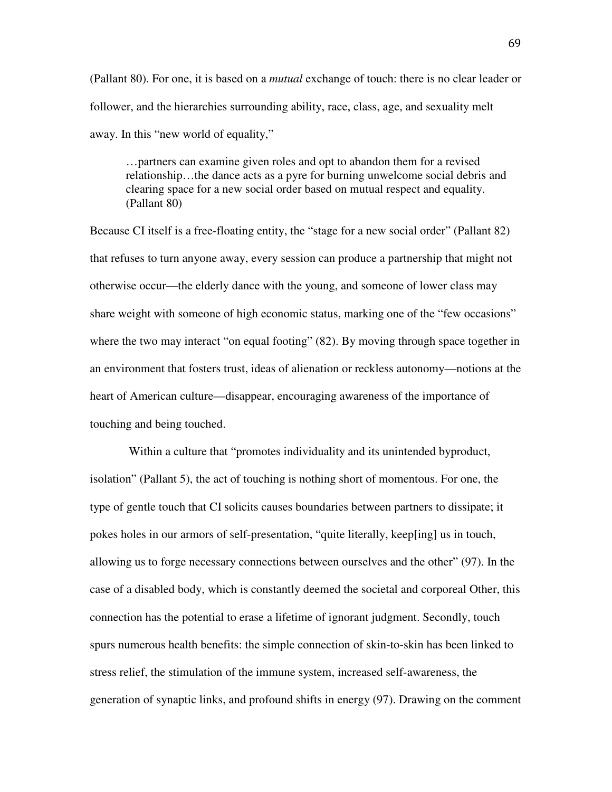(Pallant 80). For one, it is based on a *mutual* exchange of touch: there is no clear leader or follower, and the hierarchies surrounding ability, race, class, age, and sexuality melt away. In this "new world of equality,"

…partners can examine given roles and opt to abandon them for a revised relationship…the dance acts as a pyre for burning unwelcome social debris and clearing space for a new social order based on mutual respect and equality. (Pallant 80)

Because CI itself is a free-floating entity, the "stage for a new social order" (Pallant 82) that refuses to turn anyone away, every session can produce a partnership that might not otherwise occur—the elderly dance with the young, and someone of lower class may share weight with someone of high economic status, marking one of the "few occasions" where the two may interact "on equal footing" (82). By moving through space together in an environment that fosters trust, ideas of alienation or reckless autonomy—notions at the heart of American culture—disappear, encouraging awareness of the importance of touching and being touched.

 Within a culture that "promotes individuality and its unintended byproduct, isolation" (Pallant 5), the act of touching is nothing short of momentous. For one, the type of gentle touch that CI solicits causes boundaries between partners to dissipate; it pokes holes in our armors of self-presentation, "quite literally, keep[ing] us in touch, allowing us to forge necessary connections between ourselves and the other" (97). In the case of a disabled body, which is constantly deemed the societal and corporeal Other, this connection has the potential to erase a lifetime of ignorant judgment. Secondly, touch spurs numerous health benefits: the simple connection of skin-to-skin has been linked to stress relief, the stimulation of the immune system, increased self-awareness, the generation of synaptic links, and profound shifts in energy (97). Drawing on the comment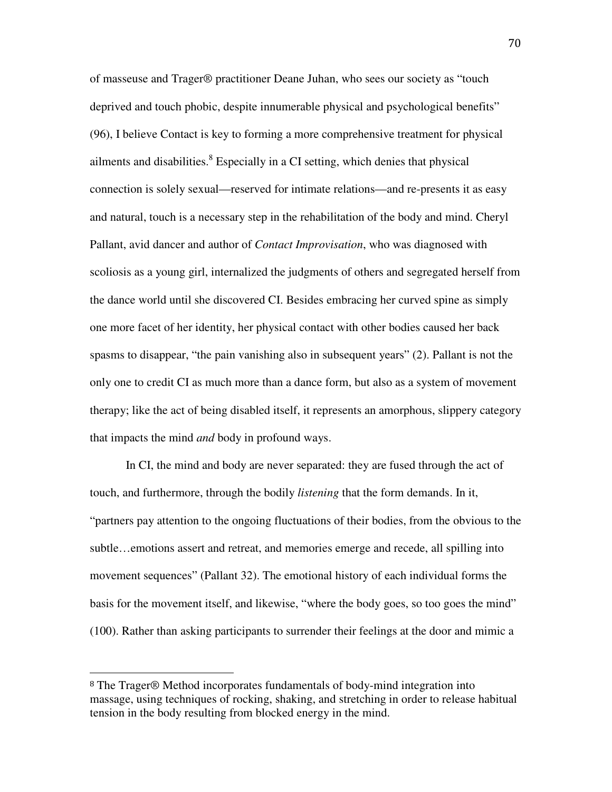of masseuse and Trager® practitioner Deane Juhan, who sees our society as "touch deprived and touch phobic, despite innumerable physical and psychological benefits" (96), I believe Contact is key to forming a more comprehensive treatment for physical ailments and disabilities. ${}^{8}$  Especially in a CI setting, which denies that physical connection is solely sexual—reserved for intimate relations—and re-presents it as easy and natural, touch is a necessary step in the rehabilitation of the body and mind. Cheryl Pallant, avid dancer and author of *Contact Improvisation*, who was diagnosed with scoliosis as a young girl, internalized the judgments of others and segregated herself from the dance world until she discovered CI. Besides embracing her curved spine as simply one more facet of her identity, her physical contact with other bodies caused her back spasms to disappear, "the pain vanishing also in subsequent years" (2). Pallant is not the only one to credit CI as much more than a dance form, but also as a system of movement therapy; like the act of being disabled itself, it represents an amorphous, slippery category that impacts the mind *and* body in profound ways.

 In CI, the mind and body are never separated: they are fused through the act of touch, and furthermore, through the bodily *listening* that the form demands. In it, "partners pay attention to the ongoing fluctuations of their bodies, from the obvious to the subtle…emotions assert and retreat, and memories emerge and recede, all spilling into movement sequences" (Pallant 32). The emotional history of each individual forms the basis for the movement itself, and likewise, "where the body goes, so too goes the mind" (100). Rather than asking participants to surrender their feelings at the door and mimic a

 $\overline{a}$ 

<sup>8</sup> The Trager® Method incorporates fundamentals of body-mind integration into massage, using techniques of rocking, shaking, and stretching in order to release habitual tension in the body resulting from blocked energy in the mind.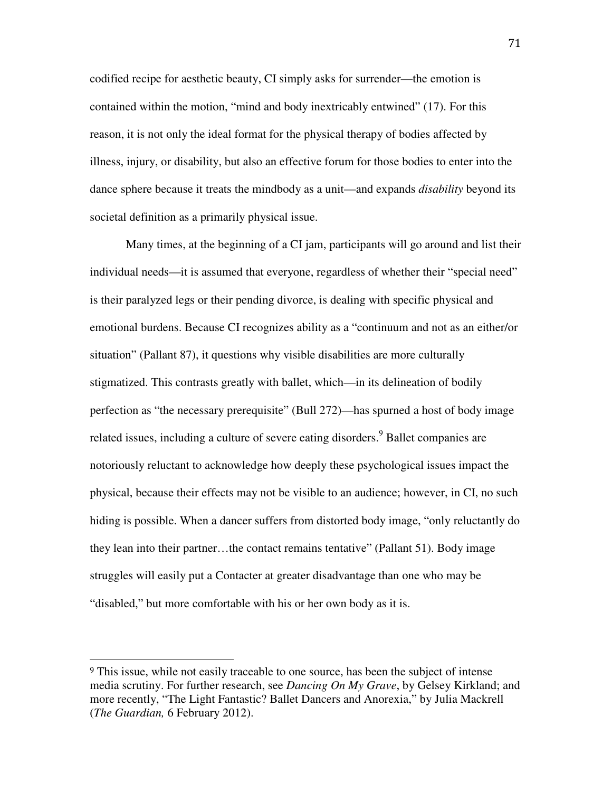codified recipe for aesthetic beauty, CI simply asks for surrender—the emotion is contained within the motion, "mind and body inextricably entwined" (17). For this reason, it is not only the ideal format for the physical therapy of bodies affected by illness, injury, or disability, but also an effective forum for those bodies to enter into the dance sphere because it treats the mindbody as a unit—and expands *disability* beyond its societal definition as a primarily physical issue.

 Many times, at the beginning of a CI jam, participants will go around and list their individual needs—it is assumed that everyone, regardless of whether their "special need" is their paralyzed legs or their pending divorce, is dealing with specific physical and emotional burdens. Because CI recognizes ability as a "continuum and not as an either/or situation" (Pallant 87), it questions why visible disabilities are more culturally stigmatized. This contrasts greatly with ballet, which—in its delineation of bodily perfection as "the necessary prerequisite" (Bull 272)—has spurned a host of body image related issues, including a culture of severe eating disorders.<sup>9</sup> Ballet companies are notoriously reluctant to acknowledge how deeply these psychological issues impact the physical, because their effects may not be visible to an audience; however, in CI, no such hiding is possible. When a dancer suffers from distorted body image, "only reluctantly do they lean into their partner…the contact remains tentative" (Pallant 51). Body image struggles will easily put a Contacter at greater disadvantage than one who may be "disabled," but more comfortable with his or her own body as it is.

 $\overline{a}$ 

<sup>&</sup>lt;sup>9</sup> This issue, while not easily traceable to one source, has been the subject of intense media scrutiny. For further research, see *Dancing On My Grave*, by Gelsey Kirkland; and more recently, "The Light Fantastic? Ballet Dancers and Anorexia," by Julia Mackrell (*The Guardian,* 6 February 2012).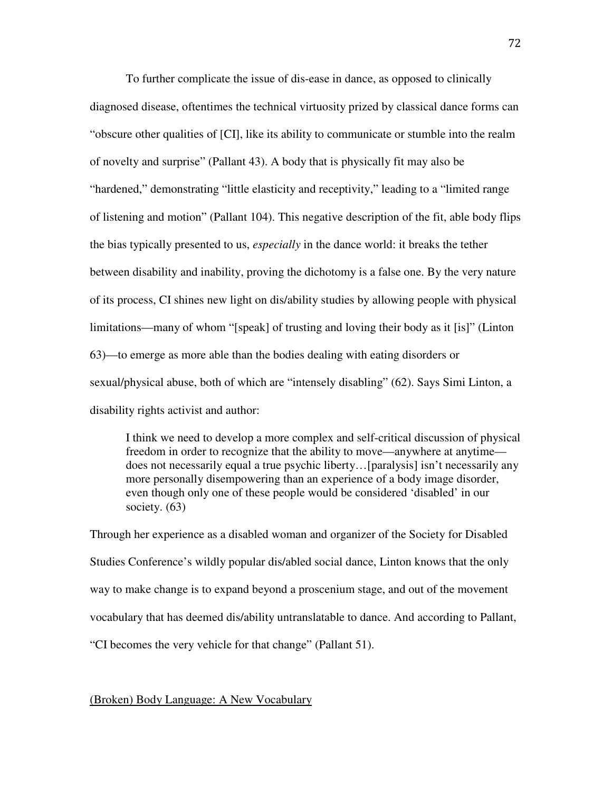To further complicate the issue of dis-ease in dance, as opposed to clinically diagnosed disease, oftentimes the technical virtuosity prized by classical dance forms can "obscure other qualities of [CI], like its ability to communicate or stumble into the realm of novelty and surprise" (Pallant 43). A body that is physically fit may also be "hardened," demonstrating "little elasticity and receptivity," leading to a "limited range of listening and motion" (Pallant 104). This negative description of the fit, able body flips the bias typically presented to us, *especially* in the dance world: it breaks the tether between disability and inability, proving the dichotomy is a false one. By the very nature of its process, CI shines new light on dis/ability studies by allowing people with physical limitations—many of whom "[speak] of trusting and loving their body as it [is]" (Linton 63)—to emerge as more able than the bodies dealing with eating disorders or sexual/physical abuse, both of which are "intensely disabling" (62). Says Simi Linton, a disability rights activist and author:

I think we need to develop a more complex and self-critical discussion of physical freedom in order to recognize that the ability to move—anywhere at anytime does not necessarily equal a true psychic liberty…[paralysis] isn't necessarily any more personally disempowering than an experience of a body image disorder, even though only one of these people would be considered 'disabled' in our society. (63)

Through her experience as a disabled woman and organizer of the Society for Disabled Studies Conference's wildly popular dis/abled social dance, Linton knows that the only way to make change is to expand beyond a proscenium stage, and out of the movement vocabulary that has deemed dis/ability untranslatable to dance. And according to Pallant, "CI becomes the very vehicle for that change" (Pallant 51).

(Broken) Body Language: A New Vocabulary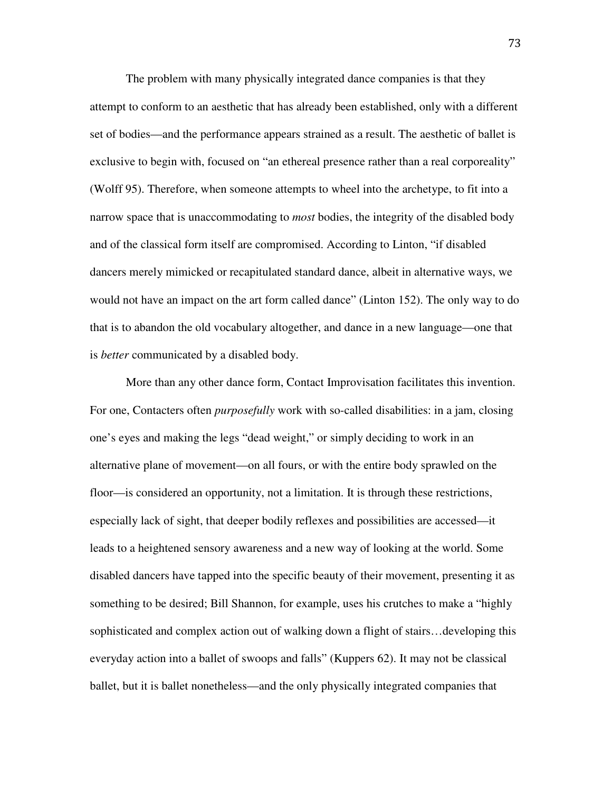The problem with many physically integrated dance companies is that they attempt to conform to an aesthetic that has already been established, only with a different set of bodies—and the performance appears strained as a result. The aesthetic of ballet is exclusive to begin with, focused on "an ethereal presence rather than a real corporeality" (Wolff 95). Therefore, when someone attempts to wheel into the archetype, to fit into a narrow space that is unaccommodating to *most* bodies, the integrity of the disabled body and of the classical form itself are compromised. According to Linton, "if disabled dancers merely mimicked or recapitulated standard dance, albeit in alternative ways, we would not have an impact on the art form called dance" (Linton 152). The only way to do that is to abandon the old vocabulary altogether, and dance in a new language—one that is *better* communicated by a disabled body.

More than any other dance form, Contact Improvisation facilitates this invention. For one, Contacters often *purposefully* work with so-called disabilities: in a jam, closing one's eyes and making the legs "dead weight," or simply deciding to work in an alternative plane of movement—on all fours, or with the entire body sprawled on the floor—is considered an opportunity, not a limitation. It is through these restrictions, especially lack of sight, that deeper bodily reflexes and possibilities are accessed—it leads to a heightened sensory awareness and a new way of looking at the world. Some disabled dancers have tapped into the specific beauty of their movement, presenting it as something to be desired; Bill Shannon, for example, uses his crutches to make a "highly sophisticated and complex action out of walking down a flight of stairs…developing this everyday action into a ballet of swoops and falls" (Kuppers 62). It may not be classical ballet, but it is ballet nonetheless—and the only physically integrated companies that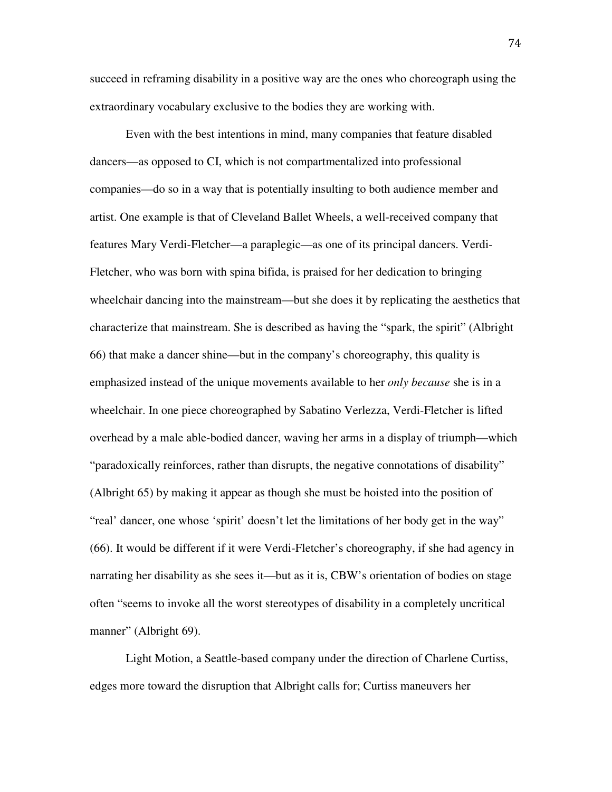succeed in reframing disability in a positive way are the ones who choreograph using the extraordinary vocabulary exclusive to the bodies they are working with.

Even with the best intentions in mind, many companies that feature disabled dancers—as opposed to CI, which is not compartmentalized into professional companies—do so in a way that is potentially insulting to both audience member and artist. One example is that of Cleveland Ballet Wheels, a well-received company that features Mary Verdi-Fletcher—a paraplegic—as one of its principal dancers. Verdi-Fletcher, who was born with spina bifida, is praised for her dedication to bringing wheelchair dancing into the mainstream—but she does it by replicating the aesthetics that characterize that mainstream. She is described as having the "spark, the spirit" (Albright 66) that make a dancer shine—but in the company's choreography, this quality is emphasized instead of the unique movements available to her *only because* she is in a wheelchair. In one piece choreographed by Sabatino Verlezza, Verdi-Fletcher is lifted overhead by a male able-bodied dancer, waving her arms in a display of triumph—which "paradoxically reinforces, rather than disrupts, the negative connotations of disability" (Albright 65) by making it appear as though she must be hoisted into the position of "real' dancer, one whose 'spirit' doesn't let the limitations of her body get in the way" (66). It would be different if it were Verdi-Fletcher's choreography, if she had agency in narrating her disability as she sees it—but as it is, CBW's orientation of bodies on stage often "seems to invoke all the worst stereotypes of disability in a completely uncritical manner" (Albright 69).

Light Motion, a Seattle-based company under the direction of Charlene Curtiss, edges more toward the disruption that Albright calls for; Curtiss maneuvers her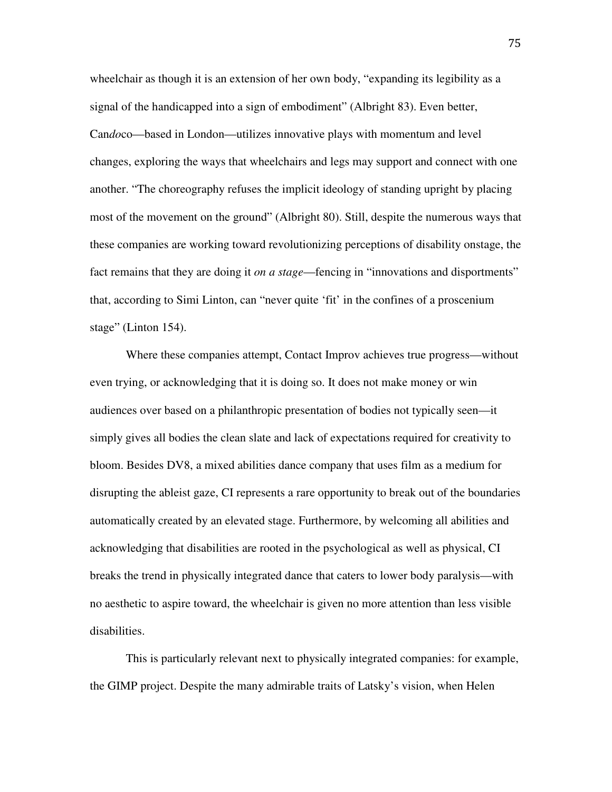wheelchair as though it is an extension of her own body, "expanding its legibility as a signal of the handicapped into a sign of embodiment" (Albright 83). Even better, Can*do*co—based in London—utilizes innovative plays with momentum and level changes, exploring the ways that wheelchairs and legs may support and connect with one another. "The choreography refuses the implicit ideology of standing upright by placing most of the movement on the ground" (Albright 80). Still, despite the numerous ways that these companies are working toward revolutionizing perceptions of disability onstage, the fact remains that they are doing it *on a stage*—fencing in "innovations and disportments" that, according to Simi Linton, can "never quite 'fit' in the confines of a proscenium stage" (Linton 154).

Where these companies attempt, Contact Improv achieves true progress—without even trying, or acknowledging that it is doing so. It does not make money or win audiences over based on a philanthropic presentation of bodies not typically seen—it simply gives all bodies the clean slate and lack of expectations required for creativity to bloom. Besides DV8, a mixed abilities dance company that uses film as a medium for disrupting the ableist gaze, CI represents a rare opportunity to break out of the boundaries automatically created by an elevated stage. Furthermore, by welcoming all abilities and acknowledging that disabilities are rooted in the psychological as well as physical, CI breaks the trend in physically integrated dance that caters to lower body paralysis—with no aesthetic to aspire toward, the wheelchair is given no more attention than less visible disabilities.

This is particularly relevant next to physically integrated companies: for example, the GIMP project. Despite the many admirable traits of Latsky's vision, when Helen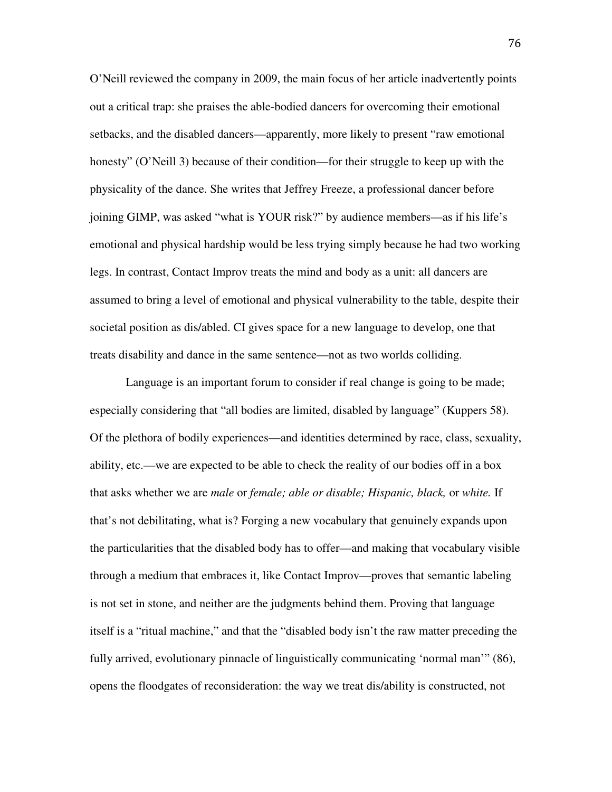O'Neill reviewed the company in 2009, the main focus of her article inadvertently points out a critical trap: she praises the able-bodied dancers for overcoming their emotional setbacks, and the disabled dancers—apparently, more likely to present "raw emotional honesty" (O'Neill 3) because of their condition—for their struggle to keep up with the physicality of the dance. She writes that Jeffrey Freeze, a professional dancer before joining GIMP, was asked "what is YOUR risk?" by audience members—as if his life's emotional and physical hardship would be less trying simply because he had two working legs. In contrast, Contact Improv treats the mind and body as a unit: all dancers are assumed to bring a level of emotional and physical vulnerability to the table, despite their societal position as dis/abled. CI gives space for a new language to develop, one that treats disability and dance in the same sentence—not as two worlds colliding.

Language is an important forum to consider if real change is going to be made; especially considering that "all bodies are limited, disabled by language" (Kuppers 58). Of the plethora of bodily experiences—and identities determined by race, class, sexuality, ability, etc.—we are expected to be able to check the reality of our bodies off in a box that asks whether we are *male* or *female; able or disable; Hispanic, black,* or *white.* If that's not debilitating, what is? Forging a new vocabulary that genuinely expands upon the particularities that the disabled body has to offer—and making that vocabulary visible through a medium that embraces it, like Contact Improv—proves that semantic labeling is not set in stone, and neither are the judgments behind them. Proving that language itself is a "ritual machine," and that the "disabled body isn't the raw matter preceding the fully arrived, evolutionary pinnacle of linguistically communicating 'normal man'" (86), opens the floodgates of reconsideration: the way we treat dis/ability is constructed, not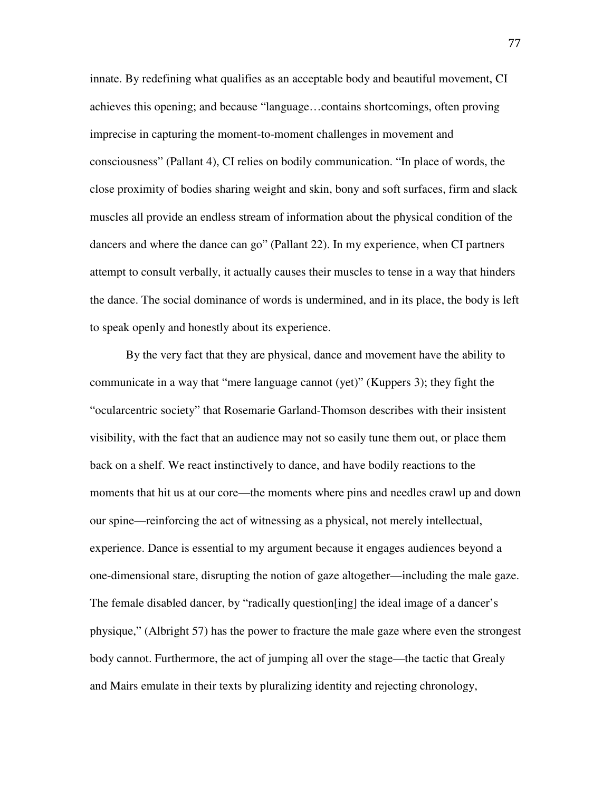innate. By redefining what qualifies as an acceptable body and beautiful movement, CI achieves this opening; and because "language…contains shortcomings, often proving imprecise in capturing the moment-to-moment challenges in movement and consciousness" (Pallant 4), CI relies on bodily communication. "In place of words, the close proximity of bodies sharing weight and skin, bony and soft surfaces, firm and slack muscles all provide an endless stream of information about the physical condition of the dancers and where the dance can go" (Pallant 22). In my experience, when CI partners attempt to consult verbally, it actually causes their muscles to tense in a way that hinders the dance. The social dominance of words is undermined, and in its place, the body is left to speak openly and honestly about its experience.

By the very fact that they are physical, dance and movement have the ability to communicate in a way that "mere language cannot (yet)" (Kuppers 3); they fight the "ocularcentric society" that Rosemarie Garland-Thomson describes with their insistent visibility, with the fact that an audience may not so easily tune them out, or place them back on a shelf. We react instinctively to dance, and have bodily reactions to the moments that hit us at our core—the moments where pins and needles crawl up and down our spine—reinforcing the act of witnessing as a physical, not merely intellectual, experience. Dance is essential to my argument because it engages audiences beyond a one-dimensional stare, disrupting the notion of gaze altogether—including the male gaze. The female disabled dancer, by "radically question[ing] the ideal image of a dancer's physique," (Albright 57) has the power to fracture the male gaze where even the strongest body cannot. Furthermore, the act of jumping all over the stage—the tactic that Grealy and Mairs emulate in their texts by pluralizing identity and rejecting chronology,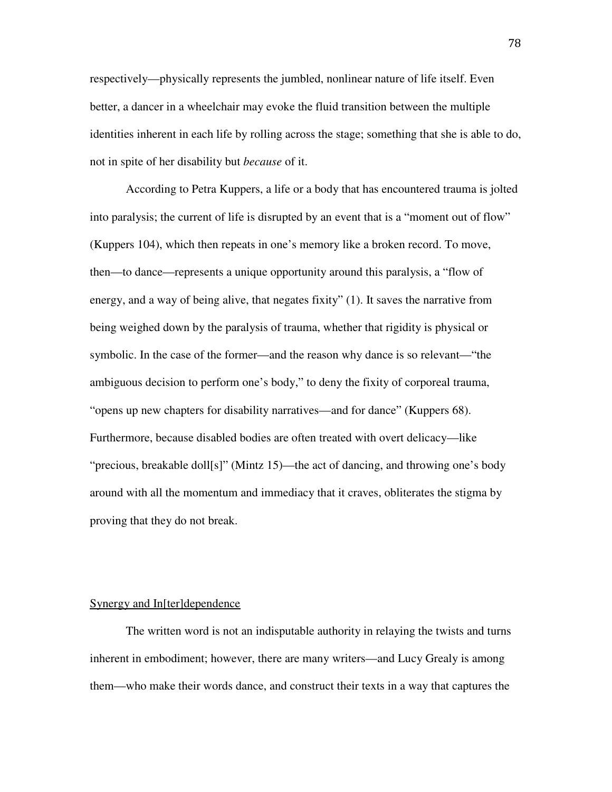respectively—physically represents the jumbled, nonlinear nature of life itself. Even better, a dancer in a wheelchair may evoke the fluid transition between the multiple identities inherent in each life by rolling across the stage; something that she is able to do, not in spite of her disability but *because* of it.

According to Petra Kuppers, a life or a body that has encountered trauma is jolted into paralysis; the current of life is disrupted by an event that is a "moment out of flow" (Kuppers 104), which then repeats in one's memory like a broken record. To move, then—to dance—represents a unique opportunity around this paralysis, a "flow of energy, and a way of being alive, that negates fixity" (1). It saves the narrative from being weighed down by the paralysis of trauma, whether that rigidity is physical or symbolic. In the case of the former—and the reason why dance is so relevant—"the ambiguous decision to perform one's body," to deny the fixity of corporeal trauma, "opens up new chapters for disability narratives—and for dance" (Kuppers 68). Furthermore, because disabled bodies are often treated with overt delicacy—like "precious, breakable doll[s]" (Mintz 15)—the act of dancing, and throwing one's body around with all the momentum and immediacy that it craves, obliterates the stigma by proving that they do not break.

## Synergy and In[ter]dependence

The written word is not an indisputable authority in relaying the twists and turns inherent in embodiment; however, there are many writers—and Lucy Grealy is among them—who make their words dance, and construct their texts in a way that captures the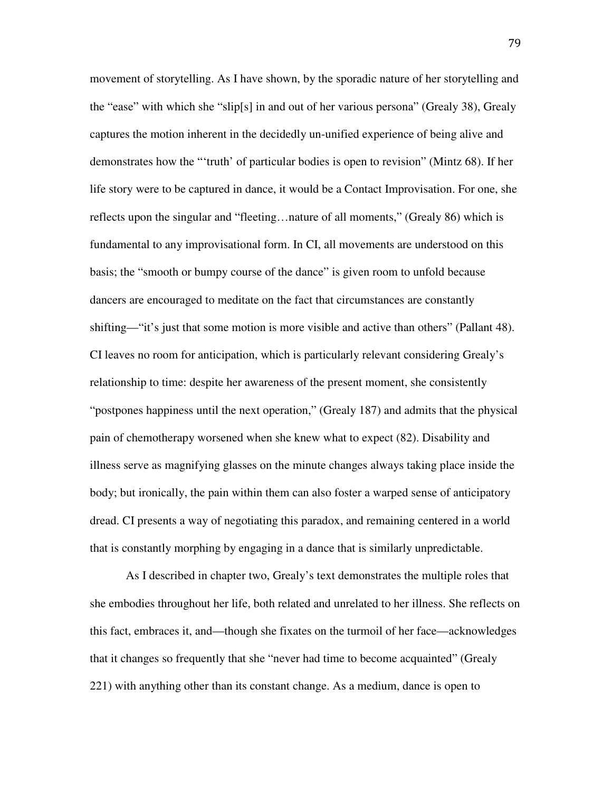movement of storytelling. As I have shown, by the sporadic nature of her storytelling and the "ease" with which she "slip[s] in and out of her various persona" (Grealy 38), Grealy captures the motion inherent in the decidedly un-unified experience of being alive and demonstrates how the "'truth' of particular bodies is open to revision" (Mintz 68). If her life story were to be captured in dance, it would be a Contact Improvisation. For one, she reflects upon the singular and "fleeting…nature of all moments," (Grealy 86) which is fundamental to any improvisational form. In CI, all movements are understood on this basis; the "smooth or bumpy course of the dance" is given room to unfold because dancers are encouraged to meditate on the fact that circumstances are constantly shifting—"it's just that some motion is more visible and active than others" (Pallant 48). CI leaves no room for anticipation, which is particularly relevant considering Grealy's relationship to time: despite her awareness of the present moment, she consistently "postpones happiness until the next operation," (Grealy 187) and admits that the physical pain of chemotherapy worsened when she knew what to expect (82). Disability and illness serve as magnifying glasses on the minute changes always taking place inside the body; but ironically, the pain within them can also foster a warped sense of anticipatory dread. CI presents a way of negotiating this paradox, and remaining centered in a world that is constantly morphing by engaging in a dance that is similarly unpredictable.

As I described in chapter two, Grealy's text demonstrates the multiple roles that she embodies throughout her life, both related and unrelated to her illness. She reflects on this fact, embraces it, and—though she fixates on the turmoil of her face—acknowledges that it changes so frequently that she "never had time to become acquainted" (Grealy 221) with anything other than its constant change. As a medium, dance is open to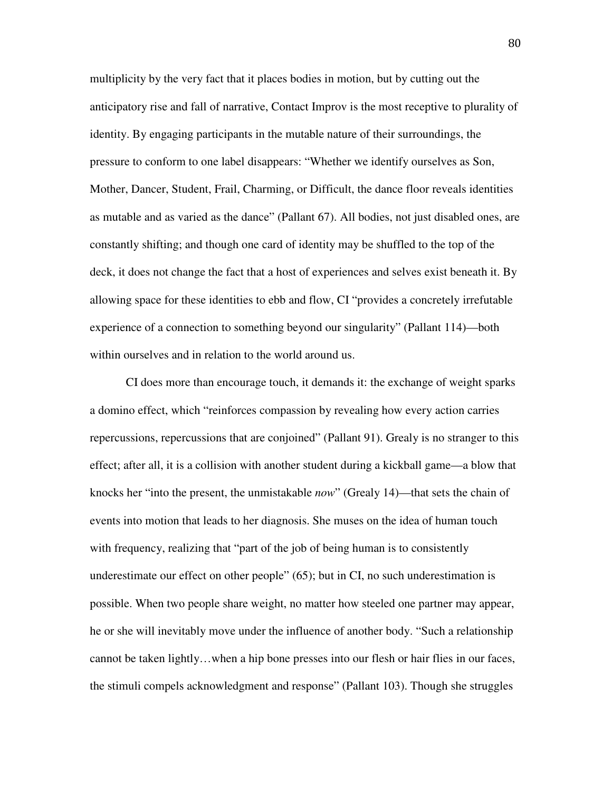multiplicity by the very fact that it places bodies in motion, but by cutting out the anticipatory rise and fall of narrative, Contact Improv is the most receptive to plurality of identity. By engaging participants in the mutable nature of their surroundings, the pressure to conform to one label disappears: "Whether we identify ourselves as Son, Mother, Dancer, Student, Frail, Charming, or Difficult, the dance floor reveals identities as mutable and as varied as the dance" (Pallant 67). All bodies, not just disabled ones, are constantly shifting; and though one card of identity may be shuffled to the top of the deck, it does not change the fact that a host of experiences and selves exist beneath it. By allowing space for these identities to ebb and flow, CI "provides a concretely irrefutable experience of a connection to something beyond our singularity" (Pallant 114)—both within ourselves and in relation to the world around us.

CI does more than encourage touch, it demands it: the exchange of weight sparks a domino effect, which "reinforces compassion by revealing how every action carries repercussions, repercussions that are conjoined" (Pallant 91). Grealy is no stranger to this effect; after all, it is a collision with another student during a kickball game—a blow that knocks her "into the present, the unmistakable *now*" (Grealy 14)—that sets the chain of events into motion that leads to her diagnosis. She muses on the idea of human touch with frequency, realizing that "part of the job of being human is to consistently underestimate our effect on other people" (65); but in CI, no such underestimation is possible. When two people share weight, no matter how steeled one partner may appear, he or she will inevitably move under the influence of another body. "Such a relationship cannot be taken lightly…when a hip bone presses into our flesh or hair flies in our faces, the stimuli compels acknowledgment and response" (Pallant 103). Though she struggles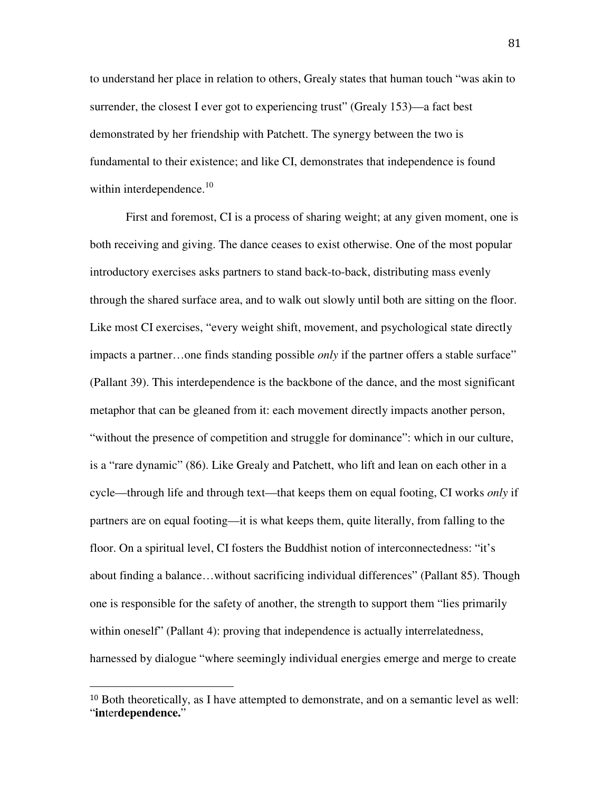to understand her place in relation to others, Grealy states that human touch "was akin to surrender, the closest I ever got to experiencing trust" (Grealy 153)—a fact best demonstrated by her friendship with Patchett. The synergy between the two is fundamental to their existence; and like CI, demonstrates that independence is found within interdependence.<sup>10</sup>

First and foremost, CI is a process of sharing weight; at any given moment, one is both receiving and giving. The dance ceases to exist otherwise. One of the most popular introductory exercises asks partners to stand back-to-back, distributing mass evenly through the shared surface area, and to walk out slowly until both are sitting on the floor. Like most CI exercises, "every weight shift, movement, and psychological state directly impacts a partner…one finds standing possible *only* if the partner offers a stable surface" (Pallant 39). This interdependence is the backbone of the dance, and the most significant metaphor that can be gleaned from it: each movement directly impacts another person, "without the presence of competition and struggle for dominance": which in our culture, is a "rare dynamic" (86). Like Grealy and Patchett, who lift and lean on each other in a cycle—through life and through text—that keeps them on equal footing, CI works *only* if partners are on equal footing—it is what keeps them, quite literally, from falling to the floor. On a spiritual level, CI fosters the Buddhist notion of interconnectedness: "it's about finding a balance…without sacrificing individual differences" (Pallant 85). Though one is responsible for the safety of another, the strength to support them "lies primarily within oneself" (Pallant 4): proving that independence is actually interrelatedness, harnessed by dialogue "where seemingly individual energies emerge and merge to create

 $\overline{a}$ 

<sup>10</sup> Both theoretically, as I have attempted to demonstrate, and on a semantic level as well: "**in**ter**dependence.**"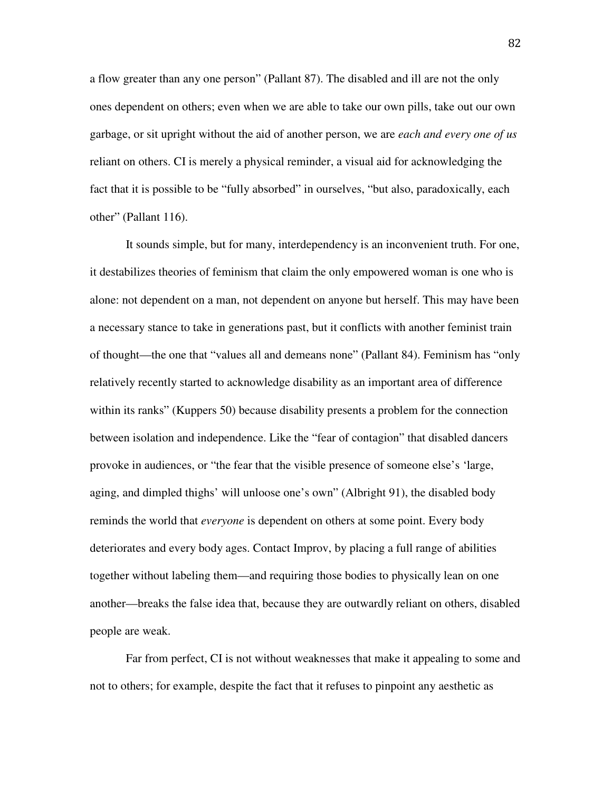a flow greater than any one person" (Pallant 87). The disabled and ill are not the only ones dependent on others; even when we are able to take our own pills, take out our own garbage, or sit upright without the aid of another person, we are *each and every one of us* reliant on others. CI is merely a physical reminder, a visual aid for acknowledging the fact that it is possible to be "fully absorbed" in ourselves, "but also, paradoxically, each other" (Pallant 116).

It sounds simple, but for many, interdependency is an inconvenient truth. For one, it destabilizes theories of feminism that claim the only empowered woman is one who is alone: not dependent on a man, not dependent on anyone but herself. This may have been a necessary stance to take in generations past, but it conflicts with another feminist train of thought—the one that "values all and demeans none" (Pallant 84). Feminism has "only relatively recently started to acknowledge disability as an important area of difference within its ranks" (Kuppers 50) because disability presents a problem for the connection between isolation and independence. Like the "fear of contagion" that disabled dancers provoke in audiences, or "the fear that the visible presence of someone else's 'large, aging, and dimpled thighs' will unloose one's own" (Albright 91), the disabled body reminds the world that *everyone* is dependent on others at some point. Every body deteriorates and every body ages. Contact Improv, by placing a full range of abilities together without labeling them—and requiring those bodies to physically lean on one another—breaks the false idea that, because they are outwardly reliant on others, disabled people are weak.

Far from perfect, CI is not without weaknesses that make it appealing to some and not to others; for example, despite the fact that it refuses to pinpoint any aesthetic as

82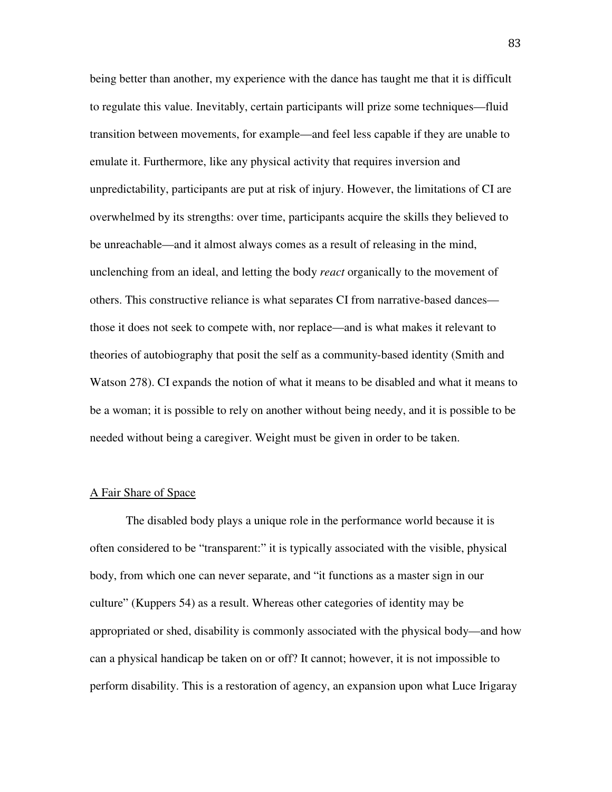being better than another, my experience with the dance has taught me that it is difficult to regulate this value. Inevitably, certain participants will prize some techniques—fluid transition between movements, for example—and feel less capable if they are unable to emulate it. Furthermore, like any physical activity that requires inversion and unpredictability, participants are put at risk of injury. However, the limitations of CI are overwhelmed by its strengths: over time, participants acquire the skills they believed to be unreachable—and it almost always comes as a result of releasing in the mind, unclenching from an ideal, and letting the body *react* organically to the movement of others. This constructive reliance is what separates CI from narrative-based dances those it does not seek to compete with, nor replace—and is what makes it relevant to theories of autobiography that posit the self as a community-based identity (Smith and Watson 278). CI expands the notion of what it means to be disabled and what it means to be a woman; it is possible to rely on another without being needy, and it is possible to be needed without being a caregiver. Weight must be given in order to be taken.

### A Fair Share of Space

The disabled body plays a unique role in the performance world because it is often considered to be "transparent:" it is typically associated with the visible, physical body, from which one can never separate, and "it functions as a master sign in our culture" (Kuppers 54) as a result. Whereas other categories of identity may be appropriated or shed, disability is commonly associated with the physical body—and how can a physical handicap be taken on or off? It cannot; however, it is not impossible to perform disability. This is a restoration of agency, an expansion upon what Luce Irigaray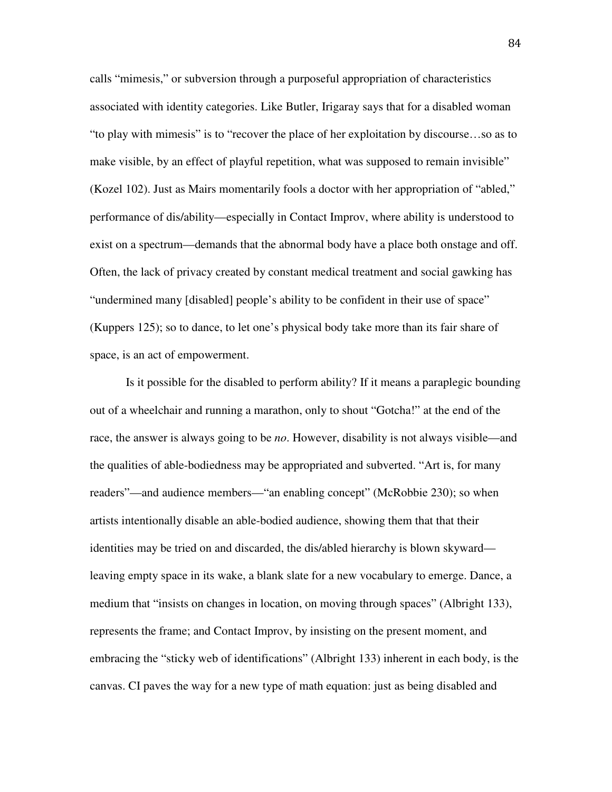calls "mimesis," or subversion through a purposeful appropriation of characteristics associated with identity categories. Like Butler, Irigaray says that for a disabled woman "to play with mimesis" is to "recover the place of her exploitation by discourse…so as to make visible, by an effect of playful repetition, what was supposed to remain invisible" (Kozel 102). Just as Mairs momentarily fools a doctor with her appropriation of "abled," performance of dis/ability—especially in Contact Improv, where ability is understood to exist on a spectrum—demands that the abnormal body have a place both onstage and off. Often, the lack of privacy created by constant medical treatment and social gawking has "undermined many [disabled] people's ability to be confident in their use of space" (Kuppers 125); so to dance, to let one's physical body take more than its fair share of space, is an act of empowerment.

Is it possible for the disabled to perform ability? If it means a paraplegic bounding out of a wheelchair and running a marathon, only to shout "Gotcha!" at the end of the race, the answer is always going to be *no*. However, disability is not always visible—and the qualities of able-bodiedness may be appropriated and subverted. "Art is, for many readers"—and audience members—"an enabling concept" (McRobbie 230); so when artists intentionally disable an able-bodied audience, showing them that that their identities may be tried on and discarded, the dis/abled hierarchy is blown skyward leaving empty space in its wake, a blank slate for a new vocabulary to emerge. Dance, a medium that "insists on changes in location, on moving through spaces" (Albright 133), represents the frame; and Contact Improv, by insisting on the present moment, and embracing the "sticky web of identifications" (Albright 133) inherent in each body, is the canvas. CI paves the way for a new type of math equation: just as being disabled and

84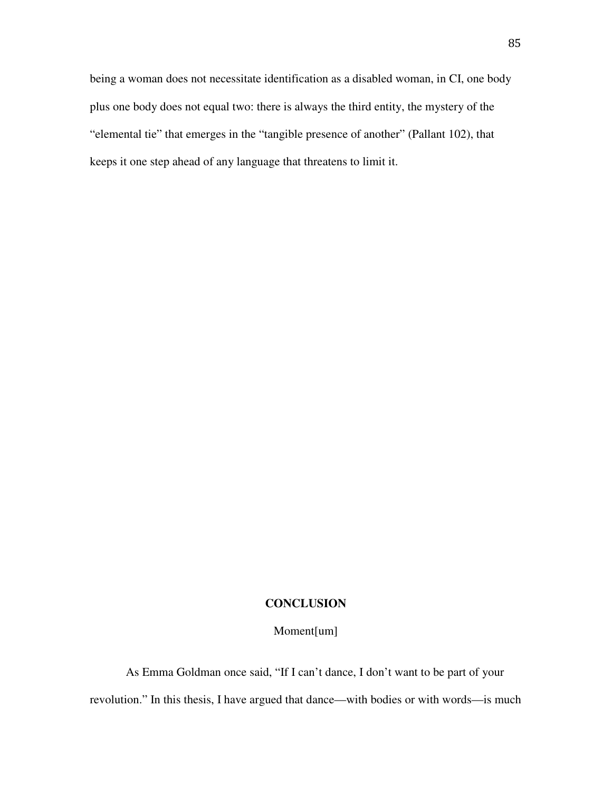being a woman does not necessitate identification as a disabled woman, in CI, one body plus one body does not equal two: there is always the third entity, the mystery of the "elemental tie" that emerges in the "tangible presence of another" (Pallant 102), that keeps it one step ahead of any language that threatens to limit it.

### **CONCLUSION**

# Moment[um]

 As Emma Goldman once said, "If I can't dance, I don't want to be part of your revolution." In this thesis, I have argued that dance—with bodies or with words—is much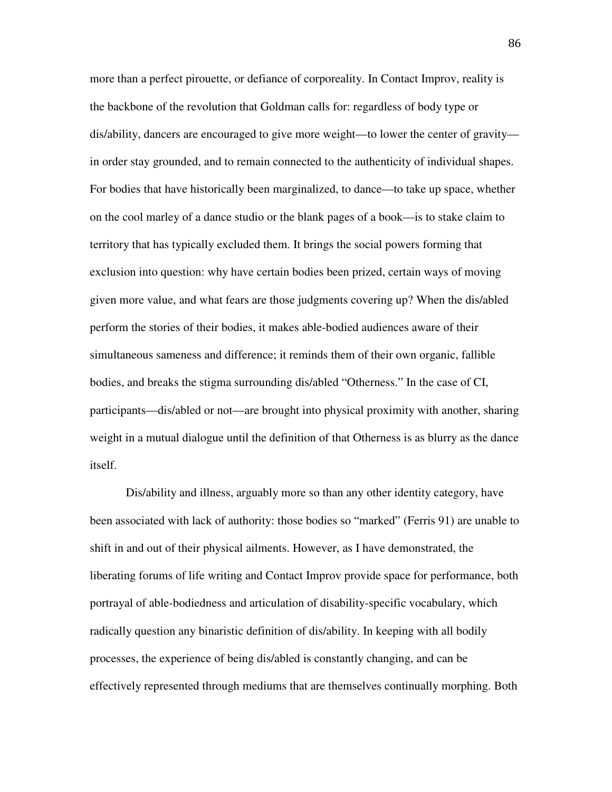more than a perfect pirouette, or defiance of corporeality. In Contact Improv, reality is the backbone of the revolution that Goldman calls for: regardless of body type or dis/ability, dancers are encouraged to give more weight—to lower the center of gravity in order stay grounded, and to remain connected to the authenticity of individual shapes. For bodies that have historically been marginalized, to dance—to take up space, whether on the cool marley of a dance studio or the blank pages of a book—is to stake claim to territory that has typically excluded them. It brings the social powers forming that exclusion into question: why have certain bodies been prized, certain ways of moving given more value, and what fears are those judgments covering up? When the dis/abled perform the stories of their bodies, it makes able-bodied audiences aware of their simultaneous sameness and difference; it reminds them of their own organic, fallible bodies, and breaks the stigma surrounding dis/abled "Otherness." In the case of CI, participants—dis/abled or not—are brought into physical proximity with another, sharing weight in a mutual dialogue until the definition of that Otherness is as blurry as the dance itself.

Dis/ability and illness, arguably more so than any other identity category, have been associated with lack of authority: those bodies so "marked" (Ferris 91) are unable to shift in and out of their physical ailments. However, as I have demonstrated, the liberating forums of life writing and Contact Improv provide space for performance, both portrayal of able-bodiedness and articulation of disability-specific vocabulary, which radically question any binaristic definition of dis/ability. In keeping with all bodily processes, the experience of being dis/abled is constantly changing, and can be effectively represented through mediums that are themselves continually morphing. Both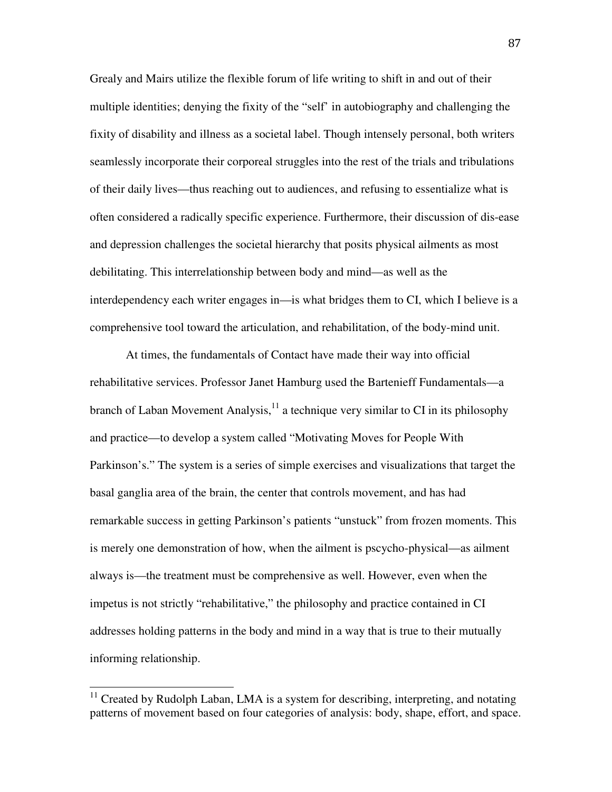Grealy and Mairs utilize the flexible forum of life writing to shift in and out of their multiple identities; denying the fixity of the "self' in autobiography and challenging the fixity of disability and illness as a societal label. Though intensely personal, both writers seamlessly incorporate their corporeal struggles into the rest of the trials and tribulations of their daily lives—thus reaching out to audiences, and refusing to essentialize what is often considered a radically specific experience. Furthermore, their discussion of dis-ease and depression challenges the societal hierarchy that posits physical ailments as most debilitating. This interrelationship between body and mind—as well as the interdependency each writer engages in—is what bridges them to CI, which I believe is a comprehensive tool toward the articulation, and rehabilitation, of the body-mind unit.

At times, the fundamentals of Contact have made their way into official rehabilitative services. Professor Janet Hamburg used the Bartenieff Fundamentals—a branch of Laban Movement Analysis, $<sup>11</sup>$  a technique very similar to CI in its philosophy</sup> and practice—to develop a system called "Motivating Moves for People With Parkinson's." The system is a series of simple exercises and visualizations that target the basal ganglia area of the brain, the center that controls movement, and has had remarkable success in getting Parkinson's patients "unstuck" from frozen moments. This is merely one demonstration of how, when the ailment is pscycho-physical—as ailment always is—the treatment must be comprehensive as well. However, even when the impetus is not strictly "rehabilitative," the philosophy and practice contained in CI addresses holding patterns in the body and mind in a way that is true to their mutually informing relationship.

 $\overline{a}$ 

 $11$  Created by Rudolph Laban, LMA is a system for describing, interpreting, and notating patterns of movement based on four categories of analysis: body, shape, effort, and space.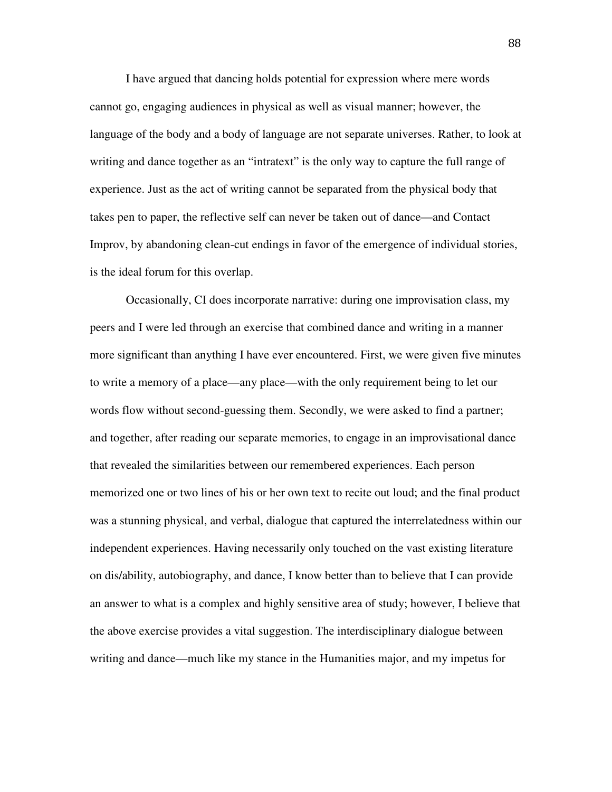I have argued that dancing holds potential for expression where mere words cannot go, engaging audiences in physical as well as visual manner; however, the language of the body and a body of language are not separate universes. Rather, to look at writing and dance together as an "intratext" is the only way to capture the full range of experience. Just as the act of writing cannot be separated from the physical body that takes pen to paper, the reflective self can never be taken out of dance—and Contact Improv, by abandoning clean-cut endings in favor of the emergence of individual stories, is the ideal forum for this overlap.

Occasionally, CI does incorporate narrative: during one improvisation class, my peers and I were led through an exercise that combined dance and writing in a manner more significant than anything I have ever encountered. First, we were given five minutes to write a memory of a place—any place—with the only requirement being to let our words flow without second-guessing them. Secondly, we were asked to find a partner; and together, after reading our separate memories, to engage in an improvisational dance that revealed the similarities between our remembered experiences. Each person memorized one or two lines of his or her own text to recite out loud; and the final product was a stunning physical, and verbal, dialogue that captured the interrelatedness within our independent experiences. Having necessarily only touched on the vast existing literature on dis/ability, autobiography, and dance, I know better than to believe that I can provide an answer to what is a complex and highly sensitive area of study; however, I believe that the above exercise provides a vital suggestion. The interdisciplinary dialogue between writing and dance—much like my stance in the Humanities major, and my impetus for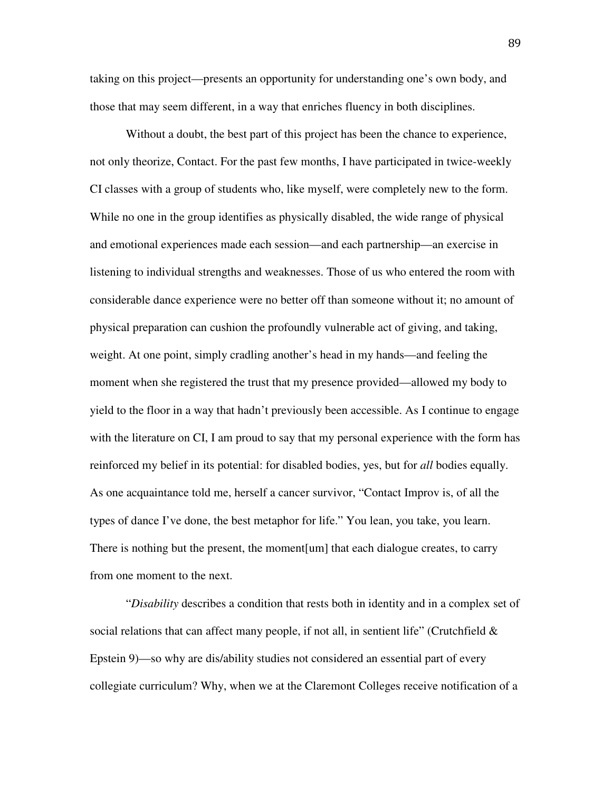taking on this project—presents an opportunity for understanding one's own body, and those that may seem different, in a way that enriches fluency in both disciplines.

Without a doubt, the best part of this project has been the chance to experience, not only theorize, Contact. For the past few months, I have participated in twice-weekly CI classes with a group of students who, like myself, were completely new to the form. While no one in the group identifies as physically disabled, the wide range of physical and emotional experiences made each session—and each partnership—an exercise in listening to individual strengths and weaknesses. Those of us who entered the room with considerable dance experience were no better off than someone without it; no amount of physical preparation can cushion the profoundly vulnerable act of giving, and taking, weight. At one point, simply cradling another's head in my hands—and feeling the moment when she registered the trust that my presence provided—allowed my body to yield to the floor in a way that hadn't previously been accessible. As I continue to engage with the literature on CI, I am proud to say that my personal experience with the form has reinforced my belief in its potential: for disabled bodies, yes, but for *all* bodies equally. As one acquaintance told me, herself a cancer survivor, "Contact Improv is, of all the types of dance I've done, the best metaphor for life." You lean, you take, you learn. There is nothing but the present, the moment[um] that each dialogue creates, to carry from one moment to the next.

"*Disability* describes a condition that rests both in identity and in a complex set of social relations that can affect many people, if not all, in sentient life" (Crutchfield  $\&$ Epstein 9)—so why are dis/ability studies not considered an essential part of every collegiate curriculum? Why, when we at the Claremont Colleges receive notification of a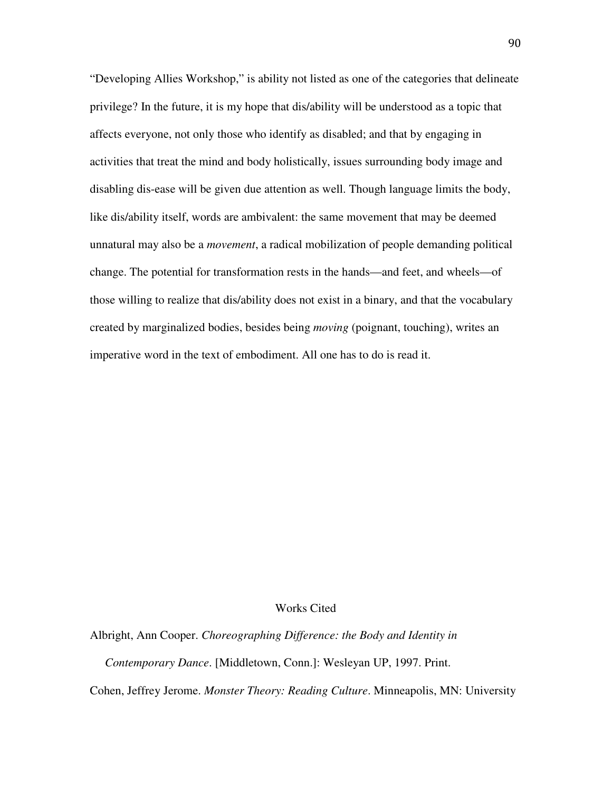"Developing Allies Workshop," is ability not listed as one of the categories that delineate privilege? In the future, it is my hope that dis/ability will be understood as a topic that affects everyone, not only those who identify as disabled; and that by engaging in activities that treat the mind and body holistically, issues surrounding body image and disabling dis-ease will be given due attention as well. Though language limits the body, like dis/ability itself, words are ambivalent: the same movement that may be deemed unnatural may also be a *movement*, a radical mobilization of people demanding political change. The potential for transformation rests in the hands—and feet, and wheels—of those willing to realize that dis/ability does not exist in a binary, and that the vocabulary created by marginalized bodies, besides being *moving* (poignant, touching), writes an imperative word in the text of embodiment. All one has to do is read it.

#### Works Cited

Albright, Ann Cooper. *Choreographing Difference: the Body and Identity in* 

 *Contemporary Dance*. [Middletown, Conn.]: Wesleyan UP, 1997. Print.

Cohen, Jeffrey Jerome. *Monster Theory: Reading Culture*. Minneapolis, MN: University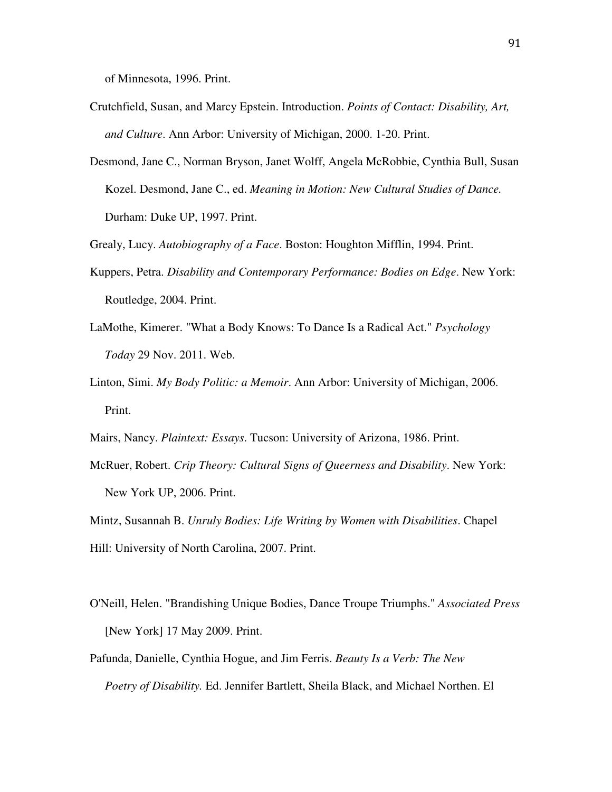of Minnesota, 1996. Print.

- Crutchfield, Susan, and Marcy Epstein. Introduction. *Points of Contact: Disability, Art, and Culture*. Ann Arbor: University of Michigan, 2000. 1-20. Print.
- Desmond, Jane C., Norman Bryson, Janet Wolff, Angela McRobbie, Cynthia Bull, Susan Kozel. Desmond, Jane C., ed. *Meaning in Motion: New Cultural Studies of Dance.*  Durham: Duke UP, 1997. Print.

Grealy, Lucy. *Autobiography of a Face*. Boston: Houghton Mifflin, 1994. Print.

- Kuppers, Petra. *Disability and Contemporary Performance: Bodies on Edge*. New York: Routledge, 2004. Print.
- LaMothe, Kimerer. "What a Body Knows: To Dance Is a Radical Act." *Psychology Today* 29 Nov. 2011. Web.
- Linton, Simi. *My Body Politic: a Memoir*. Ann Arbor: University of Michigan, 2006. Print.
- Mairs, Nancy. *Plaintext: Essays*. Tucson: University of Arizona, 1986. Print.
- McRuer, Robert. *Crip Theory: Cultural Signs of Queerness and Disability*. New York: New York UP, 2006. Print.
- Mintz, Susannah B. *Unruly Bodies: Life Writing by Women with Disabilities*. Chapel Hill: University of North Carolina, 2007. Print.
- O'Neill, Helen. "Brandishing Unique Bodies, Dance Troupe Triumphs." *Associated Press* [New York] 17 May 2009. Print.
- Pafunda, Danielle, Cynthia Hogue, and Jim Ferris. *Beauty Is a Verb: The New Poetry of Disability.* Ed. Jennifer Bartlett, Sheila Black, and Michael Northen. El